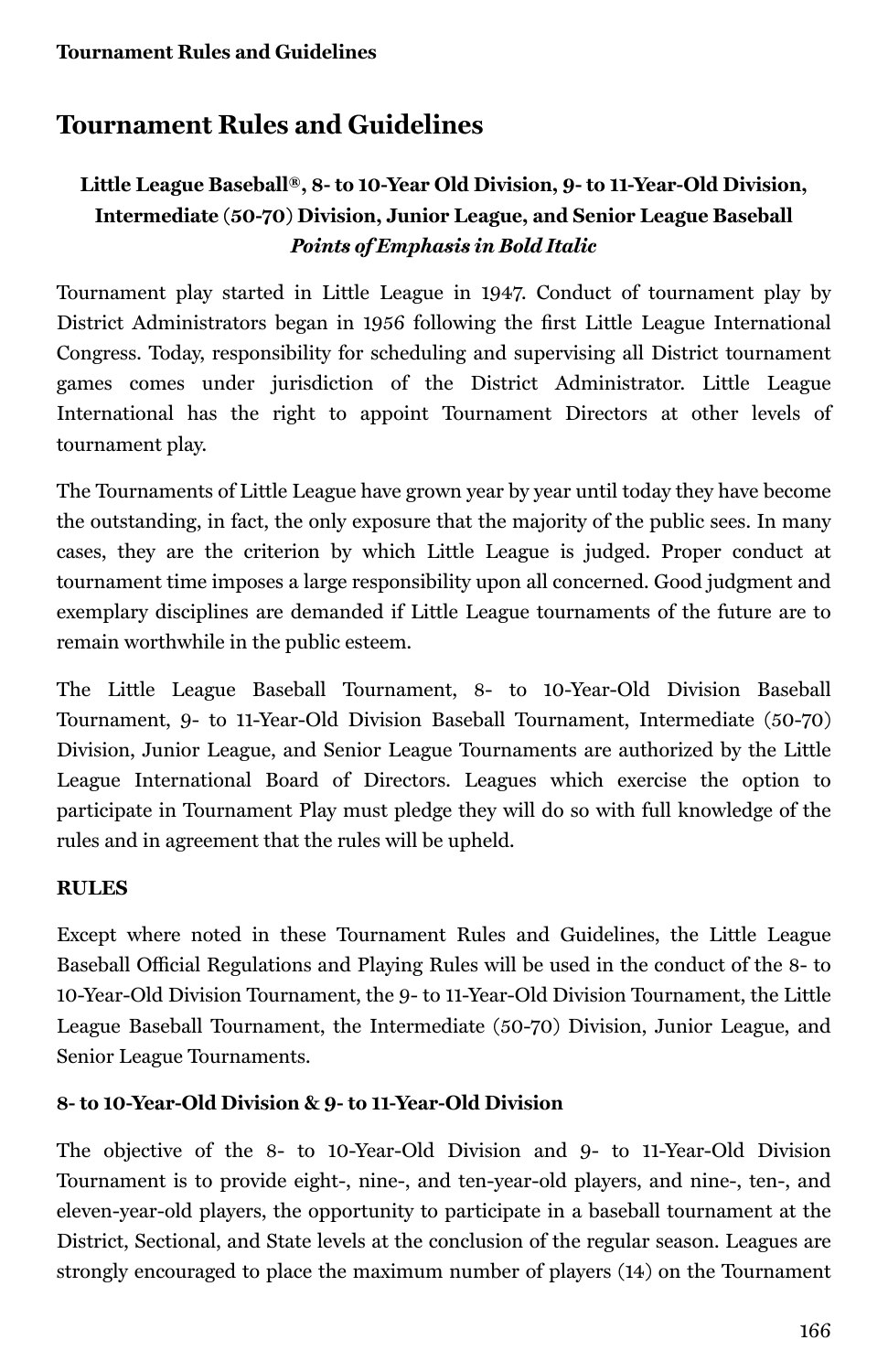# **Tournament Rules and Guidelines**

## **Little League Baseball®, 8- to 10-Year Old Division, 9- to 11-Year-Old Division, Intermediate (50-70) Division, Junior League, and Senior League Baseball** *Points of Emphasis in Bold Italic*

Tournament play started in Little League in 1947. Conduct of tournament play by District Administrators began in 1956 following the first Little League International Congress. Today, responsibility for scheduling and supervising all District tournament games comes under jurisdiction of the District Administrator. Little League International has the right to appoint Tournament Directors at other levels of tournament play.

The Tournaments of Little League have grown year by year until today they have become the outstanding, in fact, the only exposure that the majority of the public sees. In many cases, they are the criterion by which Little League is judged. Proper conduct at tournament time imposes a large responsibility upon all concerned. Good judgment and exemplary disciplines are demanded if Little League tournaments of the future are to remain worthwhile in the public esteem.

The Little League Baseball Tournament, 8- to 10-Year-Old Division Baseball Tournament, 9- to 11-Year-Old Division Baseball Tournament, Intermediate (50-70) Division, Junior League, and Senior League Tournaments are authorized by the Little League International Board of Directors. Leagues which exercise the option to participate in Tournament Play must pledge they will do so with full knowledge of the rules and in agreement that the rules will be upheld.

#### **RULES**

Except where noted in these Tournament Rules and Guidelines, the Little League Baseball Official Regulations and Playing Rules will be used in the conduct of the 8- to 10-Year-Old Division Tournament, the 9- to 11-Year-Old Division Tournament, the Little League Baseball Tournament, the Intermediate (50-70) Division, Junior League, and Senior League Tournaments.

#### **8- to 10-Year-Old Division & 9- to 11-Year-Old Division**

The objective of the 8- to 10-Year-Old Division and 9- to 11-Year-Old Division Tournament is to provide eight-, nine-, and ten-year-old players, and nine-, ten-, and eleven-year-old players, the opportunity to participate in a baseball tournament at the District, Sectional, and State levels at the conclusion of the regular season. Leagues are strongly encouraged to place the maximum number of players (14) on the Tournament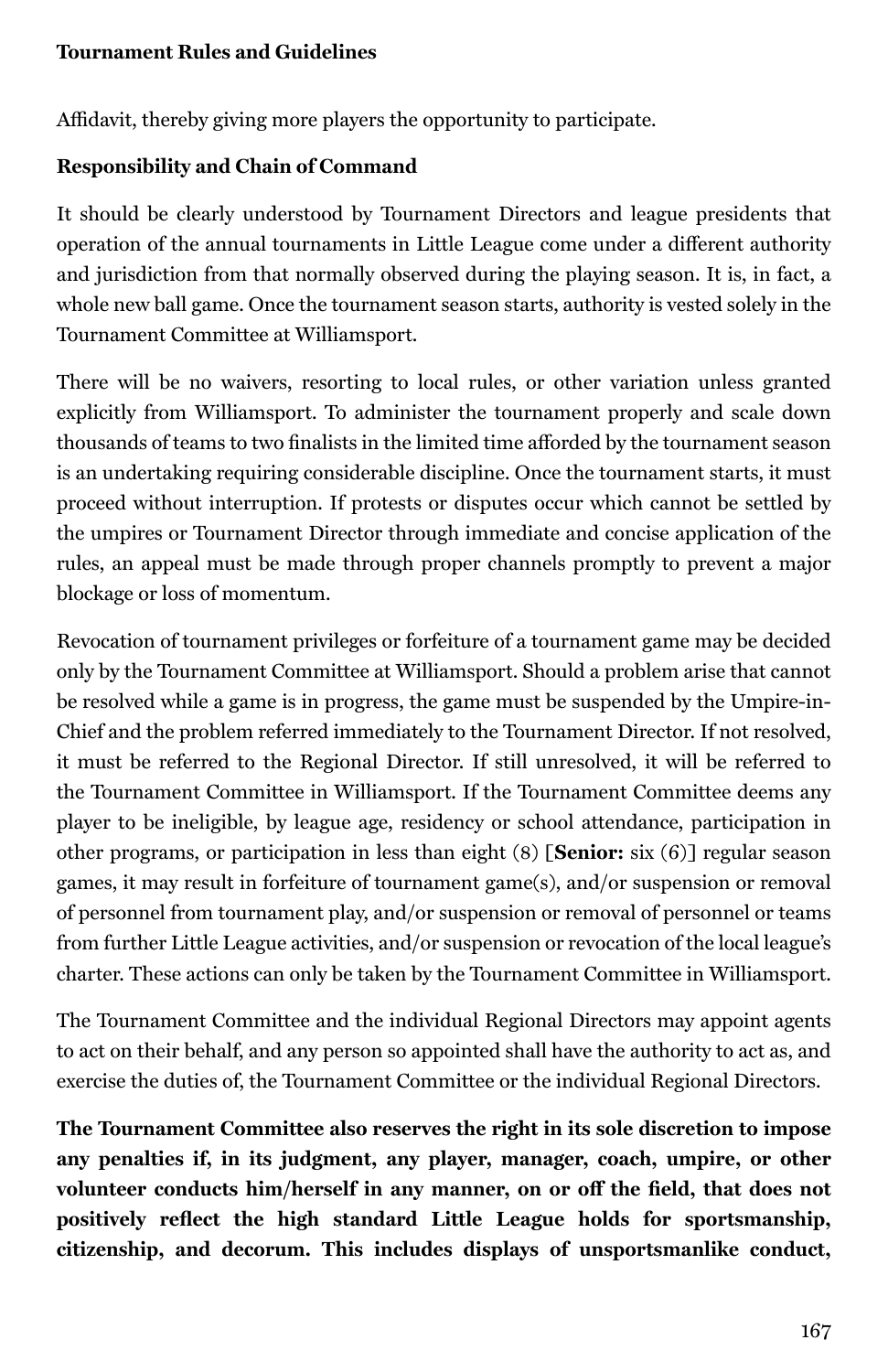Affidavit, thereby giving more players the opportunity to participate.

## **Responsibility and Chain of Command**

It should be clearly understood by Tournament Directors and league presidents that operation of the annual tournaments in Little League come under a different authority and jurisdiction from that normally observed during the playing season. It is, in fact, a whole new ball game. Once the tournament season starts, authority is vested solely in the Tournament Committee at Williamsport.

There will be no waivers, resorting to local rules, or other variation unless granted explicitly from Williamsport. To administer the tournament properly and scale down thousands of teams to two finalists in the limited time afforded by the tournament season is an undertaking requiring considerable discipline. Once the tournament starts, it must proceed without interruption. If protests or disputes occur which cannot be settled by the umpires or Tournament Director through immediate and concise application of the rules, an appeal must be made through proper channels promptly to prevent a major blockage or loss of momentum.

Revocation of tournament privileges or forfeiture of a tournament game may be decided only by the Tournament Committee at Williamsport. Should a problem arise that cannot be resolved while a game is in progress, the game must be suspended by the Umpire-in-Chief and the problem referred immediately to the Tournament Director. If not resolved, it must be referred to the Regional Director. If still unresolved, it will be referred to the Tournament Committee in Williamsport. If the Tournament Committee deems any player to be ineligible, by league age, residency or school attendance, participation in other programs, or participation in less than eight (8) [**Senior:** six (6)] regular season games, it may result in forfeiture of tournament game(s), and/or suspension or removal of personnel from tournament play, and/or suspension or removal of personnel or teams from further Little League activities, and/or suspension or revocation of the local league's charter. These actions can only be taken by the Tournament Committee in Williamsport.

The Tournament Committee and the individual Regional Directors may appoint agents to act on their behalf, and any person so appointed shall have the authority to act as, and exercise the duties of, the Tournament Committee or the individual Regional Directors.

**The Tournament Committee also reserves the right in its sole discretion to impose any penalties if, in its judgment, any player, manager, coach, umpire, or other volunteer conducts him/herself in any manner, on or off the field, that does not positively reflect the high standard Little League holds for sportsmanship, citizenship, and decorum. This includes displays of unsportsmanlike conduct,**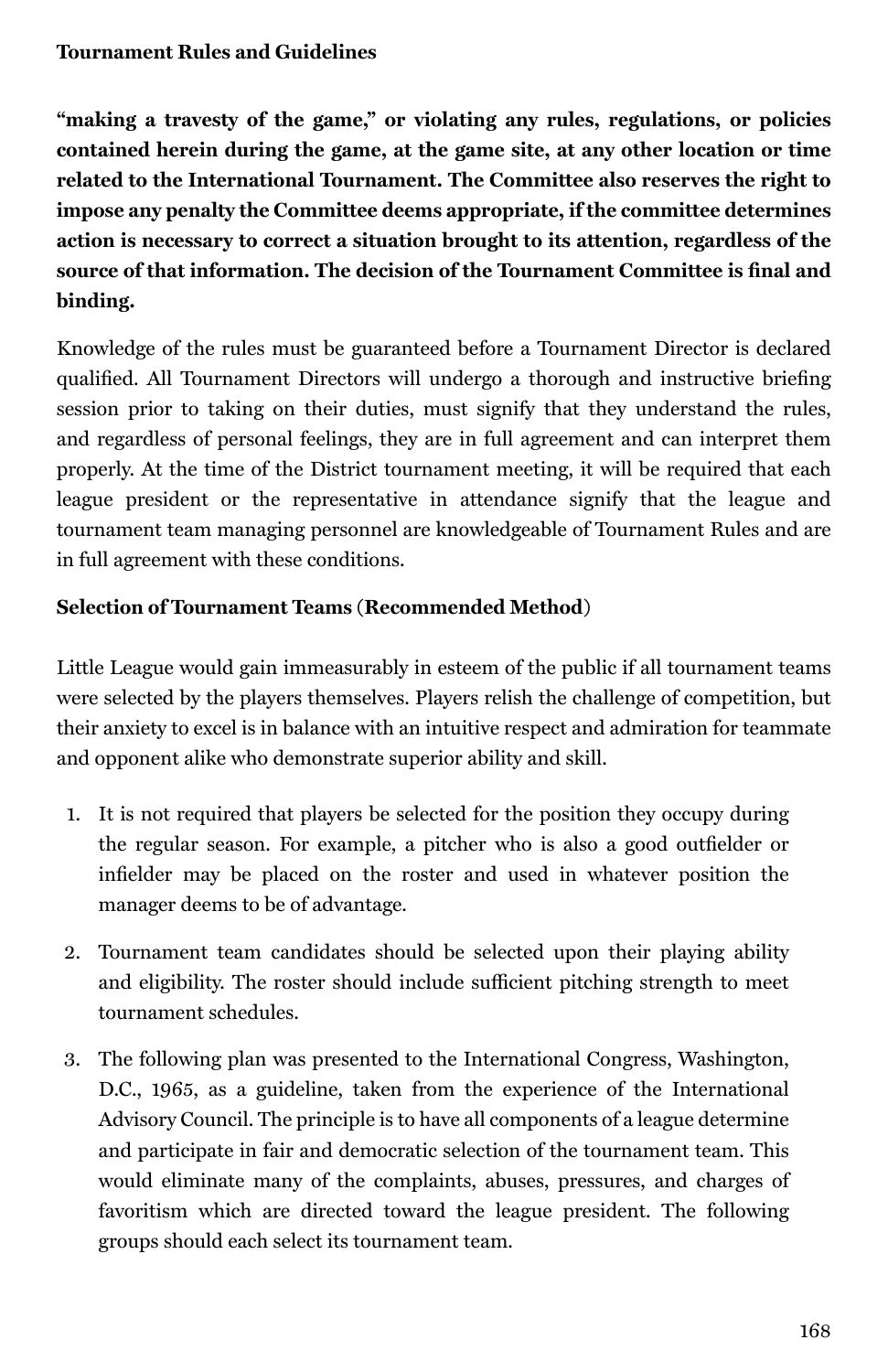#### **Tournament Rules and Guidelines**

**"making a travesty of the game," or violating any rules, regulations, or policies contained herein during the game, at the game site, at any other location or time related to the International Tournament. The Committee also reserves the right to impose any penalty the Committee deems appropriate, if the committee determines action is necessary to correct a situation brought to its attention, regardless of the source of that information. The decision of the Tournament Committee is final and binding.**

Knowledge of the rules must be guaranteed before a Tournament Director is declared qualified. All Tournament Directors will undergo a thorough and instructive briefing session prior to taking on their duties, must signify that they understand the rules, and regardless of personal feelings, they are in full agreement and can interpret them properly. At the time of the District tournament meeting, it will be required that each league president or the representative in attendance signify that the league and tournament team managing personnel are knowledgeable of Tournament Rules and are in full agreement with these conditions.

#### **Selection of Tournament Teams (Recommended Method)**

Little League would gain immeasurably in esteem of the public if all tournament teams were selected by the players themselves. Players relish the challenge of competition, but their anxiety to excel is in balance with an intuitive respect and admiration for teammate and opponent alike who demonstrate superior ability and skill.

- 1. It is not required that players be selected for the position they occupy during the regular season. For example, a pitcher who is also a good outfielder or infielder may be placed on the roster and used in whatever position the manager deems to be of advantage.
- 2. Tournament team candidates should be selected upon their playing ability and eligibility. The roster should include sufficient pitching strength to meet tournament schedules.
- 3. The following plan was presented to the International Congress, Washington, D.C., 1965, as a guideline, taken from the experience of the International Advisory Council. The principle is to have all components of a league determine and participate in fair and democratic selection of the tournament team. This would eliminate many of the complaints, abuses, pressures, and charges of favoritism which are directed toward the league president. The following groups should each select its tournament team.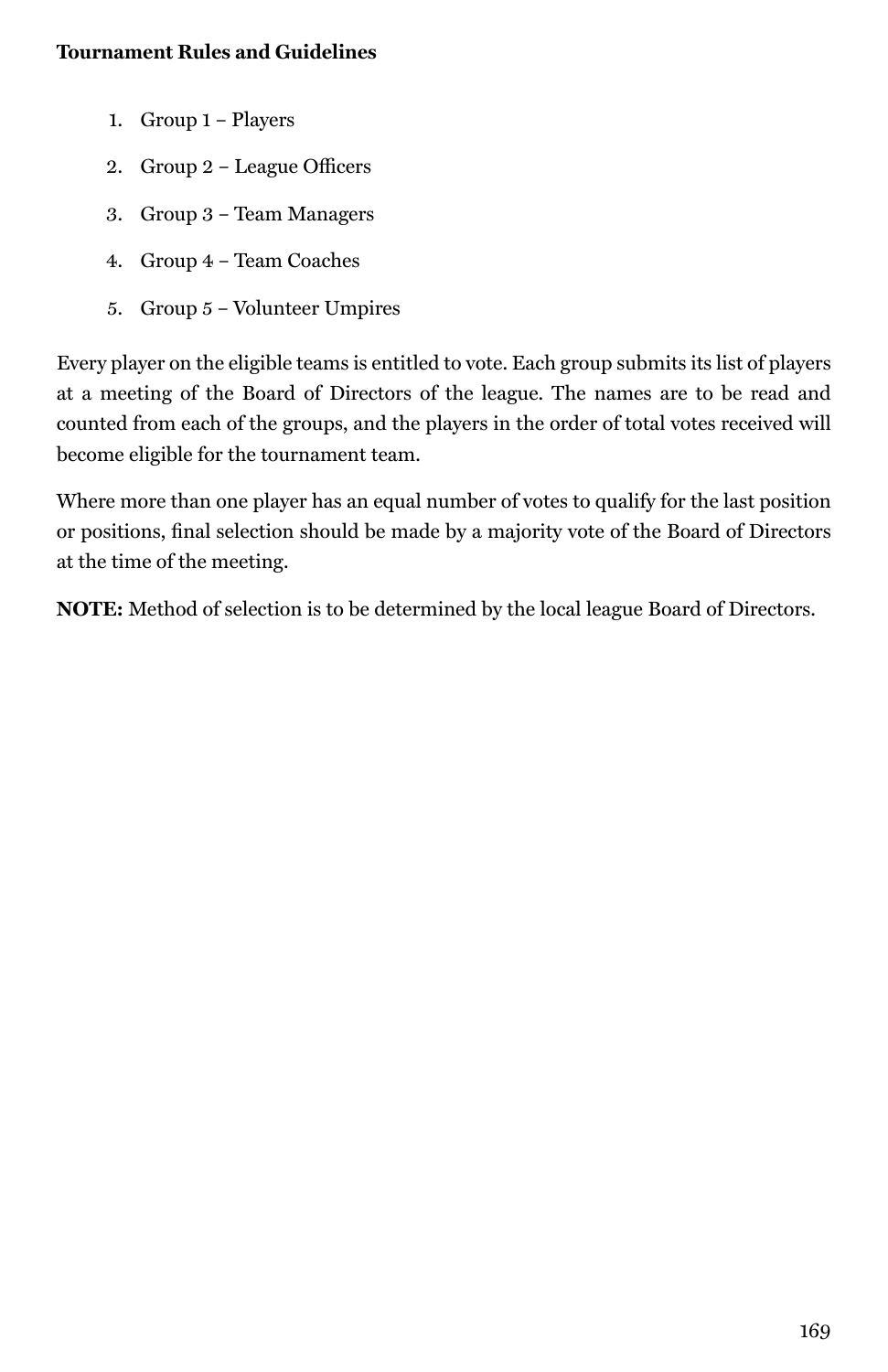#### **Tournament Rules and Guidelines**

- 1. Group 1 Players
- 2. Group 2 League Officers
- 3. Group 3 Team Managers
- 4. Group 4 Team Coaches
- 5. Group 5 Volunteer Umpires

Every player on the eligible teams is entitled to vote. Each group submits its list of players at a meeting of the Board of Directors of the league. The names are to be read and counted from each of the groups, and the players in the order of total votes received will become eligible for the tournament team.

Where more than one player has an equal number of votes to qualify for the last position or positions, final selection should be made by a majority vote of the Board of Directors at the time of the meeting.

**NOTE:** Method of selection is to be determined by the local league Board of Directors.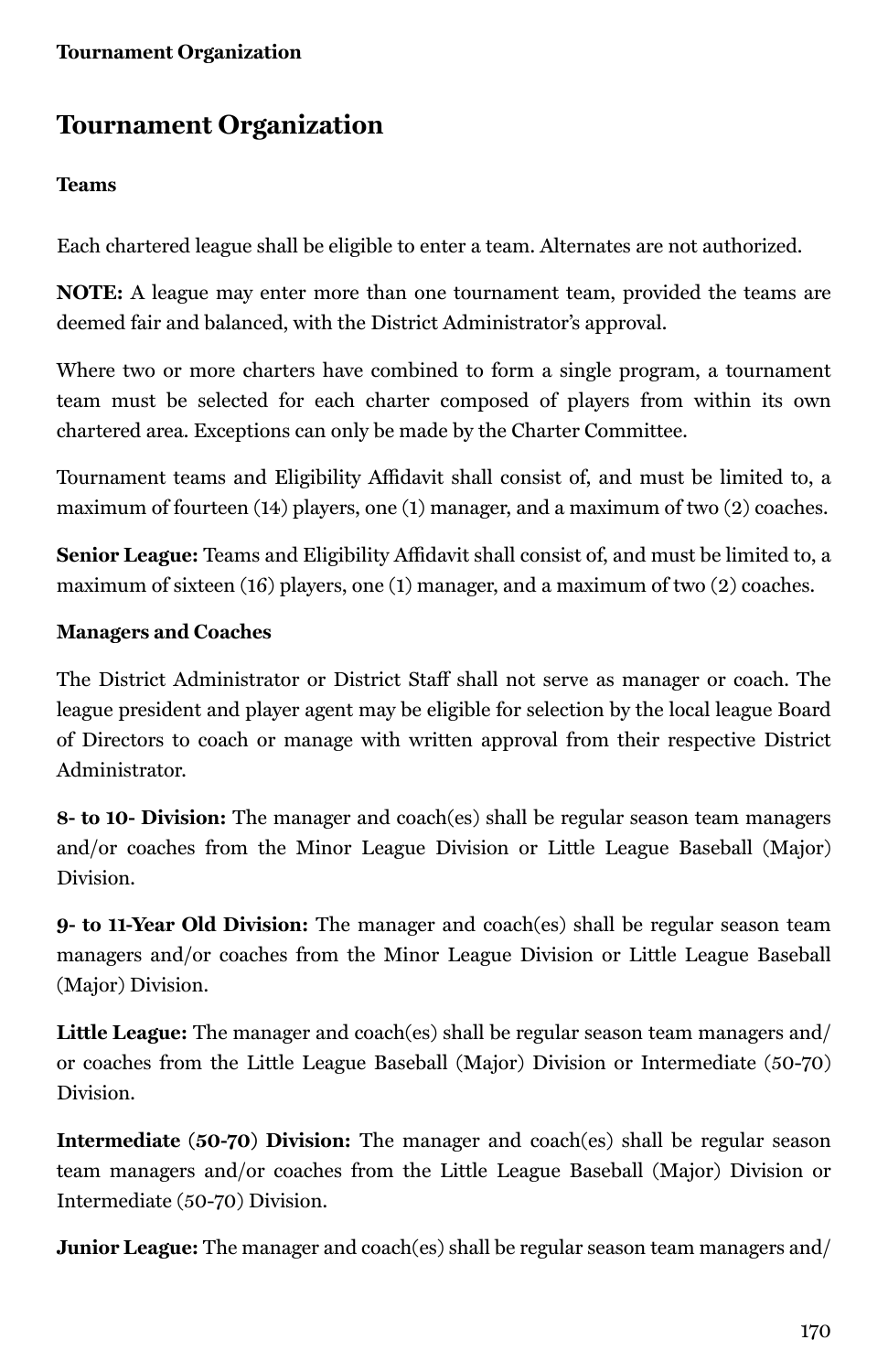## **Teams**

Each chartered league shall be eligible to enter a team. Alternates are not authorized.

**NOTE:** A league may enter more than one tournament team, provided the teams are deemed fair and balanced, with the District Administrator's approval.

Where two or more charters have combined to form a single program, a tournament team must be selected for each charter composed of players from within its own chartered area. Exceptions can only be made by the Charter Committee.

Tournament teams and Eligibility Affidavit shall consist of, and must be limited to, a maximum of fourteen (14) players, one (1) manager, and a maximum of two (2) coaches.

**Senior League:** Teams and Eligibility Affidavit shall consist of, and must be limited to, a maximum of sixteen (16) players, one (1) manager, and a maximum of two (2) coaches.

## **Managers and Coaches**

The District Administrator or District Staff shall not serve as manager or coach. The league president and player agent may be eligible for selection by the local league Board of Directors to coach or manage with written approval from their respective District Administrator.

**8- to 10- Division:** The manager and coach(es) shall be regular season team managers and/or coaches from the Minor League Division or Little League Baseball (Major) Division.

**9- to 11-Year Old Division:** The manager and coach(es) shall be regular season team managers and/or coaches from the Minor League Division or Little League Baseball (Major) Division.

**Little League:** The manager and coach(es) shall be regular season team managers and/ or coaches from the Little League Baseball (Major) Division or Intermediate (50-70) Division.

**Intermediate (50-70) Division:** The manager and coach(es) shall be regular season team managers and/or coaches from the Little League Baseball (Major) Division or Intermediate (50-70) Division.

**Junior League:** The manager and coach(es) shall be regular season team managers and/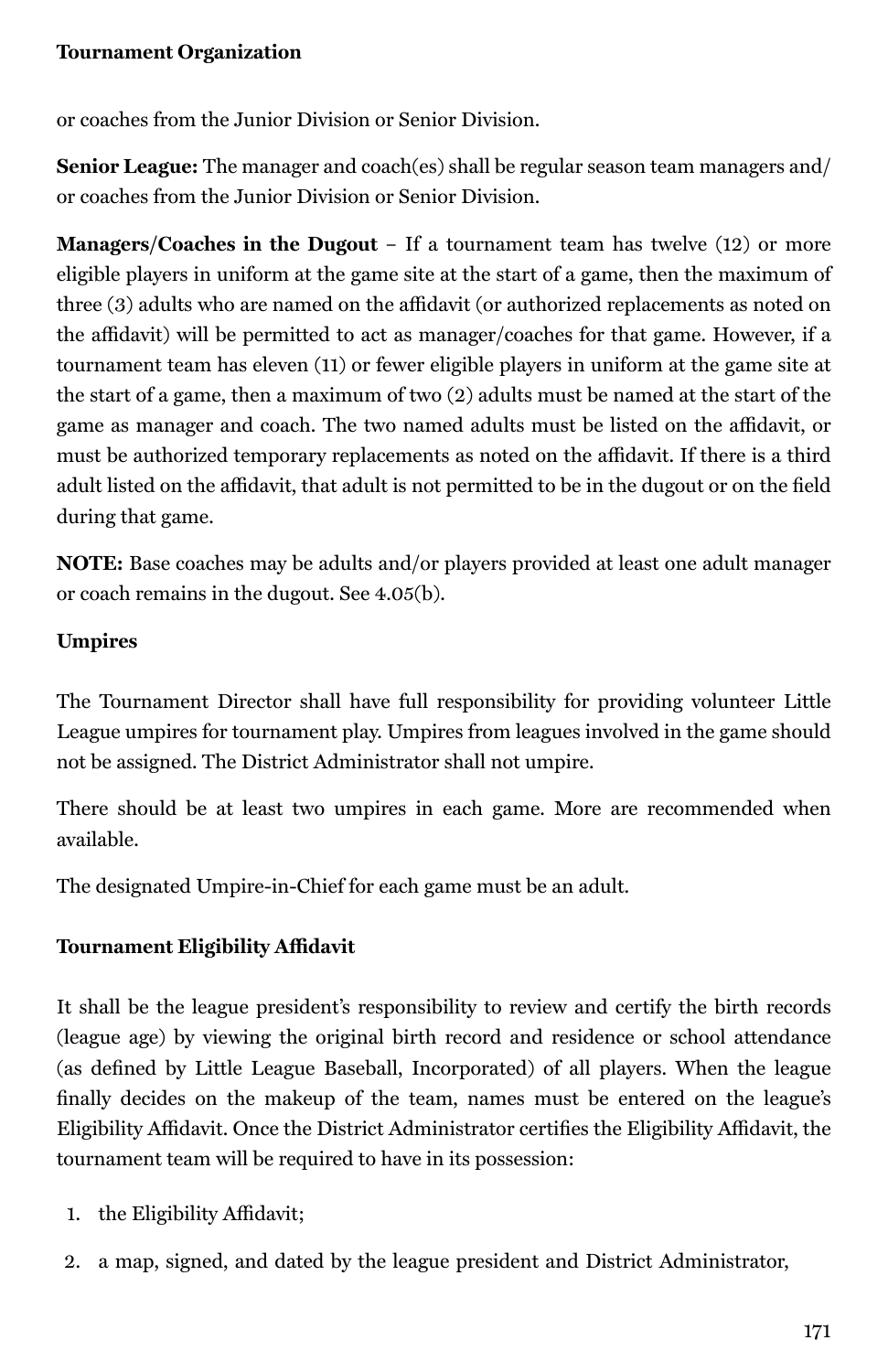or coaches from the Junior Division or Senior Division.

**Senior League:** The manager and coach(es) shall be regular season team managers and/ or coaches from the Junior Division or Senior Division.

**Managers/Coaches in the Dugout** – If a tournament team has twelve (12) or more eligible players in uniform at the game site at the start of a game, then the maximum of three (3) adults who are named on the affidavit (or authorized replacements as noted on the affidavit) will be permitted to act as manager/coaches for that game. However, if a tournament team has eleven (11) or fewer eligible players in uniform at the game site at the start of a game, then a maximum of two (2) adults must be named at the start of the game as manager and coach. The two named adults must be listed on the affidavit, or must be authorized temporary replacements as noted on the affidavit. If there is a third adult listed on the affidavit, that adult is not permitted to be in the dugout or on the field during that game.

**NOTE:** Base coaches may be adults and/or players provided at least one adult manager or coach remains in the dugout. See 4.05(b).

### **Umpires**

The Tournament Director shall have full responsibility for providing volunteer Little League umpires for tournament play. Umpires from leagues involved in the game should not be assigned. The District Administrator shall not umpire.

There should be at least two umpires in each game. More are recommended when available.

The designated Umpire-in-Chief for each game must be an adult.

## **Tournament Eligibility Affidavit**

It shall be the league president's responsibility to review and certify the birth records (league age) by viewing the original birth record and residence or school attendance (as defined by Little League Baseball, Incorporated) of all players. When the league finally decides on the makeup of the team, names must be entered on the league's Eligibility Affidavit. Once the District Administrator certifies the Eligibility Affidavit, the tournament team will be required to have in its possession:

- 1. the Eligibility Affidavit;
- 2. a map, signed, and dated by the league president and District Administrator,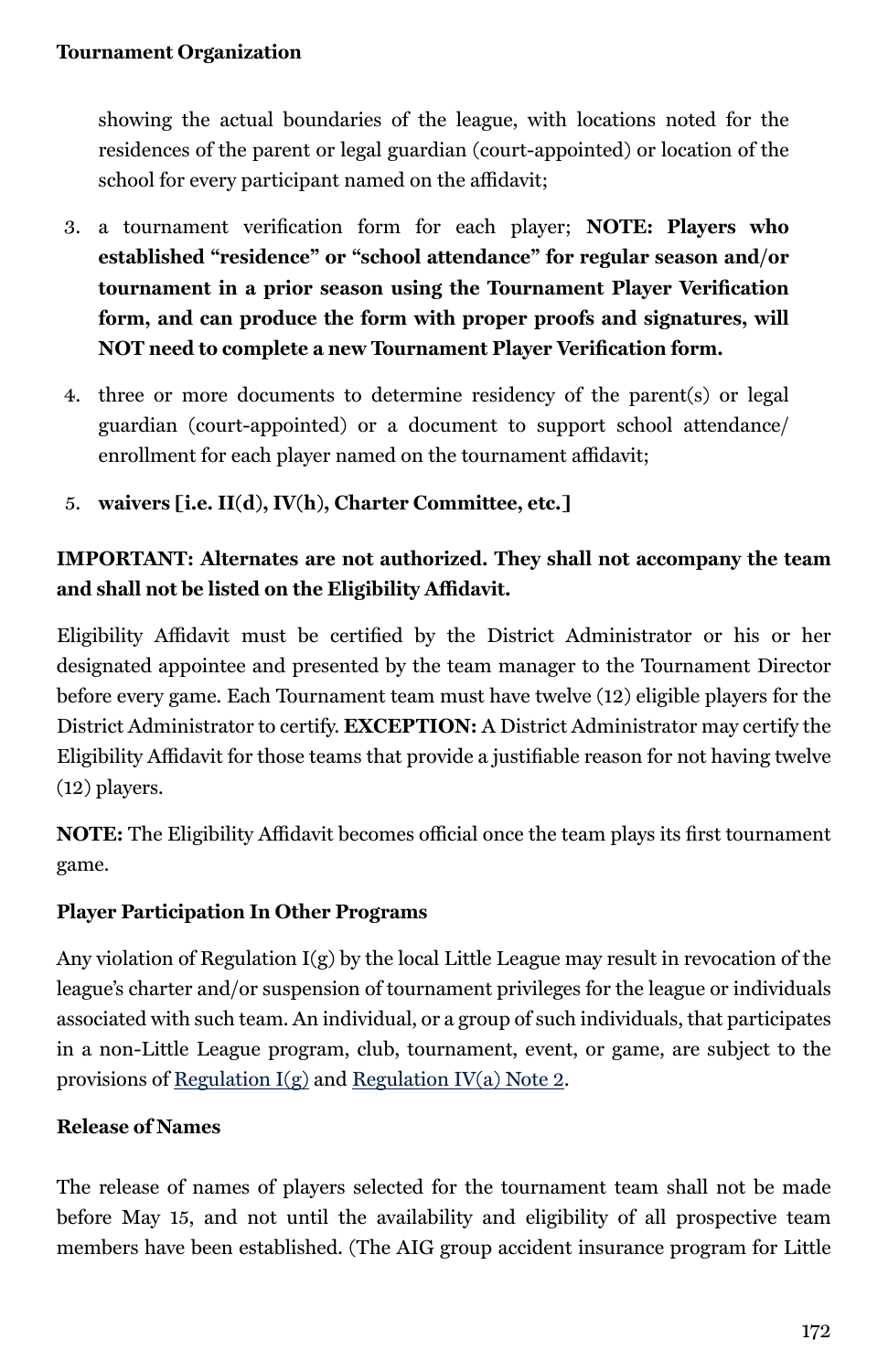showing the actual boundaries of the league, with locations noted for the residences of the parent or legal guardian (court-appointed) or location of the school for every participant named on the affidavit;

- 3. a tournament verification form for each player; **NOTE: Players who established "residence" or "school attendance" for regular season and/or tournament in a prior season using the Tournament Player Verification form, and can produce the form with proper proofs and signatures, will NOT need to complete a new Tournament Player Verification form.**
- 4. three or more documents to determine residency of the parent(s) or legal guardian (court-appointed) or a document to support school attendance/ enrollment for each player named on the tournament affidavit;
- 5. **waivers [i.e. II(d), IV(h), Charter Committee, etc.]**

### **IMPORTANT: Alternates are not authorized. They shall not accompany the team and shall not be listed on the Eligibility Affidavit.**

Eligibility Affidavit must be certified by the District Administrator or his or her designated appointee and presented by the team manager to the Tournament Director before every game. Each Tournament team must have twelve (12) eligible players for the District Administrator to certify. **EXCEPTION:** A District Administrator may certify the Eligibility Affidavit for those teams that provide a justifiable reason for not having twelve (12) players.

**NOTE:** The Eligibility Affidavit becomes official once the team plays its first tournament game.

#### **Player Participation In Other Programs**

Any violation of Regulation  $I(g)$  by the local Little League may result in revocation of the league's charter and/or suspension of tournament privileges for the league or individuals associated with such team. An individual, or a group of such individuals, that participates in a non-Little League program, club, tournament, event, or game, are subject to the provisions of Regulation  $I(g)$  and [Regulation IV\(a\) Note 2.](littleleague://Rulebook/3/42/rule--a.)

#### **Release of Names**

The release of names of players selected for the tournament team shall not be made before May 15, and not until the availability and eligibility of all prospective team members have been established. (The AIG group accident insurance program for Little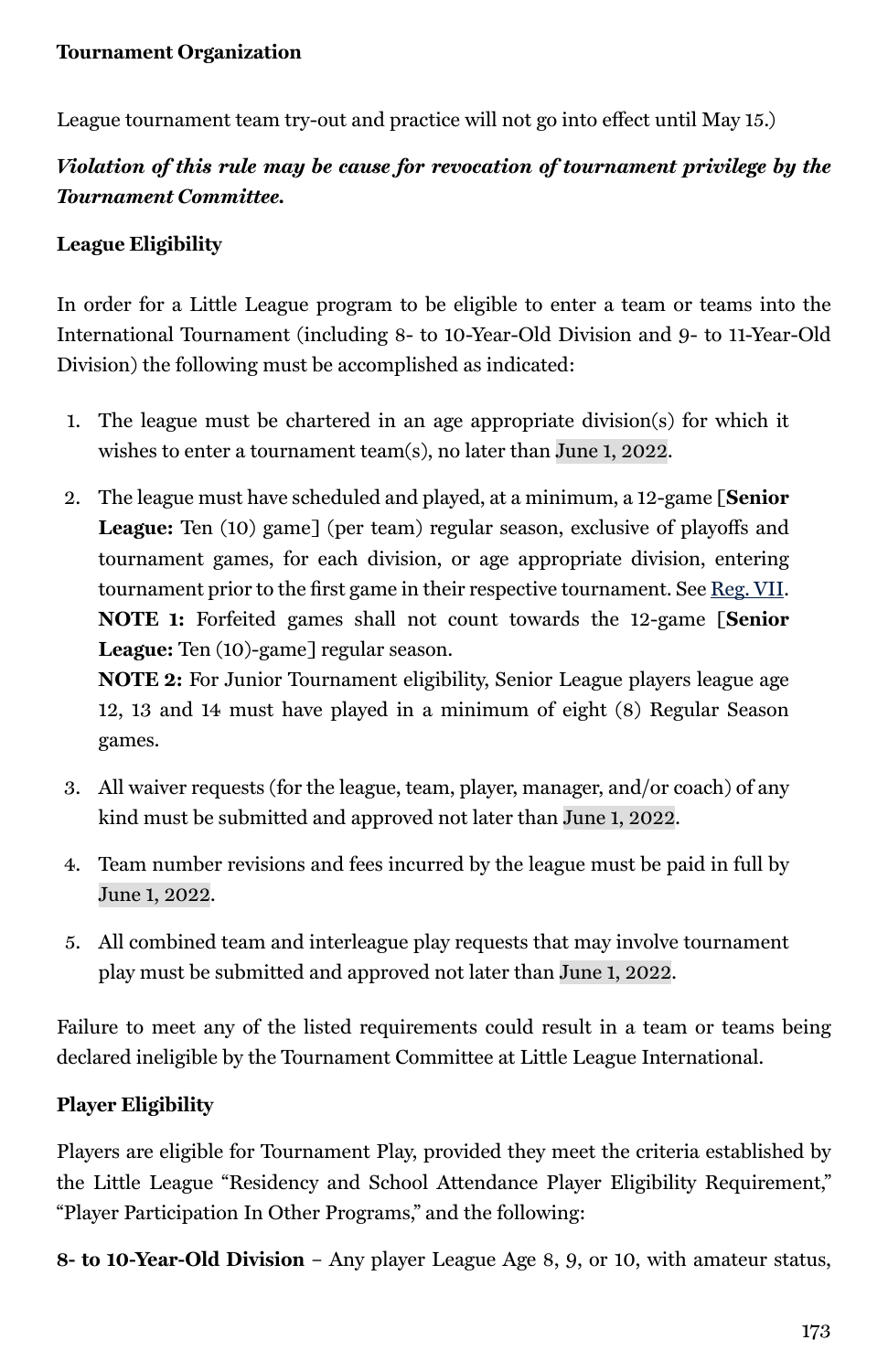League tournament team try-out and practice will not go into effect until May 15.)

## *Violation of this rule may be cause for revocation of tournament privilege by the Tournament Committee.*

## **League Eligibility**

In order for a Little League program to be eligible to enter a team or teams into the International Tournament (including 8- to 10-Year-Old Division and 9- to 11-Year-Old Division) the following must be accomplished as indicated:

- 1. The league must be chartered in an age appropriate division(s) for which it wishes to enter a tournament team(s), no later than June 1, 2022.
- 2. The league must have scheduled and played, at a minimum, a 12-game [**Senior League:** Ten (10) game] (per team) regular season, exclusive of playoffs and tournament games, for each division, or age appropriate division, entering tournament prior to the first game in their respective tournament. See [Reg. VII.](littleleague://Rulebook/3/48/rule--a.) **NOTE 1:** Forfeited games shall not count towards the 12-game [**Senior League:** Ten (10)-game] regular season.

**NOTE 2:** For Junior Tournament eligibility, Senior League players league age 12, 13 and 14 must have played in a minimum of eight (8) Regular Season games.

- 3. All waiver requests (for the league, team, player, manager, and/or coach) of any kind must be submitted and approved not later than June 1, 2022.
- 4. Team number revisions and fees incurred by the league must be paid in full by June 1, 2022.
- 5. All combined team and interleague play requests that may involve tournament play must be submitted and approved not later than June 1, 2022.

Failure to meet any of the listed requirements could result in a team or teams being declared ineligible by the Tournament Committee at Little League International.

## **Player Eligibility**

Players are eligible for Tournament Play, provided they meet the criteria established by the Little League "Residency and School Attendance Player Eligibility Requirement," "Player Participation In Other Programs," and the following:

**8- to 10-Year-Old Division** – Any player League Age 8, 9, or 10, with amateur status,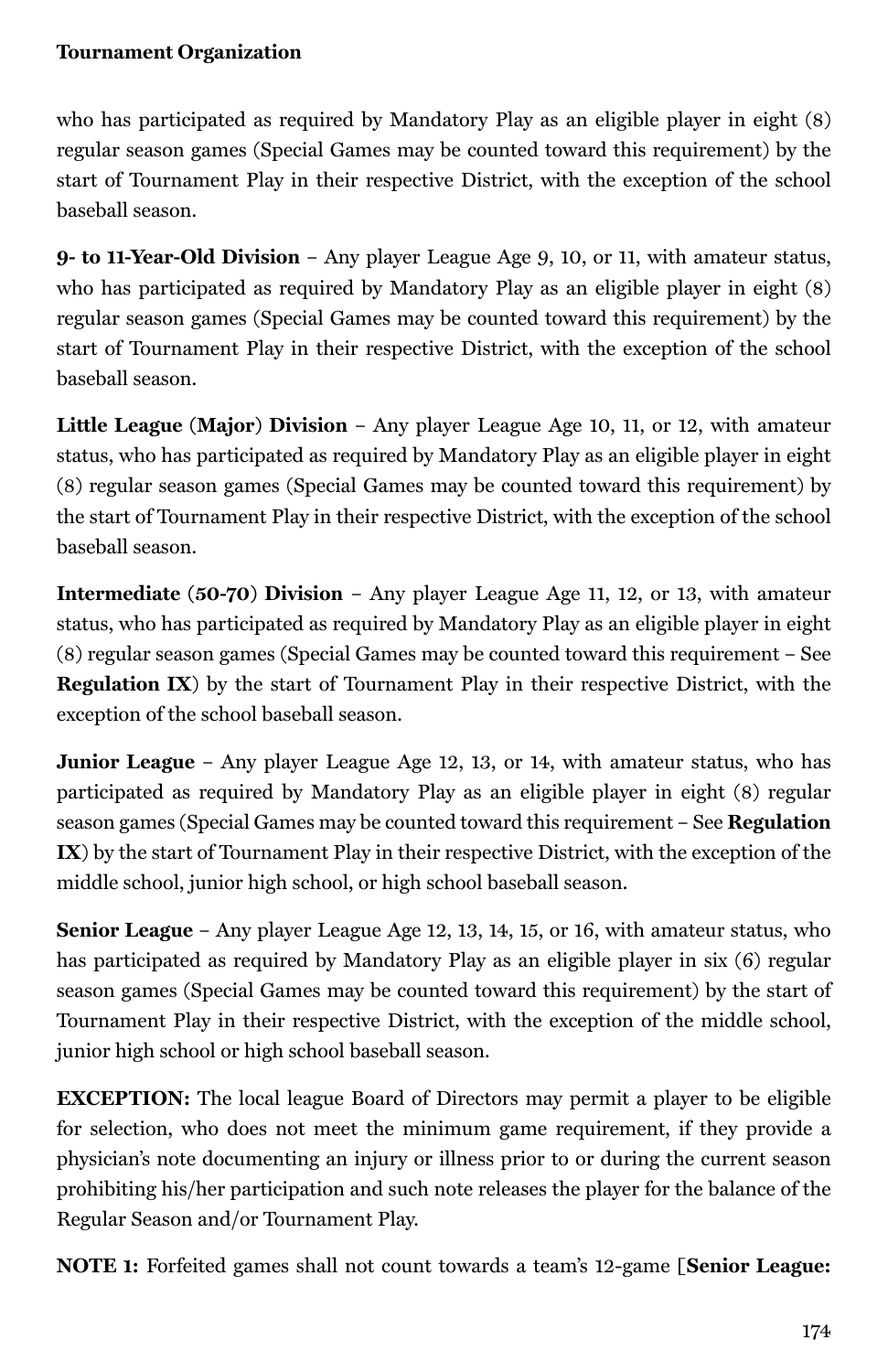who has participated as required by Mandatory Play as an eligible player in eight (8) regular season games (Special Games may be counted toward this requirement) by the start of Tournament Play in their respective District, with the exception of the school baseball season.

**9- to 11-Year-Old Division** – Any player League Age 9, 10, or 11, with amateur status, who has participated as required by Mandatory Play as an eligible player in eight (8) regular season games (Special Games may be counted toward this requirement) by the start of Tournament Play in their respective District, with the exception of the school baseball season.

**Little League (Major) Division** – Any player League Age 10, 11, or 12, with amateur status, who has participated as required by Mandatory Play as an eligible player in eight (8) regular season games (Special Games may be counted toward this requirement) by the start of Tournament Play in their respective District, with the exception of the school baseball season.

**Intermediate (50-70) Division** – Any player League Age 11, 12, or 13, with amateur status, who has participated as required by Mandatory Play as an eligible player in eight (8) regular season games (Special Games may be counted toward this requirement – See **Regulation IX**) by the start of Tournament Play in their respective District, with the exception of the school baseball season.

**Junior League** – Any player League Age 12, 13, or 14, with amateur status, who has participated as required by Mandatory Play as an eligible player in eight (8) regular season games (Special Games may be counted toward this requirement – See **Regulation IX**) by the start of Tournament Play in their respective District, with the exception of the middle school, junior high school, or high school baseball season.

**Senior League** – Any player League Age 12, 13, 14, 15, or 16, with amateur status, who has participated as required by Mandatory Play as an eligible player in six (6) regular season games (Special Games may be counted toward this requirement) by the start of Tournament Play in their respective District, with the exception of the middle school, junior high school or high school baseball season.

**EXCEPTION:** The local league Board of Directors may permit a player to be eligible for selection, who does not meet the minimum game requirement, if they provide a physician's note documenting an injury or illness prior to or during the current season prohibiting his/her participation and such note releases the player for the balance of the Regular Season and/or Tournament Play.

**NOTE 1:** Forfeited games shall not count towards a team's 12-game [**Senior League:**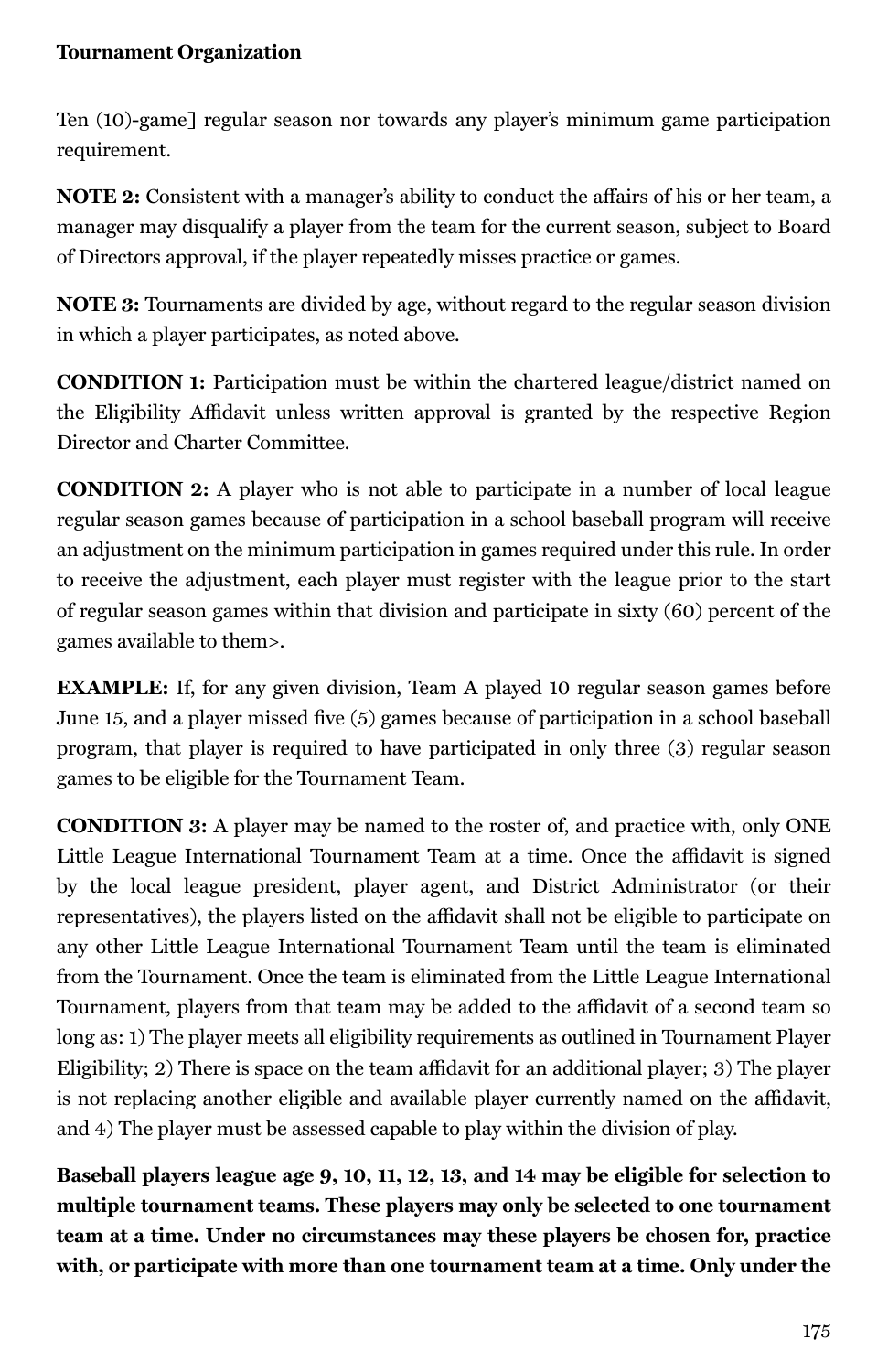Ten (10)-game] regular season nor towards any player's minimum game participation requirement.

**NOTE 2:** Consistent with a manager's ability to conduct the affairs of his or her team, a manager may disqualify a player from the team for the current season, subject to Board of Directors approval, if the player repeatedly misses practice or games.

**NOTE 3:** Tournaments are divided by age, without regard to the regular season division in which a player participates, as noted above.

**CONDITION 1:** Participation must be within the chartered league/district named on the Eligibility Affidavit unless written approval is granted by the respective Region Director and Charter Committee.

**CONDITION 2:** A player who is not able to participate in a number of local league regular season games because of participation in a school baseball program will receive an adjustment on the minimum participation in games required under this rule. In order to receive the adjustment, each player must register with the league prior to the start of regular season games within that division and participate in sixty (60) percent of the games available to them>.

**EXAMPLE:** If, for any given division, Team A played 10 regular season games before June 15, and a player missed five (5) games because of participation in a school baseball program, that player is required to have participated in only three (3) regular season games to be eligible for the Tournament Team.

**CONDITION 3:** A player may be named to the roster of, and practice with, only ONE Little League International Tournament Team at a time. Once the affidavit is signed by the local league president, player agent, and District Administrator (or their representatives), the players listed on the affidavit shall not be eligible to participate on any other Little League International Tournament Team until the team is eliminated from the Tournament. Once the team is eliminated from the Little League International Tournament, players from that team may be added to the affidavit of a second team so long as: 1) The player meets all eligibility requirements as outlined in Tournament Player Eligibility; 2) There is space on the team affidavit for an additional player; 3) The player is not replacing another eligible and available player currently named on the affidavit, and 4) The player must be assessed capable to play within the division of play.

**Baseball players league age 9, 10, 11, 12, 13, and 14 may be eligible for selection to multiple tournament teams. These players may only be selected to one tournament team at a time. Under no circumstances may these players be chosen for, practice with, or participate with more than one tournament team at a time. Only under the**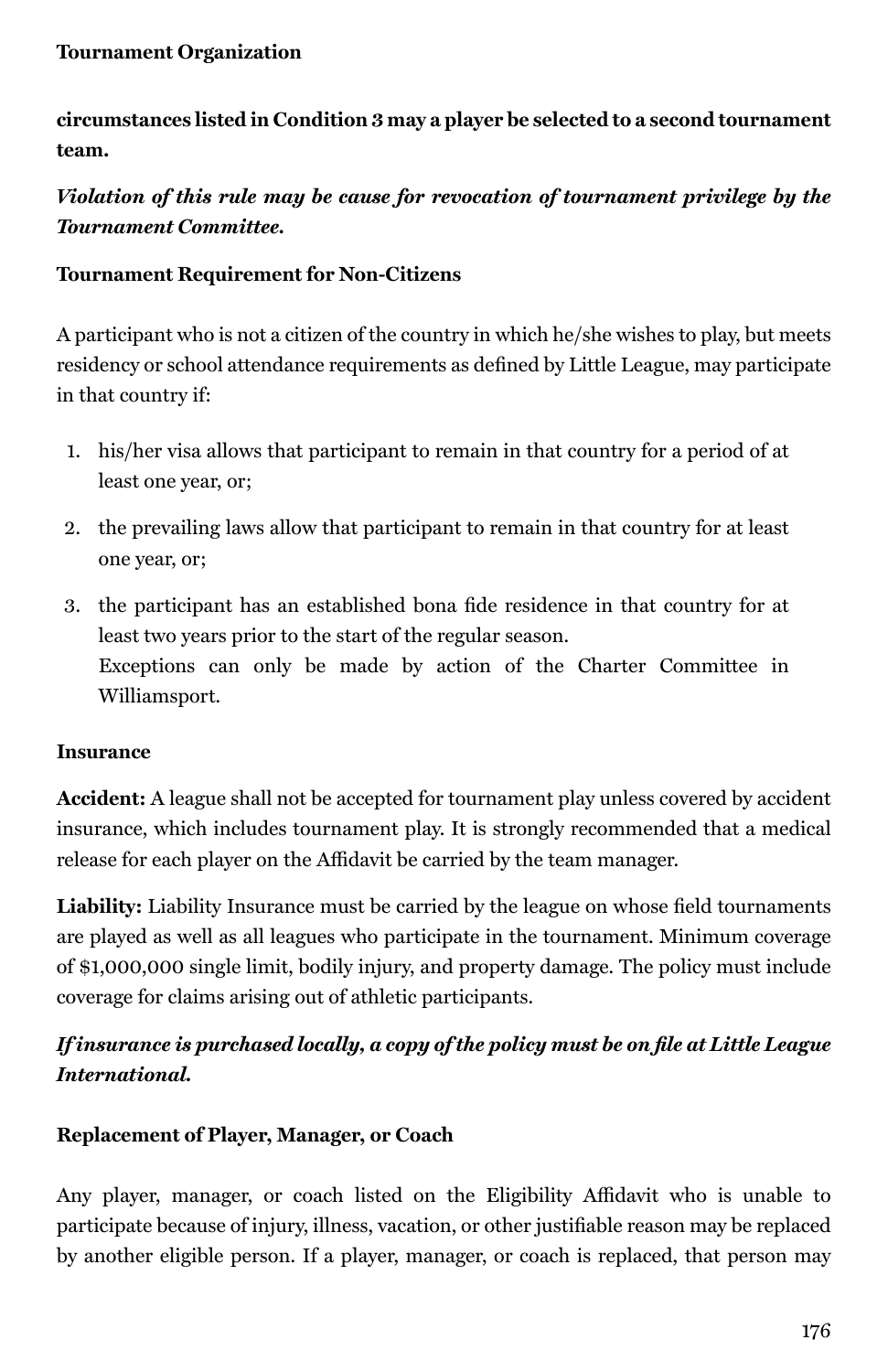**circumstances listed in Condition 3 may a player be selected to a second tournament team.**

## *Violation of this rule may be cause for revocation of tournament privilege by the Tournament Committee.*

#### **Tournament Requirement for Non-Citizens**

A participant who is not a citizen of the country in which he/she wishes to play, but meets residency or school attendance requirements as defined by Little League, may participate in that country if:

- 1. his/her visa allows that participant to remain in that country for a period of at least one year, or;
- 2. the prevailing laws allow that participant to remain in that country for at least one year, or;
- 3. the participant has an established bona fide residence in that country for at least two years prior to the start of the regular season. Exceptions can only be made by action of the Charter Committee in Williamsport.

#### **Insurance**

**Accident:** A league shall not be accepted for tournament play unless covered by accident insurance, which includes tournament play. It is strongly recommended that a medical release for each player on the Affidavit be carried by the team manager.

**Liability:** Liability Insurance must be carried by the league on whose field tournaments are played as well as all leagues who participate in the tournament. Minimum coverage of \$1,000,000 single limit, bodily injury, and property damage. The policy must include coverage for claims arising out of athletic participants.

## *If insurance is purchased locally, a copy of the policy must be on file at Little League International.*

#### **Replacement of Player, Manager, or Coach**

Any player, manager, or coach listed on the Eligibility Affidavit who is unable to participate because of injury, illness, vacation, or other justifiable reason may be replaced by another eligible person. If a player, manager, or coach is replaced, that person may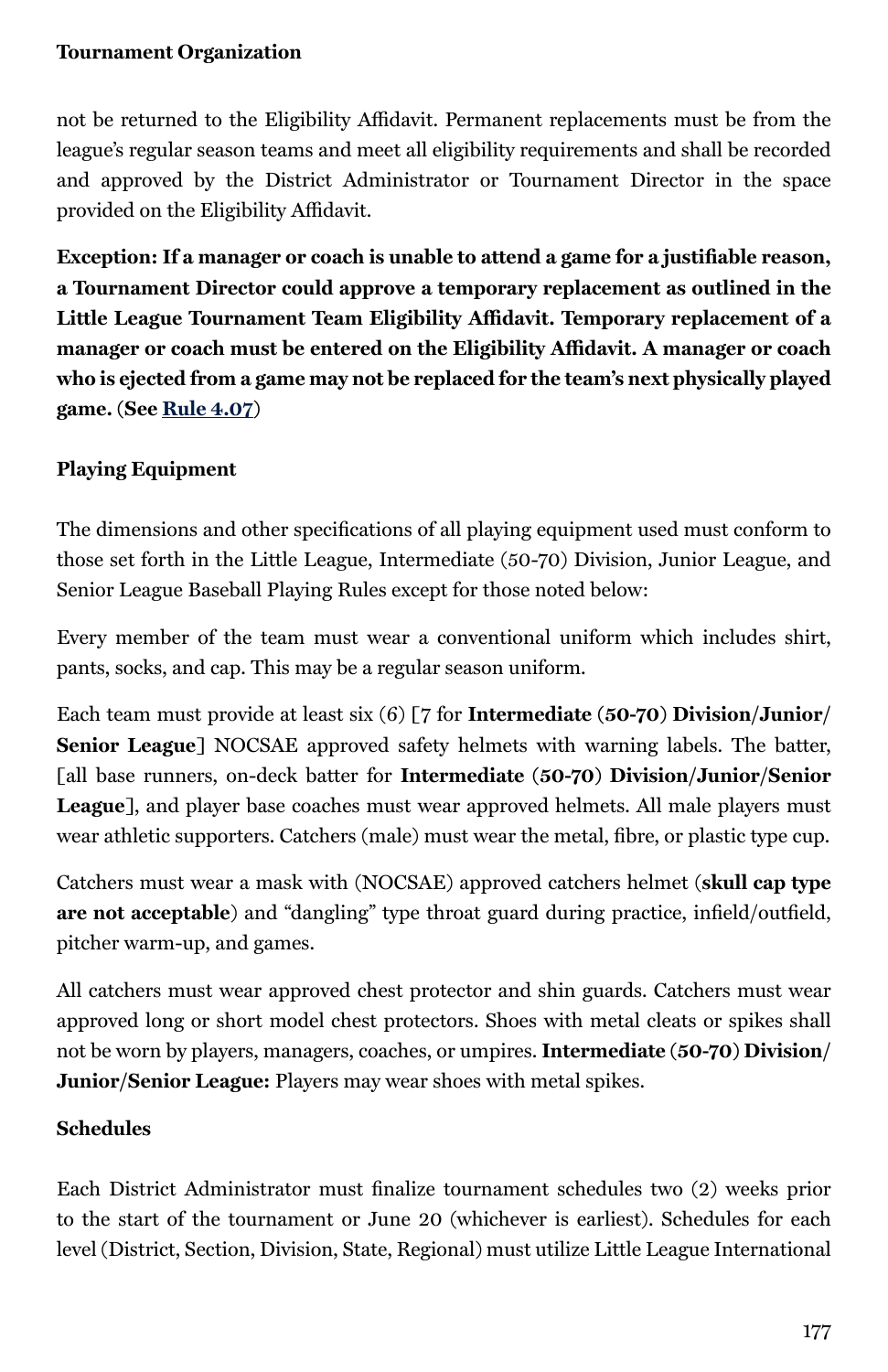not be returned to the Eligibility Affidavit. Permanent replacements must be from the league's regular season teams and meet all eligibility requirements and shall be recorded and approved by the District Administrator or Tournament Director in the space provided on the Eligibility Affidavit.

**Exception: If a manager or coach is unable to attend a game for a justifiable reason, a Tournament Director could approve a temporary replacement as outlined in the Little League Tournament Team Eligibility Affidavit. Temporary replacement of a manager or coach must be entered on the Eligibility Affidavit. A manager or coach who is ejected from a game may not be replaced for the team's next physically played game. (See [Rule 4.07\)](littleleague://Rulebook/3/28/rule-4.-07)**

### **Playing Equipment**

The dimensions and other specifications of all playing equipment used must conform to those set forth in the Little League, Intermediate (50-70) Division, Junior League, and Senior League Baseball Playing Rules except for those noted below:

Every member of the team must wear a conventional uniform which includes shirt, pants, socks, and cap. This may be a regular season uniform.

Each team must provide at least six (6) [7 for **Intermediate (50-70) Division/Junior/ Senior League**] NOCSAE approved safety helmets with warning labels. The batter, [all base runners, on-deck batter for **Intermediate (50-70) Division/Junior/Senior League**], and player base coaches must wear approved helmets. All male players must wear athletic supporters. Catchers (male) must wear the metal, fibre, or plastic type cup.

Catchers must wear a mask with (NOCSAE) approved catchers helmet (**skull cap type are not acceptable**) and "dangling" type throat guard during practice, infield/outfield, pitcher warm-up, and games.

All catchers must wear approved chest protector and shin guards. Catchers must wear approved long or short model chest protectors. Shoes with metal cleats or spikes shall not be worn by players, managers, coaches, or umpires. **Intermediate (50-70) Division/ Junior/Senior League:** Players may wear shoes with metal spikes.

#### **Schedules**

Each District Administrator must finalize tournament schedules two (2) weeks prior to the start of the tournament or June 20 (whichever is earliest). Schedules for each level (District, Section, Division, State, Regional) must utilize Little League International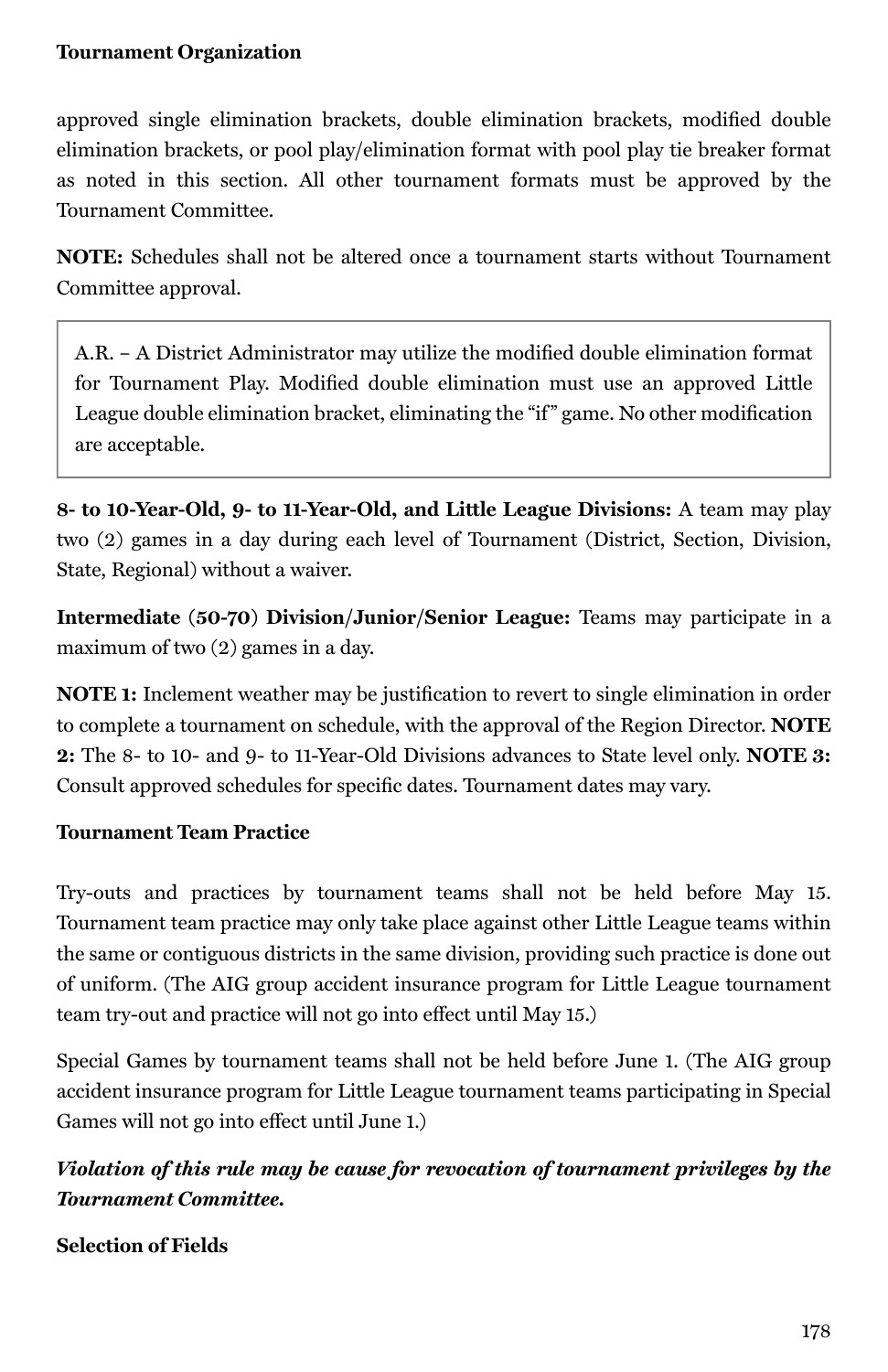approved single elimination brackets, double elimination brackets, modified double elimination brackets, or pool play/elimination format with pool play tie breaker format as noted in this section. All other tournament formats must be approved by the Tournament Committee.

**NOTE:** Schedules shall not be altered once a tournament starts without Tournament Committee approval.

A.R. – A District Administrator may utilize the modified double elimination format for Tournament Play. Modified double elimination must use an approved Little League double elimination bracket, eliminating the "if" game. No other modification are acceptable.

**8- to 10-Year-Old, 9- to 11-Year-Old, and Little League Divisions:** A team may play two (2) games in a day during each level of Tournament (District, Section, Division, State, Regional) without a waiver.

**Intermediate (50-70) Division/Junior/Senior League:** Teams may participate in a maximum of two (2) games in a day.

**NOTE 1:** Inclement weather may be justification to revert to single elimination in order to complete a tournament on schedule, with the approval of the Region Director. **NOTE 2:** The 8- to 10- and 9- to 11-Year-Old Divisions advances to State level only. **NOTE 3:** Consult approved schedules for specific dates. Tournament dates may vary.

#### **Tournament Team Practice**

Try-outs and practices by tournament teams shall not be held before May 15. Tournament team practice may only take place against other Little League teams within the same or contiguous districts in the same division, providing such practice is done out of uniform. (The AIG group accident insurance program for Little League tournament team try-out and practice will not go into effect until May 15.)

Special Games by tournament teams shall not be held before June 1. (The AIG group accident insurance program for Little League tournament teams participating in Special Games will not go into effect until June 1.)

*Violation of this rule may be cause for revocation of tournament privileges by the Tournament Committee.*

#### **Selection of Fields**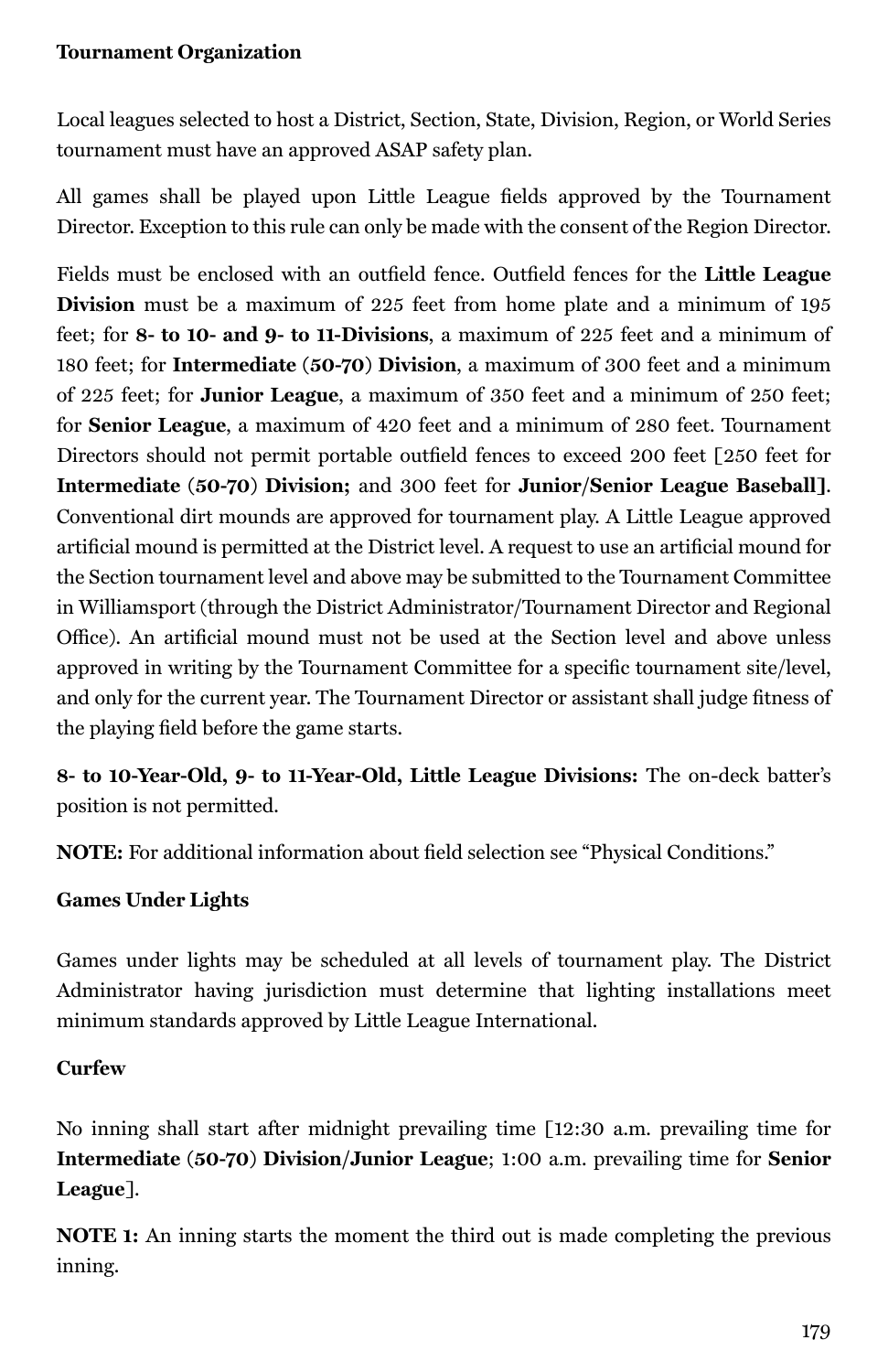Local leagues selected to host a District, Section, State, Division, Region, or World Series tournament must have an approved ASAP safety plan.

All games shall be played upon Little League fields approved by the Tournament Director. Exception to this rule can only be made with the consent of the Region Director.

Fields must be enclosed with an outfield fence. Outfield fences for the **Little League Division** must be a maximum of 225 feet from home plate and a minimum of 195 feet; for **8- to 10- and 9- to 11-Divisions**, a maximum of 225 feet and a minimum of 180 feet; for **Intermediate (50-70) Division**, a maximum of 300 feet and a minimum of 225 feet; for **Junior League**, a maximum of 350 feet and a minimum of 250 feet; for **Senior League**, a maximum of 420 feet and a minimum of 280 feet. Tournament Directors should not permit portable outfield fences to exceed 200 feet [250 feet for **Intermediate (50-70) Division;** and 300 feet for **Junior/Senior League Baseball]**. Conventional dirt mounds are approved for tournament play. A Little League approved artificial mound is permitted at the District level. A request to use an artificial mound for the Section tournament level and above may be submitted to the Tournament Committee in Williamsport (through the District Administrator/Tournament Director and Regional Office). An artificial mound must not be used at the Section level and above unless approved in writing by the Tournament Committee for a specific tournament site/level, and only for the current year. The Tournament Director or assistant shall judge fitness of the playing field before the game starts.

**8- to 10-Year-Old, 9- to 11-Year-Old, Little League Divisions:** The on-deck batter's position is not permitted.

**NOTE:** For additional information about field selection see "Physical Conditions."

## **Games Under Lights**

Games under lights may be scheduled at all levels of tournament play. The District Administrator having jurisdiction must determine that lighting installations meet minimum standards approved by Little League International.

#### **Curfew**

No inning shall start after midnight prevailing time [12:30 a.m. prevailing time for **Intermediate (50-70) Division/Junior League**; 1:00 a.m. prevailing time for **Senior League**].

**NOTE 1:** An inning starts the moment the third out is made completing the previous inning.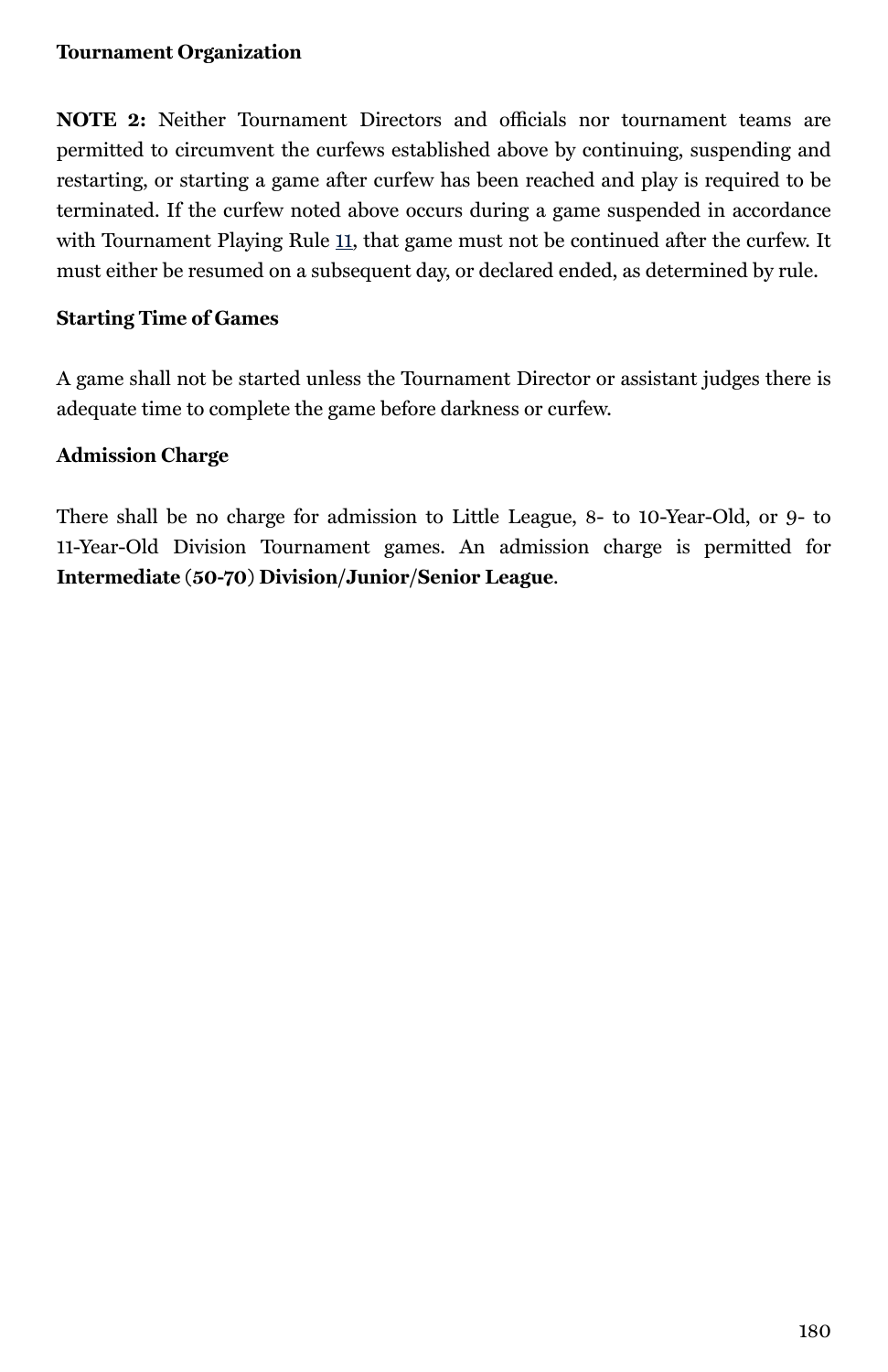**NOTE 2:** Neither Tournament Directors and officials nor tournament teams are permitted to circumvent the curfews established above by continuing, suspending and restarting, or starting a game after curfew has been reached and play is required to be terminated. If the curfew noted above occurs during a game suspended in accordance with Tournament Playing Rule [11](littleleague://Rulebook/3/99/rule--11.), that game must not be continued after the curfew. It must either be resumed on a subsequent day, or declared ended, as determined by rule.

#### **Starting Time of Games**

A game shall not be started unless the Tournament Director or assistant judges there is adequate time to complete the game before darkness or curfew.

#### **Admission Charge**

There shall be no charge for admission to Little League, 8- to 10-Year-Old, or 9- to 11-Year-Old Division Tournament games. An admission charge is permitted for **Intermediate (50-70) Division/Junior/Senior League**.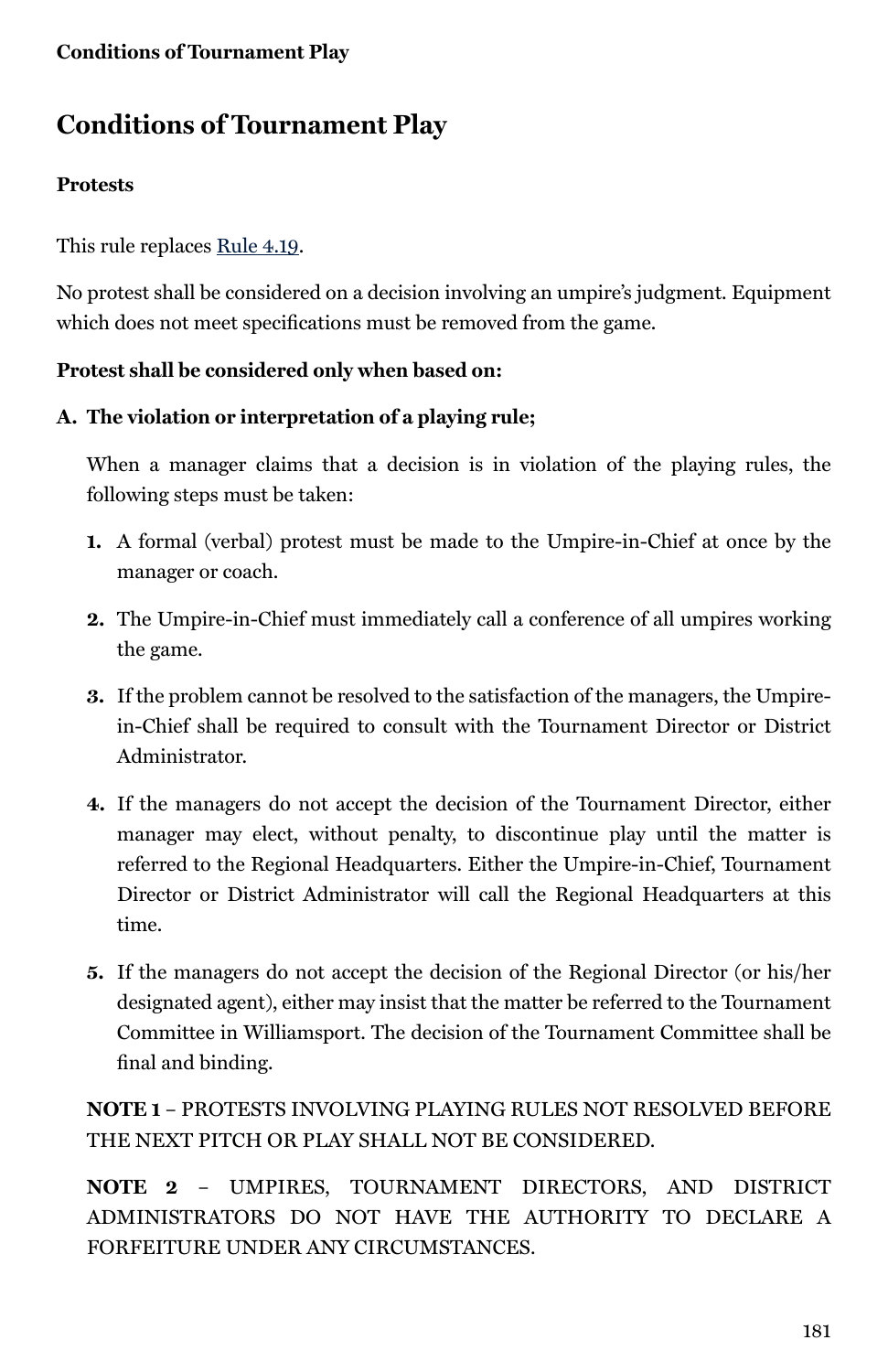#### **Conditions of Tournament Play**

# **Conditions of Tournament Play**

#### **Protests**

This rule replaces [Rule 4.19](littleleague://Rulebook/3/28/rule-4.-19).

No protest shall be considered on a decision involving an umpire's judgment. Equipment which does not meet specifications must be removed from the game.

#### **Protest shall be considered only when based on:**

#### **The violation or interpretation of a playing rule; A.**

When a manager claims that a decision is in violation of the playing rules, the following steps must be taken:

- **1.** A formal (verbal) protest must be made to the Umpire-in-Chief at once by the manager or coach.
- The Umpire-in-Chief must immediately call a conference of all umpires working **2.** the game.
- If the problem cannot be resolved to the satisfaction of the managers, the Umpire-**3.** in-Chief shall be required to consult with the Tournament Director or District Administrator.
- If the managers do not accept the decision of the Tournament Director, either **4.** manager may elect, without penalty, to discontinue play until the matter is referred to the Regional Headquarters. Either the Umpire-in-Chief, Tournament Director or District Administrator will call the Regional Headquarters at this time.
- If the managers do not accept the decision of the Regional Director (or his/her **5.** designated agent), either may insist that the matter be referred to the Tournament Committee in Williamsport. The decision of the Tournament Committee shall be final and binding.

**NOTE 1** – PROTESTS INVOLVING PLAYING RULES NOT RESOLVED BEFORE THE NEXT PITCH OR PLAY SHALL NOT BE CONSIDERED.

**NOTE 2** – UMPIRES, TOURNAMENT DIRECTORS, AND DISTRICT ADMINISTRATORS DO NOT HAVE THE AUTHORITY TO DECLARE A FORFEITURE UNDER ANY CIRCUMSTANCES.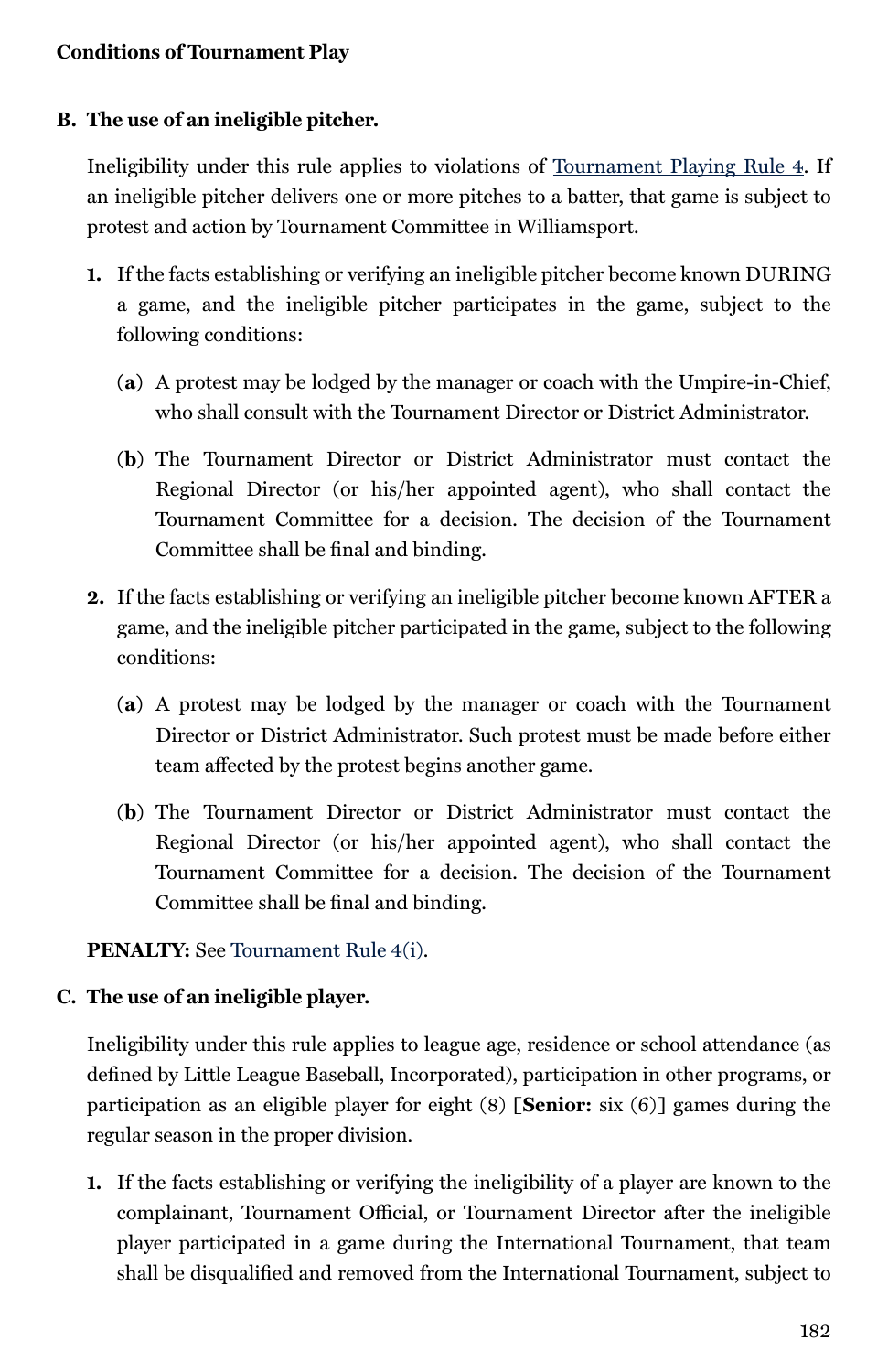#### **The use of an ineligible pitcher. B.**

Ineligibility under this rule applies to violations of [Tournament Playing Rule 4.](/rulebook/3/99/rule--4.) If an ineligible pitcher delivers one or more pitches to a batter, that game is subject to protest and action by Tournament Committee in Williamsport.

- If the facts establishing or verifying an ineligible pitcher become known DURING **1.** a game, and the ineligible pitcher participates in the game, subject to the following conditions:
	- A protest may be lodged by the manager or coach with the Umpire-in-Chief, **(a)** who shall consult with the Tournament Director or District Administrator.
	- (b) The Tournament Director or District Administrator must contact the Regional Director (or his/her appointed agent), who shall contact the Tournament Committee for a decision. The decision of the Tournament Committee shall be final and binding.
- If the facts establishing or verifying an ineligible pitcher become known AFTER a **2.** game, and the ineligible pitcher participated in the game, subject to the following conditions:
	- A protest may be lodged by the manager or coach with the Tournament **(a)** Director or District Administrator. Such protest must be made before either team affected by the protest begins another game.
	- (b) The Tournament Director or District Administrator must contact the Regional Director (or his/her appointed agent), who shall contact the Tournament Committee for a decision. The decision of the Tournament Committee shall be final and binding.

#### PENALTY: See [Tournament Rule 4\(i\).](/rulebook/3/99/rule--4.-i.)

#### **The use of an ineligible player. C.**

Ineligibility under this rule applies to league age, residence or school attendance (as defined by Little League Baseball, Incorporated), participation in other programs, or participation as an eligible player for eight (8) [**Senior:** six (6)] games during the regular season in the proper division.

If the facts establishing or verifying the ineligibility of a player are known to the **1.** complainant, Tournament Official, or Tournament Director after the ineligible player participated in a game during the International Tournament, that team shall be disqualified and removed from the International Tournament, subject to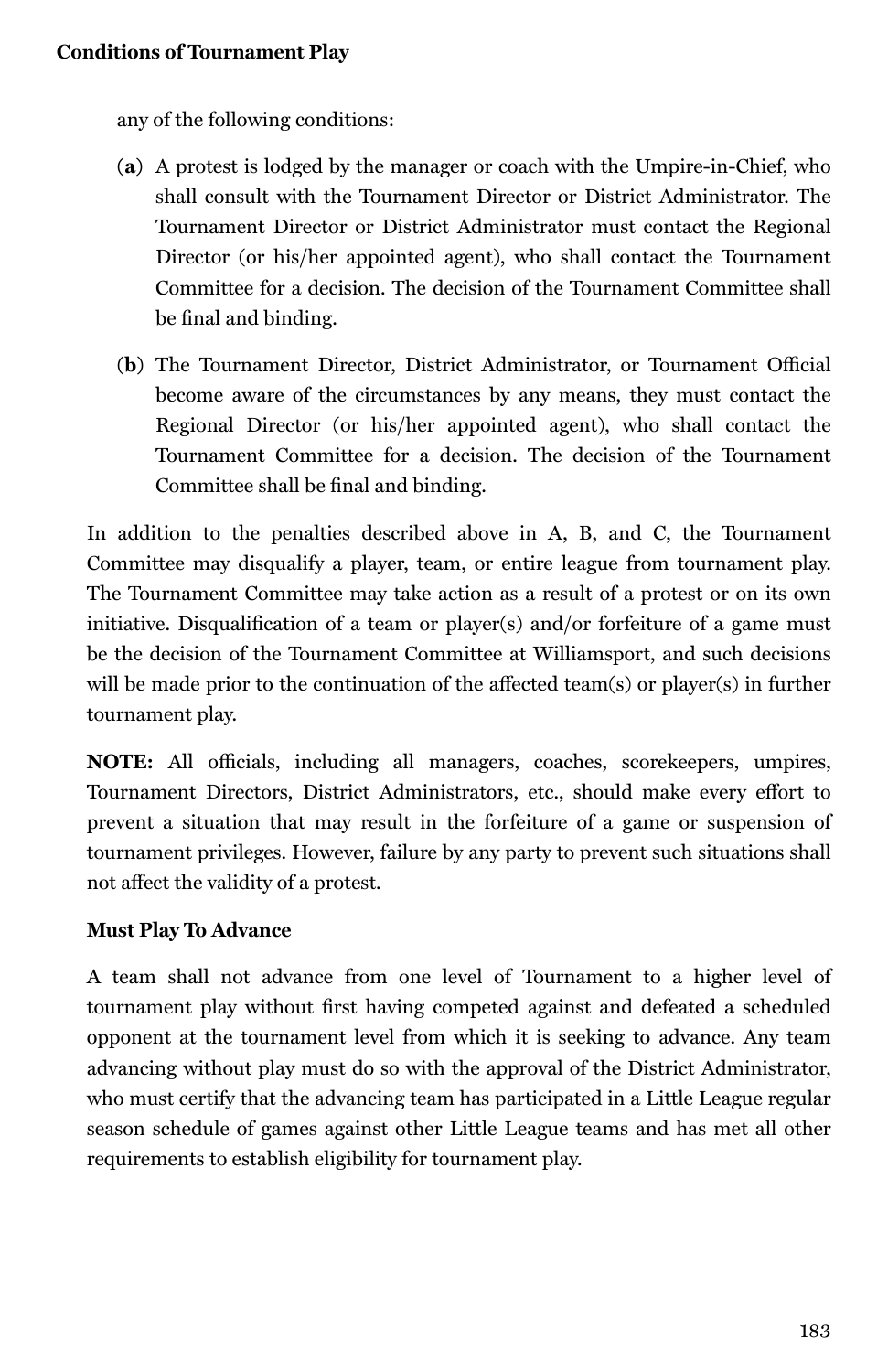any of the following conditions:

- A protest is lodged by the manager or coach with the Umpire-in-Chief, who **(a)** shall consult with the Tournament Director or District Administrator. The Tournament Director or District Administrator must contact the Regional Director (or his/her appointed agent), who shall contact the Tournament Committee for a decision. The decision of the Tournament Committee shall be final and binding.
- The Tournament Director, District Administrator, or Tournament Official **(b)** become aware of the circumstances by any means, they must contact the Regional Director (or his/her appointed agent), who shall contact the Tournament Committee for a decision. The decision of the Tournament Committee shall be final and binding.

In addition to the penalties described above in A, B, and C, the Tournament Committee may disqualify a player, team, or entire league from tournament play. The Tournament Committee may take action as a result of a protest or on its own initiative. Disqualification of a team or player(s) and/or forfeiture of a game must be the decision of the Tournament Committee at Williamsport, and such decisions will be made prior to the continuation of the affected team(s) or player(s) in further tournament play.

**NOTE:** All officials, including all managers, coaches, scorekeepers, umpires, Tournament Directors, District Administrators, etc., should make every effort to prevent a situation that may result in the forfeiture of a game or suspension of tournament privileges. However, failure by any party to prevent such situations shall not affect the validity of a protest.

#### **Must Play To Advance**

A team shall not advance from one level of Tournament to a higher level of tournament play without first having competed against and defeated a scheduled opponent at the tournament level from which it is seeking to advance. Any team advancing without play must do so with the approval of the District Administrator, who must certify that the advancing team has participated in a Little League regular season schedule of games against other Little League teams and has met all other requirements to establish eligibility for tournament play.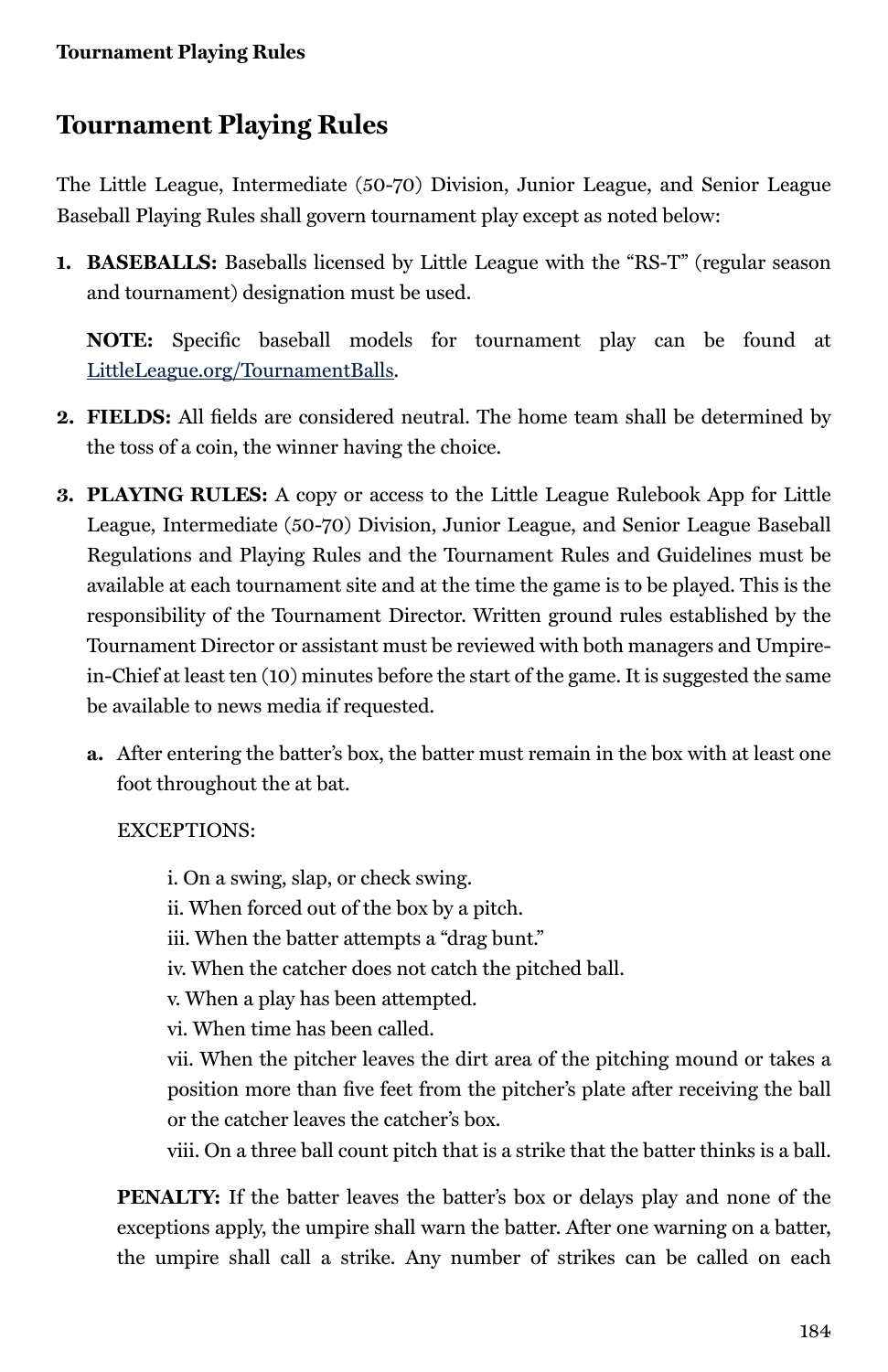## **Tournament Playing Rules**

The Little League, Intermediate (50-70) Division, Junior League, and Senior League Baseball Playing Rules shall govern tournament play except as noted below:

**BASEBALLS:** Baseballs licensed by Little League with the "RS-T" (regular season **1.** and tournament) designation must be used.

**NOTE:** Specific baseball models for tournament play can be found at [LittleLeague.org/TournamentBalls.](https://www.littleleague.org/tournament-resources/approved-balls/?utm_source=Rulebook%20App&utm_medium=Tournament%20Balls&utm_campaign=Rulebook%20App)

- **FIELDS:** All fields are considered neutral. The home team shall be determined by **2.** the toss of a coin, the winner having the choice.
- **PLAYING RULES:** A copy or access to the Little League Rulebook App for Little **3.** League, Intermediate (50-70) Division, Junior League, and Senior League Baseball Regulations and Playing Rules and the Tournament Rules and Guidelines must be available at each tournament site and at the time the game is to be played. This is the responsibility of the Tournament Director. Written ground rules established by the Tournament Director or assistant must be reviewed with both managers and Umpirein-Chief at least ten (10) minutes before the start of the game. It is suggested the same be available to news media if requested.
	- After entering the batter's box, the batter must remain in the box with at least one **a.** foot throughout the at bat.

EXCEPTIONS:

- i. On a swing, slap, or check swing.
- ii. When forced out of the box by a pitch.
- iii. When the batter attempts a "drag bunt."

iv. When the catcher does not catch the pitched ball.

- v. When a play has been attempted.
- vi. When time has been called.

vii. When the pitcher leaves the dirt area of the pitching mound or takes a position more than five feet from the pitcher's plate after receiving the ball or the catcher leaves the catcher's box.

viii. On a three ball count pitch that is a strike that the batter thinks is a ball.

**PENALTY:** If the batter leaves the batter's box or delays play and none of the exceptions apply, the umpire shall warn the batter. After one warning on a batter, the umpire shall call a strike. Any number of strikes can be called on each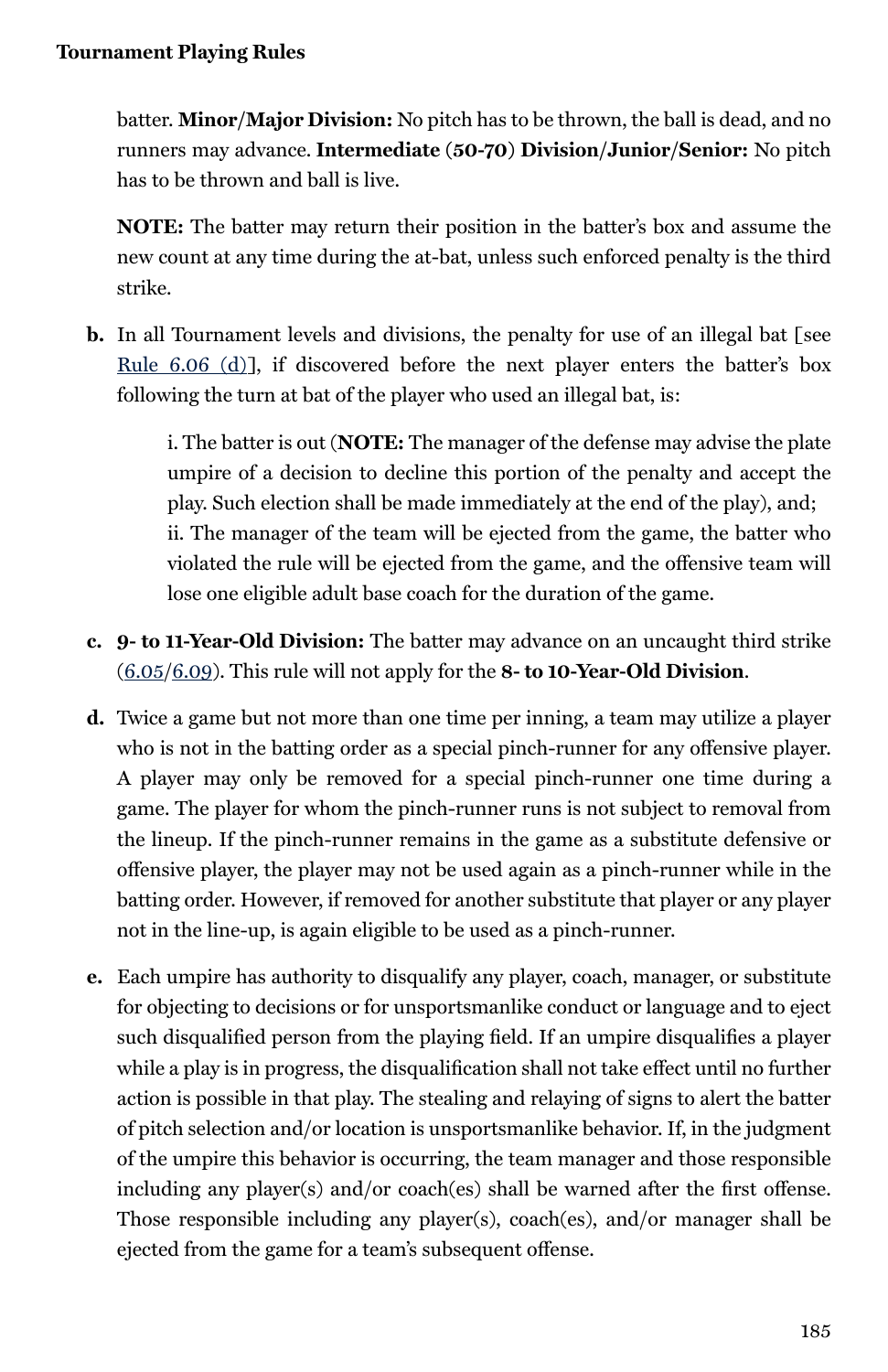batter. **Minor/Major Division:** No pitch has to be thrown, the ball is dead, and no runners may advance. **Intermediate (50-70) Division/Junior/Senior:** No pitch has to be thrown and ball is live.

**NOTE:** The batter may return their position in the batter's box and assume the new count at any time during the at-bat, unless such enforced penalty is the third strike.

**b.** In all Tournament levels and divisions, the penalty for use of an illegal bat [see [Rule 6.06 \(d\)](/rulebook/3/30/rule-6.-06-(d))], if discovered before the next player enters the batter's box following the turn at bat of the player who used an illegal bat, is:

> i. The batter is out (**NOTE:** The manager of the defense may advise the plate umpire of a decision to decline this portion of the penalty and accept the play. Such election shall be made immediately at the end of the play), and; ii. The manager of the team will be ejected from the game, the batter who violated the rule will be ejected from the game, and the offensive team will lose one eligible adult base coach for the duration of the game.

- **9- to 11-Year-Old Division:** The batter may advance on an uncaught third strike **c.** [\(6.05](/rulebook/3/30/rule-6.-05)/[6.09\)](/rulebook/3/30/rule-6.-09). This rule will not apply for the **8- to 10-Year-Old Division**.
- Twice a game but not more than one time per inning, a team may utilize a player **d.** who is not in the batting order as a special pinch-runner for any offensive player. A player may only be removed for a special pinch-runner one time during a game. The player for whom the pinch-runner runs is not subject to removal from the lineup. If the pinch-runner remains in the game as a substitute defensive or offensive player, the player may not be used again as a pinch-runner while in the batting order. However, if removed for another substitute that player or any player not in the line-up, is again eligible to be used as a pinch-runner.
- Each umpire has authority to disqualify any player, coach, manager, or substitute **e.** for objecting to decisions or for unsportsmanlike conduct or language and to eject such disqualified person from the playing field. If an umpire disqualifies a player while a play is in progress, the disqualification shall not take effect until no further action is possible in that play. The stealing and relaying of signs to alert the batter of pitch selection and/or location is unsportsmanlike behavior. If, in the judgment of the umpire this behavior is occurring, the team manager and those responsible including any player(s) and/or coach(es) shall be warned after the first offense. Those responsible including any player(s), coach(es), and/or manager shall be ejected from the game for a team's subsequent offense.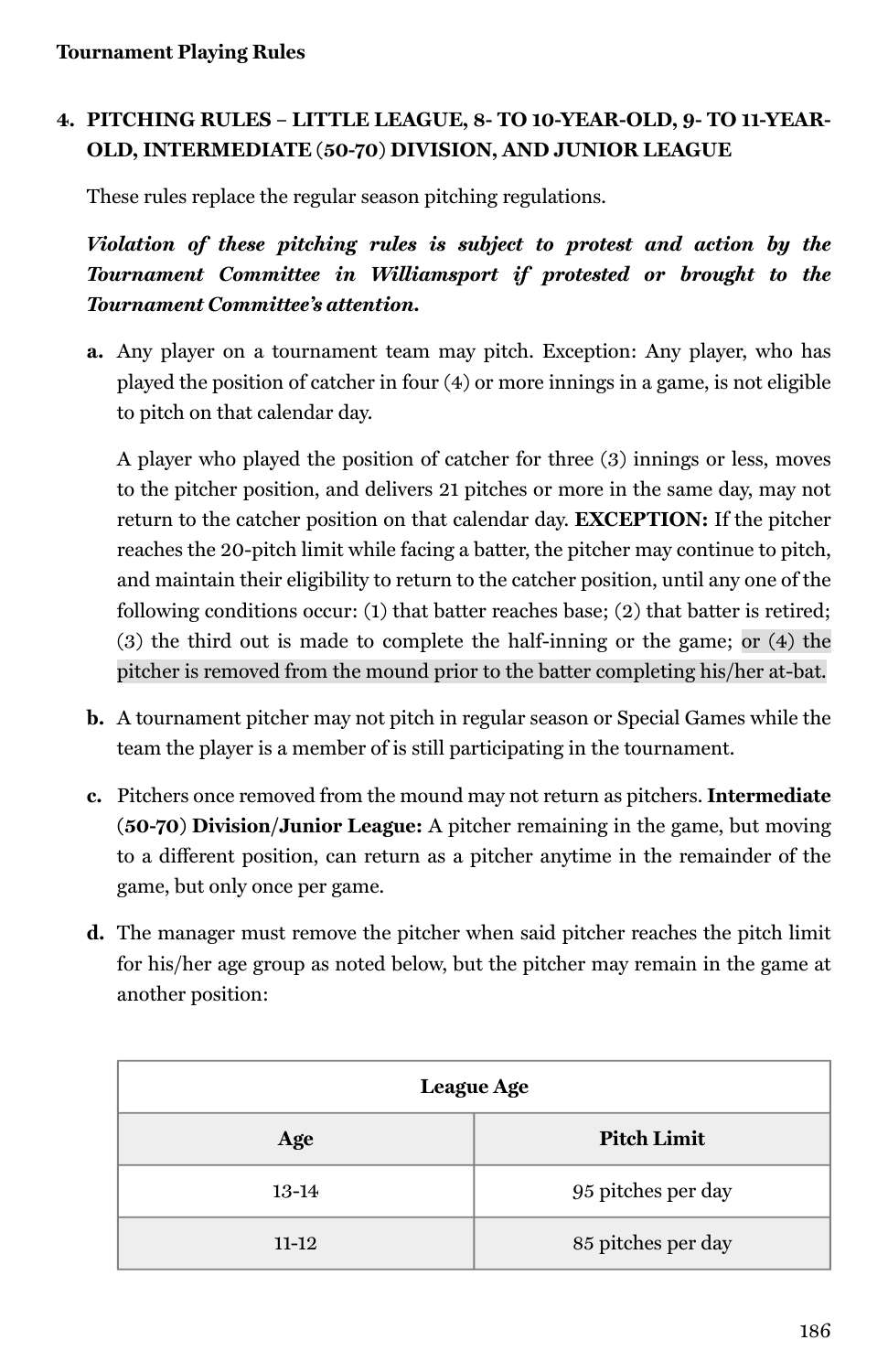## **PITCHING RULES – LITTLE LEAGUE, 8- TO 10-YEAR-OLD, 9- TO 11-YEAR-4. OLD, INTERMEDIATE (50-70) DIVISION, AND JUNIOR LEAGUE**

These rules replace the regular season pitching regulations.

*Violation of these pitching rules is subject to protest and action by the Tournament Committee in Williamsport if protested or brought to the Tournament Committee's attention.*

Any player on a tournament team may pitch. Exception: Any player, who has **a.** played the position of catcher in four (4) or more innings in a game, is not eligible to pitch on that calendar day.

A player who played the position of catcher for three (3) innings or less, moves to the pitcher position, and delivers 21 pitches or more in the same day, may not return to the catcher position on that calendar day. **EXCEPTION:** If the pitcher reaches the 20-pitch limit while facing a batter, the pitcher may continue to pitch, and maintain their eligibility to return to the catcher position, until any one of the following conditions occur: (1) that batter reaches base; (2) that batter is retired; (3) the third out is made to complete the half-inning or the game; or (4) the pitcher is removed from the mound prior to the batter completing his/her at-bat.

- A tournament pitcher may not pitch in regular season or Special Games while the **b.** team the player is a member of is still participating in the tournament.
- Pitchers once removed from the mound may not return as pitchers. **Intermediate c. (50-70) Division/Junior League:** A pitcher remaining in the game, but moving to a different position, can return as a pitcher anytime in the remainder of the game, but only once per game.
- The manager must remove the pitcher when said pitcher reaches the pitch limit **d.** for his/her age group as noted below, but the pitcher may remain in the game at another position:

| <b>League Age</b> |                    |  |
|-------------------|--------------------|--|
| Age               | <b>Pitch Limit</b> |  |
| $13 - 14$         | 95 pitches per day |  |
| $11 - 12$         | 85 pitches per day |  |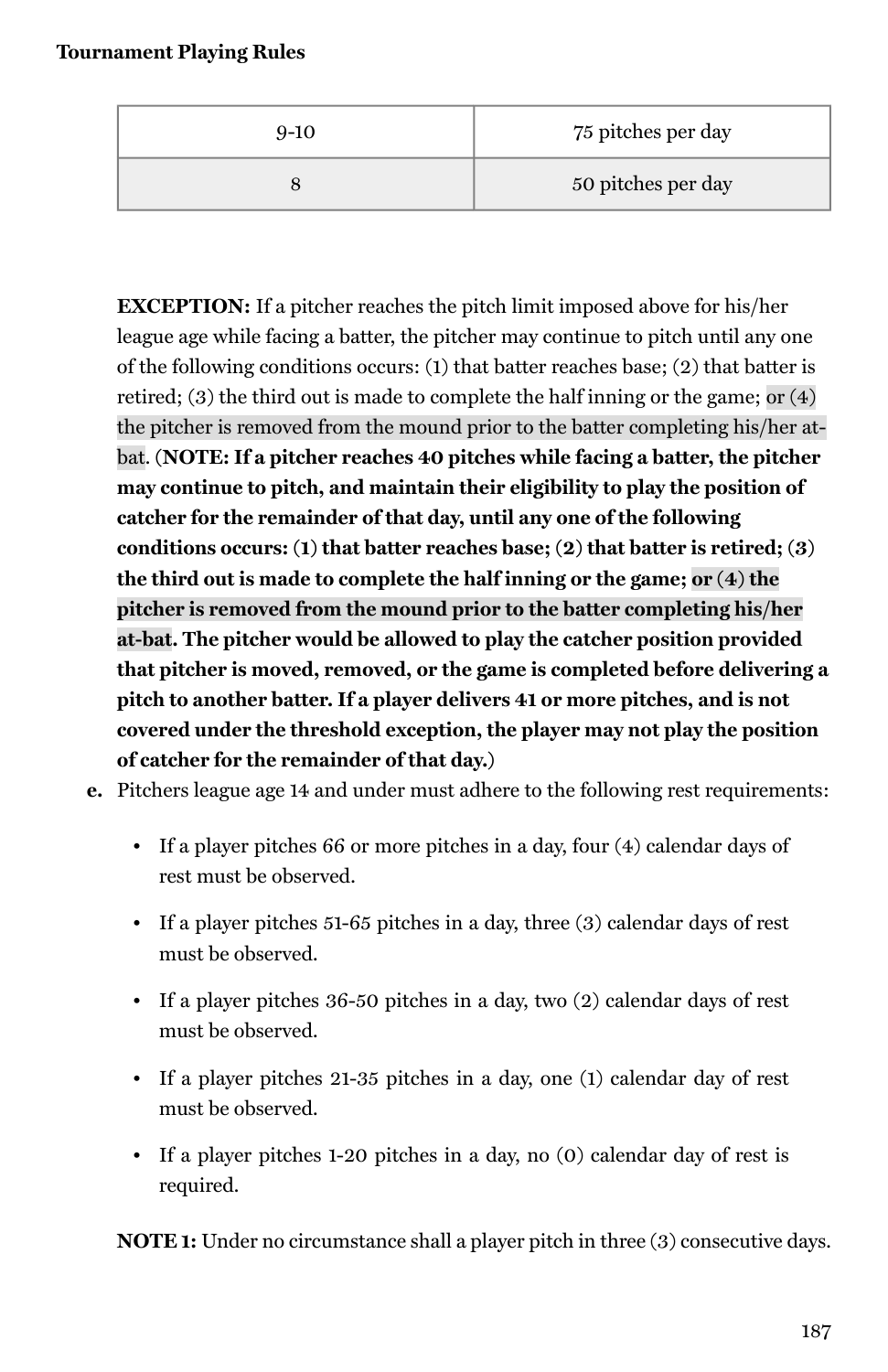#### **Tournament Playing Rules**

| $9-10$ | 75 pitches per day |
|--------|--------------------|
|        | 50 pitches per day |

**EXCEPTION:** If a pitcher reaches the pitch limit imposed above for his/her league age while facing a batter, the pitcher may continue to pitch until any one of the following conditions occurs: (1) that batter reaches base; (2) that batter is retired; (3) the third out is made to complete the half inning or the game; or (4) the pitcher is removed from the mound prior to the batter completing his/her atbat. **(NOTE: If a pitcher reaches 40 pitches while facing a batter, the pitcher may continue to pitch, and maintain their eligibility to play the position of catcher for the remainder of that day, until any one of the following conditions occurs: (1) that batter reaches base; (2) that batter is retired; (3) the third out is made to complete the half inning or the game; or (4) the pitcher is removed from the mound prior to the batter completing his/her at-bat. The pitcher would be allowed to play the catcher position provided that pitcher is moved, removed, or the game is completed before delivering a pitch to another batter. If a player delivers 41 or more pitches, and is not covered under the threshold exception, the player may not play the position of catcher for the remainder of that day.)**

- Pitchers league age 14 and under must adhere to the following rest requirements: **e.**
	- If a player pitches 66 or more pitches in a day, four (4) calendar days of rest must be observed.
	- If a player pitches 51-65 pitches in a day, three (3) calendar days of rest must be observed.
	- If a player pitches 36-50 pitches in a day, two (2) calendar days of rest must be observed.
	- If a player pitches 21-35 pitches in a day, one (1) calendar day of rest must be observed.
	- If a player pitches 1-20 pitches in a day, no (0) calendar day of rest is required.

**NOTE 1:** Under no circumstance shall a player pitch in three (3) consecutive days.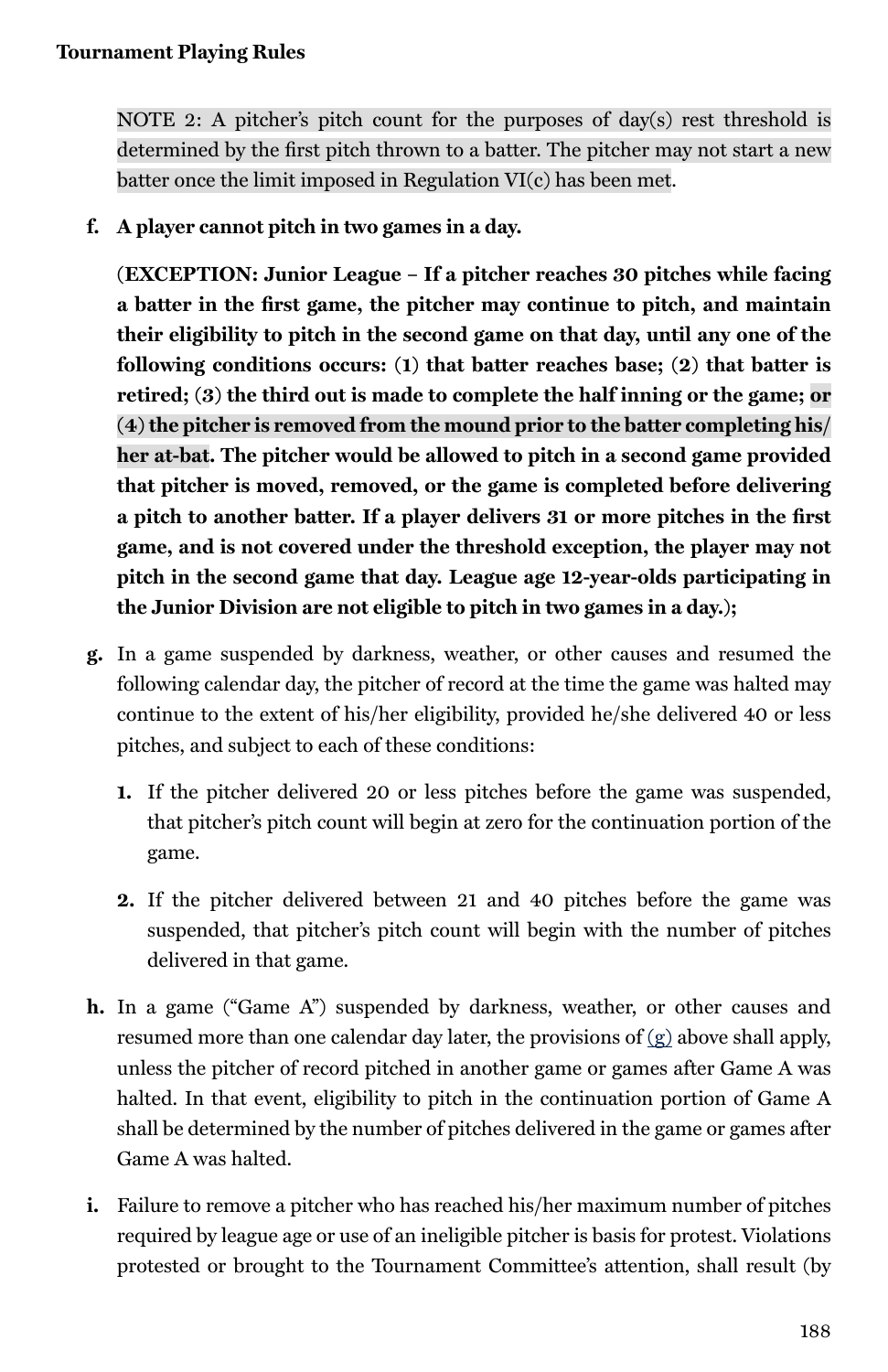NOTE 2: A pitcher's pitch count for the purposes of day(s) rest threshold is determined by the first pitch thrown to a batter. The pitcher may not start a new batter once the limit imposed in Regulation VI(c) has been met.

**A player cannot pitch in two games in a day. f.**

**(EXCEPTION: Junior League – If a pitcher reaches 30 pitches while facing a batter in the first game, the pitcher may continue to pitch, and maintain their eligibility to pitch in the second game on that day, until any one of the following conditions occurs: (1) that batter reaches base; (2) that batter is retired; (3) the third out is made to complete the half inning or the game; or (4) the pitcher is removed from the mound prior to the batter completing his/ her at-bat. The pitcher would be allowed to pitch in a second game provided that pitcher is moved, removed, or the game is completed before delivering a pitch to another batter. If a player delivers 31 or more pitches in the first game, and is not covered under the threshold exception, the player may not pitch in the second game that day. League age 12-year-olds participating in the Junior Division are not eligible to pitch in two games in a day.);**

- In a game suspended by darkness, weather, or other causes and resumed the **g.** following calendar day, the pitcher of record at the time the game was halted may continue to the extent of his/her eligibility, provided he/she delivered 40 or less pitches, and subject to each of these conditions:
	- If the pitcher delivered 20 or less pitches before the game was suspended, **1.** that pitcher's pitch count will begin at zero for the continuation portion of the game.
	- If the pitcher delivered between 21 and 40 pitches before the game was **2.** suspended, that pitcher's pitch count will begin with the number of pitches delivered in that game.
- In a game ("Game A") suspended by darkness, weather, or other causes and **h.** resumed more than one calendar day later, the provisions of  $(g)$  above shall apply, unless the pitcher of record pitched in another game or games after Game A was halted. In that event, eligibility to pitch in the continuation portion of Game A shall be determined by the number of pitches delivered in the game or games after Game A was halted.
- Failure to remove a pitcher who has reached his/her maximum number of pitches **i.** required by league age or use of an ineligible pitcher is basis for protest. Violations protested or brought to the Tournament Committee's attention, shall result (by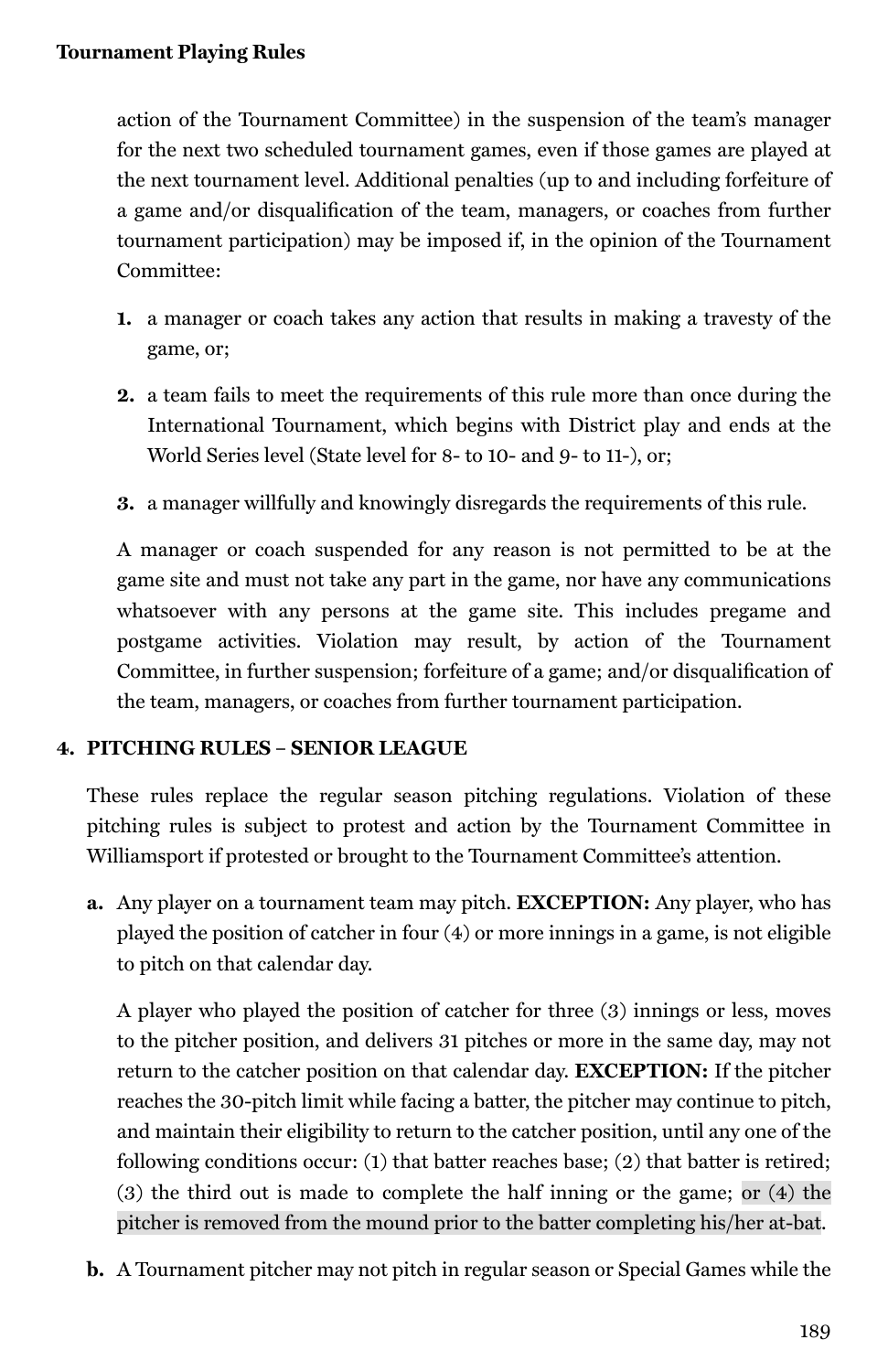action of the Tournament Committee) in the suspension of the team's manager for the next two scheduled tournament games, even if those games are played at the next tournament level. Additional penalties (up to and including forfeiture of a game and/or disqualification of the team, managers, or coaches from further tournament participation) may be imposed if, in the opinion of the Tournament Committee:

- a manager or coach takes any action that results in making a travesty of the **1.** game, or;
- a team fails to meet the requirements of this rule more than once during the **2.** International Tournament, which begins with District play and ends at the World Series level (State level for 8- to 10- and 9- to 11-), or;
- **3.** a manager willfully and knowingly disregards the requirements of this rule.

A manager or coach suspended for any reason is not permitted to be at the game site and must not take any part in the game, nor have any communications whatsoever with any persons at the game site. This includes pregame and postgame activities. Violation may result, by action of the Tournament Committee, in further suspension; forfeiture of a game; and/or disqualification of the team, managers, or coaches from further tournament participation.

#### **PITCHING RULES – SENIOR LEAGUE 4.**

These rules replace the regular season pitching regulations. Violation of these pitching rules is subject to protest and action by the Tournament Committee in Williamsport if protested or brought to the Tournament Committee's attention.

Any player on a tournament team may pitch. **EXCEPTION:** Any player, who has **a.** played the position of catcher in four (4) or more innings in a game, is not eligible to pitch on that calendar day.

A player who played the position of catcher for three (3) innings or less, moves to the pitcher position, and delivers 31 pitches or more in the same day, may not return to the catcher position on that calendar day. **EXCEPTION:** If the pitcher reaches the 30-pitch limit while facing a batter, the pitcher may continue to pitch, and maintain their eligibility to return to the catcher position, until any one of the following conditions occur: (1) that batter reaches base; (2) that batter is retired; (3) the third out is made to complete the half inning or the game; or (4) the pitcher is removed from the mound prior to the batter completing his/her at-bat.

**b.** A Tournament pitcher may not pitch in regular season or Special Games while the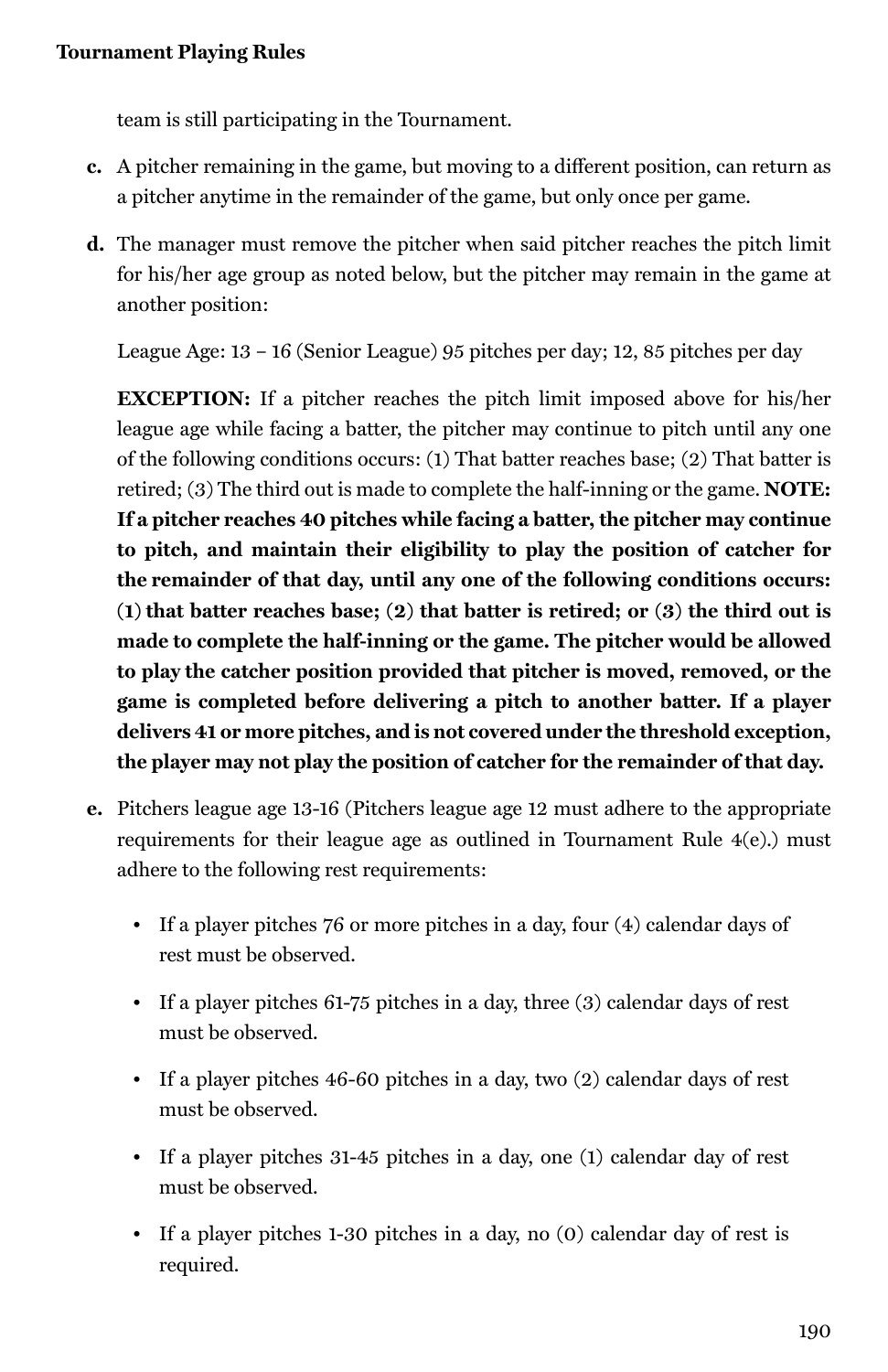team is still participating in the Tournament.

- A pitcher remaining in the game, but moving to a different position, can return as **c.** a pitcher anytime in the remainder of the game, but only once per game.
- The manager must remove the pitcher when said pitcher reaches the pitch limit **d.** for his/her age group as noted below, but the pitcher may remain in the game at another position:

League Age: 13 – 16 (Senior League) 95 pitches per day; 12, 85 pitches per day

**EXCEPTION:** If a pitcher reaches the pitch limit imposed above for his/her league age while facing a batter, the pitcher may continue to pitch until any one of the following conditions occurs: (1) That batter reaches base; (2) That batter is retired; (3) The third out is made to complete the half-inning or the game. **NOTE: If a pitcher reaches 40 pitches while facing a batter, the pitcher may continue to pitch, and maintain their eligibility to play the position of catcher for the remainder of that day, until any one of the following conditions occurs: (1) that batter reaches base; (2) that batter is retired; or (3) the third out is made to complete the half-inning or the game. The pitcher would be allowed to play the catcher position provided that pitcher is moved, removed, or the game is completed before delivering a pitch to another batter. If a player delivers 41 or more pitches, and is not covered under the threshold exception, the player may not play the position of catcher for the remainder of that day.**

- Pitchers league age 13-16 (Pitchers league age 12 must adhere to the appropriate **e.** requirements for their league age as outlined in Tournament Rule 4(e).) must adhere to the following rest requirements:
	- If a player pitches 76 or more pitches in a day, four (4) calendar days of rest must be observed.
	- If a player pitches 61-75 pitches in a day, three (3) calendar days of rest must be observed.
	- If a player pitches 46-60 pitches in a day, two (2) calendar days of rest must be observed.
	- If a player pitches 31-45 pitches in a day, one (1) calendar day of rest must be observed.
	- If a player pitches 1-30 pitches in a day, no (0) calendar day of rest is required.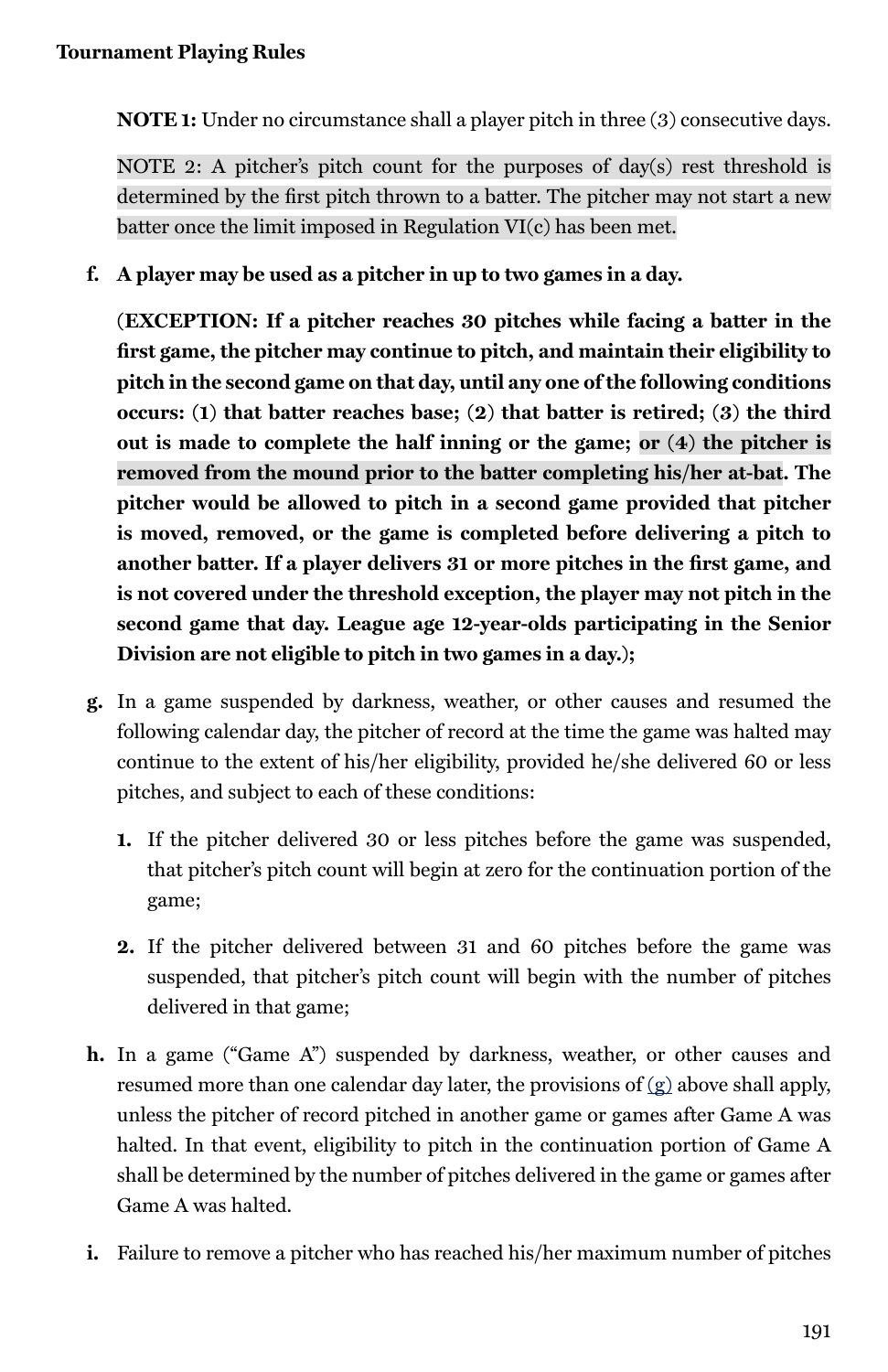**NOTE 1:** Under no circumstance shall a player pitch in three (3) consecutive days.

NOTE 2: A pitcher's pitch count for the purposes of day(s) rest threshold is determined by the first pitch thrown to a batter. The pitcher may not start a new batter once the limit imposed in Regulation VI(c) has been met.

**A player may be used as a pitcher in up to two games in a day. f.**

**(EXCEPTION: If a pitcher reaches 30 pitches while facing a batter in the first game, the pitcher may continue to pitch, and maintain their eligibility to pitch in the second game on that day, until any one of the following conditions occurs: (1) that batter reaches base; (2) that batter is retired; (3) the third out is made to complete the half inning or the game; or (4) the pitcher is removed from the mound prior to the batter completing his/her at-bat. The pitcher would be allowed to pitch in a second game provided that pitcher is moved, removed, or the game is completed before delivering a pitch to another batter. If a player delivers 31 or more pitches in the first game, and is not covered under the threshold exception, the player may not pitch in the second game that day. League age 12-year-olds participating in the Senior Division are not eligible to pitch in two games in a day.);**

- In a game suspended by darkness, weather, or other causes and resumed the **g.** following calendar day, the pitcher of record at the time the game was halted may continue to the extent of his/her eligibility, provided he/she delivered 60 or less pitches, and subject to each of these conditions:
	- If the pitcher delivered 30 or less pitches before the game was suspended, **1.** that pitcher's pitch count will begin at zero for the continuation portion of the game;
	- If the pitcher delivered between 31 and 60 pitches before the game was **2.** suspended, that pitcher's pitch count will begin with the number of pitches delivered in that game;
- In a game ("Game A") suspended by darkness, weather, or other causes and **h.** resumed more than one calendar day later, the provisions of [\(g\)](/rulebook/3/99/rule--4.-g.) above shall apply, unless the pitcher of record pitched in another game or games after Game A was halted. In that event, eligibility to pitch in the continuation portion of Game A shall be determined by the number of pitches delivered in the game or games after Game A was halted.
- **i.** Failure to remove a pitcher who has reached his/her maximum number of pitches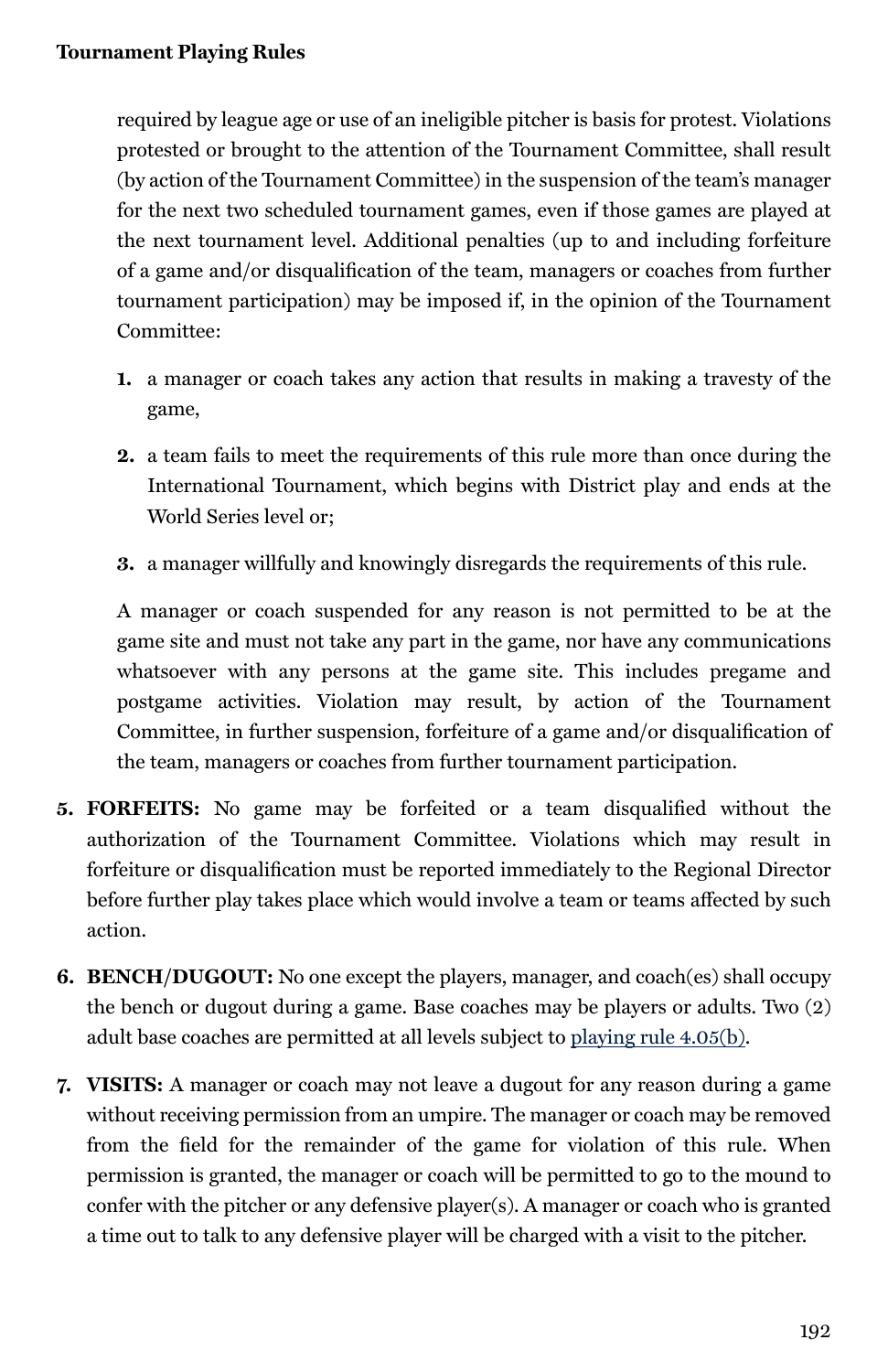required by league age or use of an ineligible pitcher is basis for protest. Violations protested or brought to the attention of the Tournament Committee, shall result (by action of the Tournament Committee) in the suspension of the team's manager for the next two scheduled tournament games, even if those games are played at the next tournament level. Additional penalties (up to and including forfeiture of a game and/or disqualification of the team, managers or coaches from further tournament participation) may be imposed if, in the opinion of the Tournament Committee:

- a manager or coach takes any action that results in making a travesty of the **1.** game,
- a team fails to meet the requirements of this rule more than once during the **2.** International Tournament, which begins with District play and ends at the World Series level or;
- **3.** a manager willfully and knowingly disregards the requirements of this rule.

A manager or coach suspended for any reason is not permitted to be at the game site and must not take any part in the game, nor have any communications whatsoever with any persons at the game site. This includes pregame and postgame activities. Violation may result, by action of the Tournament Committee, in further suspension, forfeiture of a game and/or disqualification of the team, managers or coaches from further tournament participation.

- **FORFEITS:** No game may be forfeited or a team disqualified without the **5.** authorization of the Tournament Committee. Violations which may result in forfeiture or disqualification must be reported immediately to the Regional Director before further play takes place which would involve a team or teams affected by such action.
- **BENCH/DUGOUT:** No one except the players, manager, and coach(es) shall occupy **6.** the bench or dugout during a game. Base coaches may be players or adults. Two (2) adult base coaches are permitted at all levels subject to [playing rule 4.05\(b\)](/rulebook/3/28/rule-4.-05-(b)).
- **VISITS:** A manager or coach may not leave a dugout for any reason during a game **7.** without receiving permission from an umpire. The manager or coach may be removed from the field for the remainder of the game for violation of this rule. When permission is granted, the manager or coach will be permitted to go to the mound to confer with the pitcher or any defensive player(s). A manager or coach who is granted a time out to talk to any defensive player will be charged with a visit to the pitcher.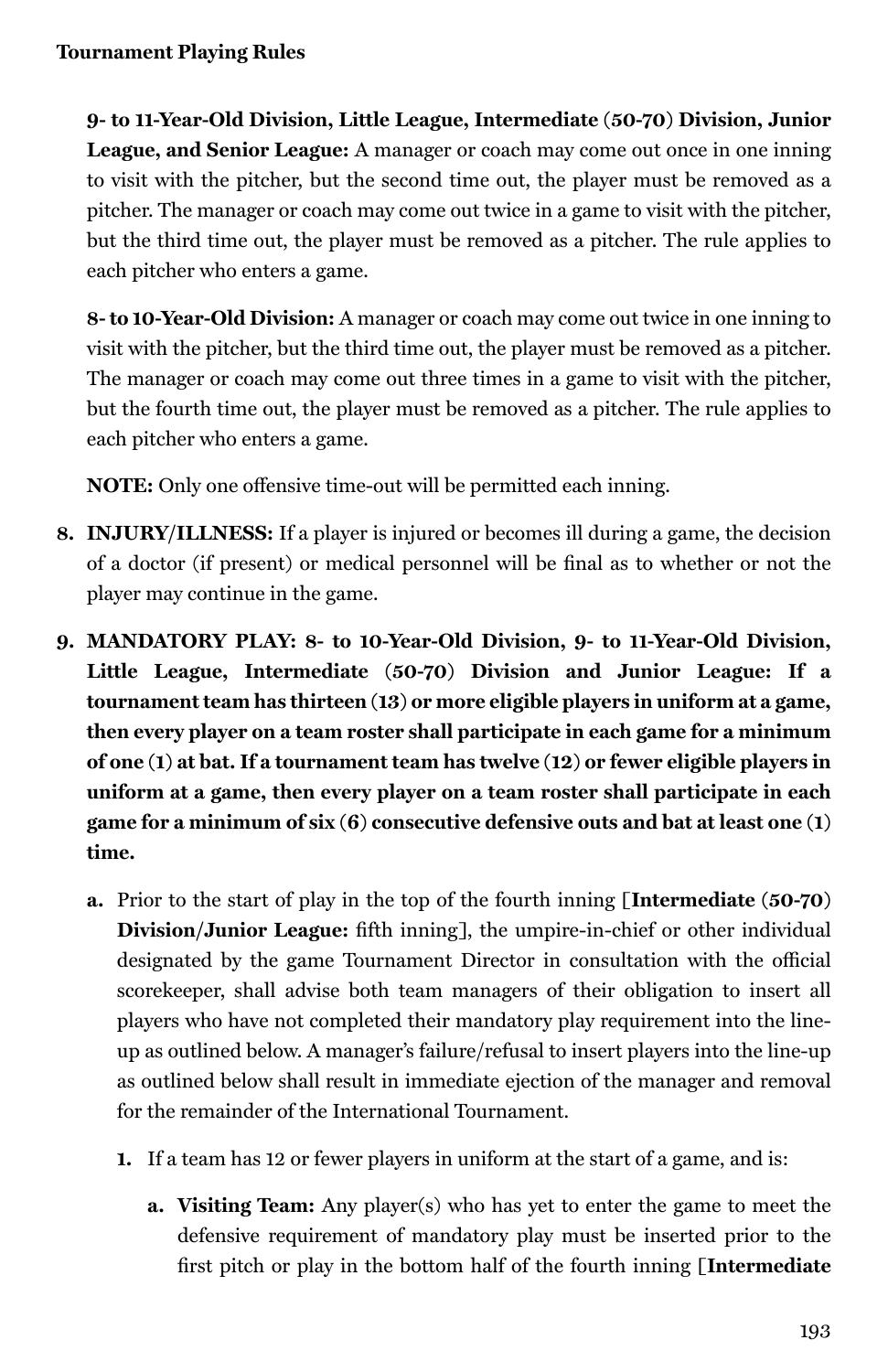**9- to 11-Year-Old Division, Little League, Intermediate (50-70) Division, Junior League, and Senior League:** A manager or coach may come out once in one inning to visit with the pitcher, but the second time out, the player must be removed as a pitcher. The manager or coach may come out twice in a game to visit with the pitcher, but the third time out, the player must be removed as a pitcher. The rule applies to each pitcher who enters a game.

**8- to 10-Year-Old Division:** A manager or coach may come out twice in one inning to visit with the pitcher, but the third time out, the player must be removed as a pitcher. The manager or coach may come out three times in a game to visit with the pitcher, but the fourth time out, the player must be removed as a pitcher. The rule applies to each pitcher who enters a game.

**NOTE:** Only one offensive time-out will be permitted each inning.

- **INJURY/ILLNESS:** If a player is injured or becomes ill during a game, the decision **8.** of a doctor (if present) or medical personnel will be final as to whether or not the player may continue in the game.
- **MANDATORY PLAY: 8- to 10-Year-Old Division, 9- to 11-Year-Old Division, 9. Little League, Intermediate (50-70) Division and Junior League: If a tournament team has thirteen (13) or more eligible players in uniform at a game, then every player on a team roster shall participate in each game for a minimum of one (1) at bat. If a tournament team has twelve (12) or fewer eligible players in uniform at a game, then every player on a team roster shall participate in each game for a minimum of six (6) consecutive defensive outs and bat at least one (1) time.**
	- **a.** Prior to the start of play in the top of the fourth inning [Intermediate (50-70) **Division/Junior League:** fifth inning], the umpire-in-chief or other individual designated by the game Tournament Director in consultation with the official scorekeeper, shall advise both team managers of their obligation to insert all players who have not completed their mandatory play requirement into the lineup as outlined below. A manager's failure/refusal to insert players into the line-up as outlined below shall result in immediate ejection of the manager and removal for the remainder of the International Tournament.
		- If a team has 12 or fewer players in uniform at the start of a game, and is: **1.**
			- **Visiting Team:** Any player(s) who has yet to enter the game to meet the **a.** defensive requirement of mandatory play must be inserted prior to the first pitch or play in the bottom half of the fourth inning [**Intermediate**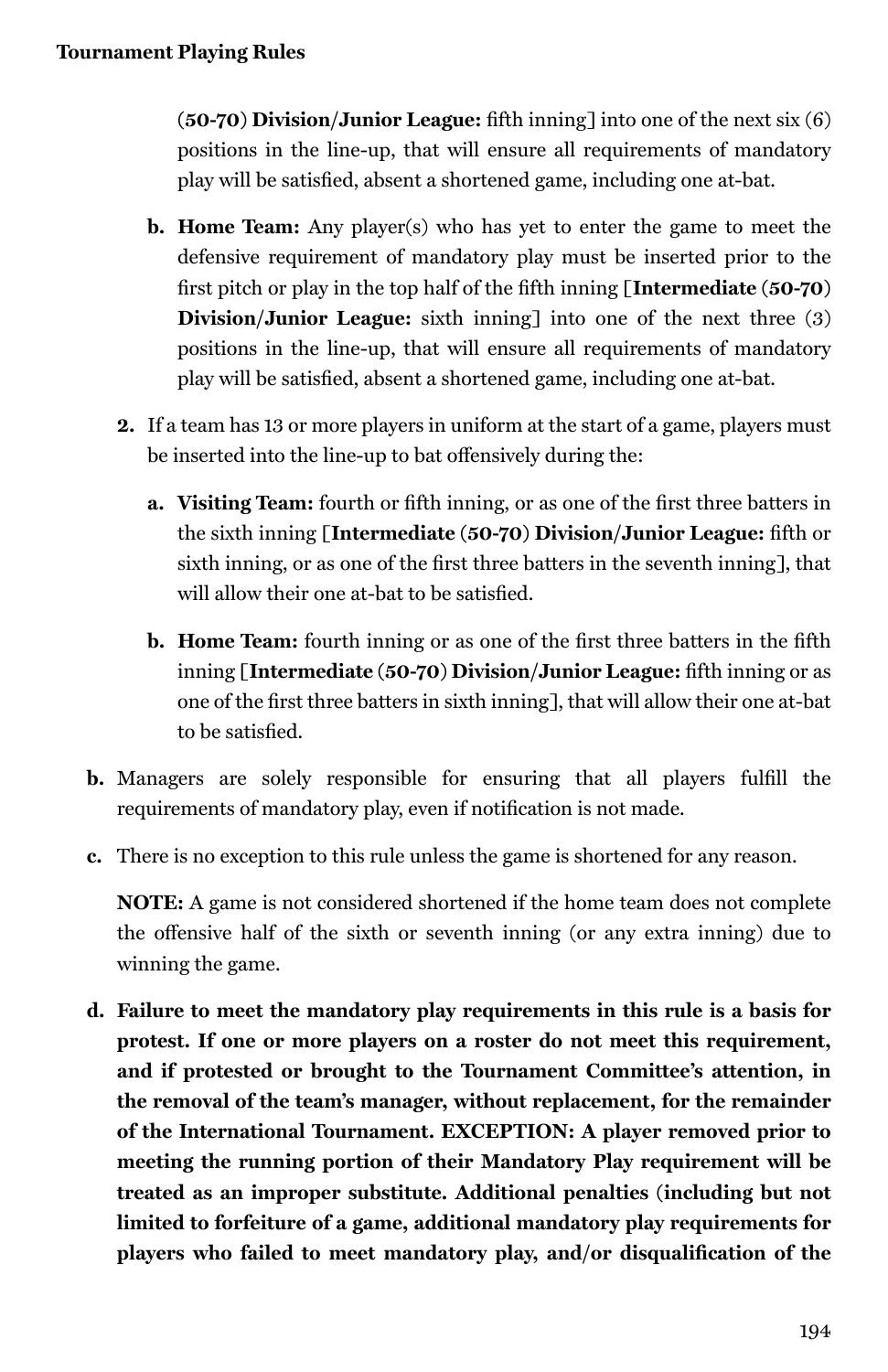**(50-70) Division/Junior League:** fifth inning] into one of the next six (6) positions in the line-up, that will ensure all requirements of mandatory play will be satisfied, absent a shortened game, including one at-bat.

- **Home Team:** Any player(s) who has yet to enter the game to meet the **b.** defensive requirement of mandatory play must be inserted prior to the first pitch or play in the top half of the fifth inning [**Intermediate (50-70) Division/Junior League:** sixth inning] into one of the next three (3) positions in the line-up, that will ensure all requirements of mandatory play will be satisfied, absent a shortened game, including one at-bat.
- If a team has 13 or more players in uniform at the start of a game, players must **2.** be inserted into the line-up to bat offensively during the:
	- **Visiting Team:** fourth or fifth inning, or as one of the first three batters in **a.** the sixth inning [**Intermediate (50-70) Division/Junior League:** fifth or sixth inning, or as one of the first three batters in the seventh inning], that will allow their one at-bat to be satisfied.
	- **Home Team:** fourth inning or as one of the first three batters in the fifth **b.** inning [**Intermediate (50-70) Division/Junior League:** fifth inning or as one of the first three batters in sixth inning], that will allow their one at-bat to be satisfied.
- **b.** Managers are solely responsible for ensuring that all players fulfill the requirements of mandatory play, even if notification is not made.
- There is no exception to this rule unless the game is shortened for any reason. **c.**

**NOTE:** A game is not considered shortened if the home team does not complete the offensive half of the sixth or seventh inning (or any extra inning) due to winning the game.

**Failure to meet the mandatory play requirements in this rule is a basis for d. protest. If one or more players on a roster do not meet this requirement, and if protested or brought to the Tournament Committee's attention, in the removal of the team's manager, without replacement, for the remainder of the International Tournament. EXCEPTION: A player removed prior to meeting the running portion of their Mandatory Play requirement will be treated as an improper substitute. Additional penalties (including but not limited to forfeiture of a game, additional mandatory play requirements for players who failed to meet mandatory play, and/or disqualification of the**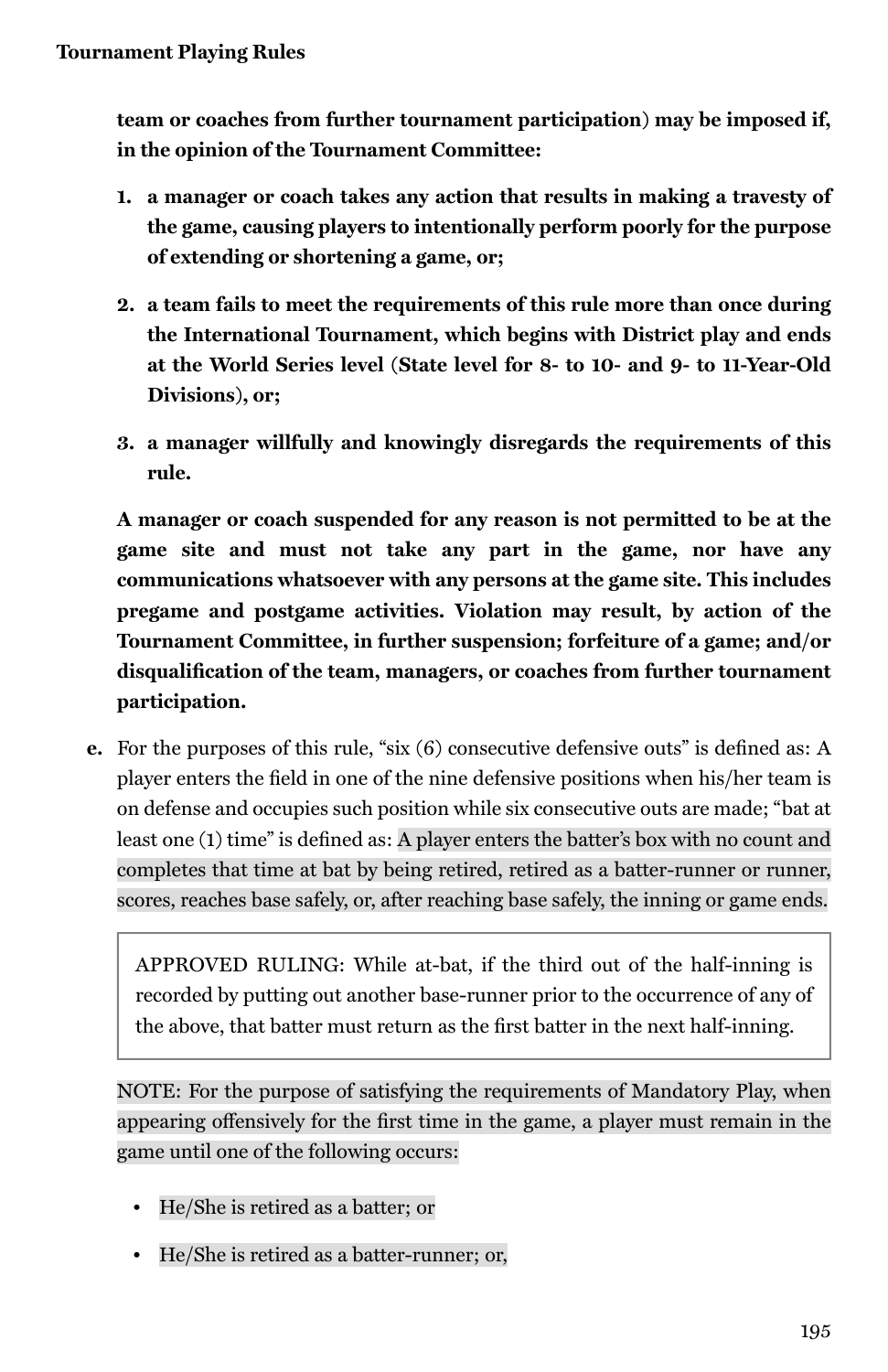**team or coaches from further tournament participation) may be imposed if, in the opinion of the Tournament Committee:**

- **a manager or coach takes any action that results in making a travesty of 1. the game, causing players to intentionally perform poorly for the purpose of extending or shortening a game, or;**
- **a team fails to meet the requirements of this rule more than once during 2. the International Tournament, which begins with District play and ends at the World Series level (State level for 8- to 10- and 9- to 11-Year-Old Divisions), or;**
- **a manager willfully and knowingly disregards the requirements of this 3. rule.**

**A manager or coach suspended for any reason is not permitted to be at the game site and must not take any part in the game, nor have any communications whatsoever with any persons at the game site. This includes pregame and postgame activities. Violation may result, by action of the Tournament Committee, in further suspension; forfeiture of a game; and/or disqualification of the team, managers, or coaches from further tournament participation.**

For the purposes of this rule, "six (6) consecutive defensive outs" is defined as: A **e.** player enters the field in one of the nine defensive positions when his/her team is on defense and occupies such position while six consecutive outs are made; "bat at least one (1) time" is defined as: A player enters the batter's box with no count and completes that time at bat by being retired, retired as a batter-runner or runner, scores, reaches base safely, or, after reaching base safely, the inning or game ends.

APPROVED RULING: While at-bat, if the third out of the half-inning is recorded by putting out another base-runner prior to the occurrence of any of the above, that batter must return as the first batter in the next half-inning.

NOTE: For the purpose of satisfying the requirements of Mandatory Play, when appearing offensively for the first time in the game, a player must remain in the game until one of the following occurs:

- He/She is retired as a batter; or
- He/She is retired as a batter-runner; or,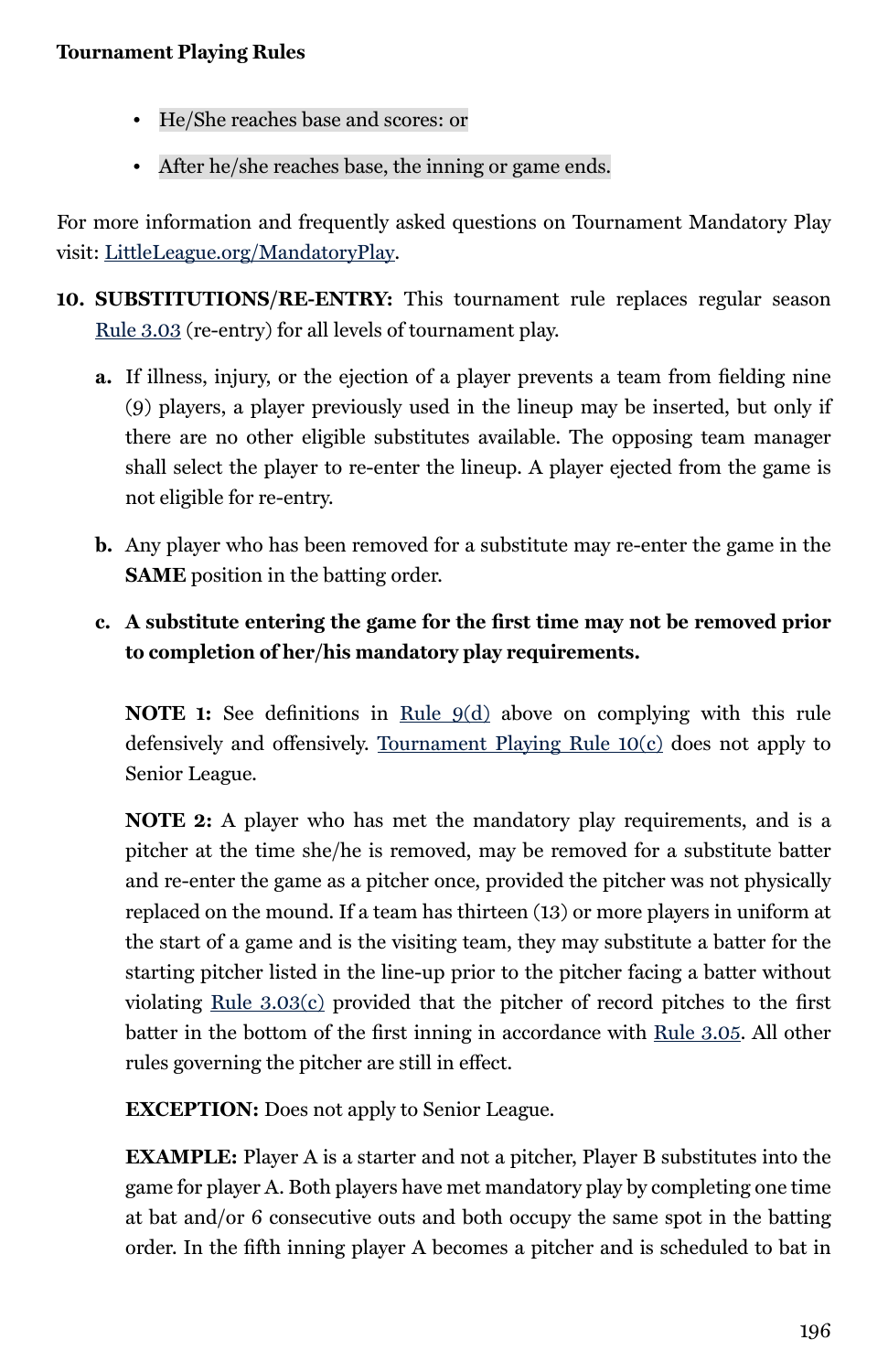#### **Tournament Playing Rules**

- He/She reaches base and scores: or
- After he/she reaches base, the inning or game ends.

For more information and frequently asked questions on Tournament Mandatory Play visit: [LittleLeague.org/MandatoryPlay](https://www.littleleague.org/university/articles/mandatory-play-little-league-international-tournament-rule-9/).

- **SUBSTITUTIONS/RE-ENTRY:** This tournament rule replaces regular season **10.** [Rule 3.03](/rulebook/3/25/rule-3.-03) (re-entry) for all levels of tournament play.
	- **a.** If illness, injury, or the ejection of a player prevents a team from fielding nine (9) players, a player previously used in the lineup may be inserted, but only if there are no other eligible substitutes available. The opposing team manager shall select the player to re-enter the lineup. A player ejected from the game is not eligible for re-entry.
	- **b.** Any player who has been removed for a substitute may re-enter the game in the **SAME** position in the batting order.
	- **A substitute entering the game for the first time may not be removed prior c. to completion of her/his mandatory play requirements.**

**NOTE 1:** See definitions in [Rule 9\(d\)](/rulebook/3/99/rule--9.-d.) above on complying with this rule defensively and offensively. [Tournament Playing Rule 10\(c\)](/rulebook/3/99/rule--10.-c.) does not apply to Senior League.

**NOTE 2:** A player who has met the mandatory play requirements, and is a pitcher at the time she/he is removed, may be removed for a substitute batter and re-enter the game as a pitcher once, provided the pitcher was not physically replaced on the mound. If a team has thirteen (13) or more players in uniform at the start of a game and is the visiting team, they may substitute a batter for the starting pitcher listed in the line-up prior to the pitcher facing a batter without violating [Rule 3.03\(c\)](/rulebook/3/25/rule-3.-03-(c)) provided that the pitcher of record pitches to the first batter in the bottom of the first inning in accordance with [Rule 3.05](/rulebook/3/25/rule-3.-05). All other rules governing the pitcher are still in effect.

**EXCEPTION:** Does not apply to Senior League.

**EXAMPLE:** Player A is a starter and not a pitcher, Player B substitutes into the game for player A. Both players have met mandatory play by completing one time at bat and/or 6 consecutive outs and both occupy the same spot in the batting order. In the fifth inning player A becomes a pitcher and is scheduled to bat in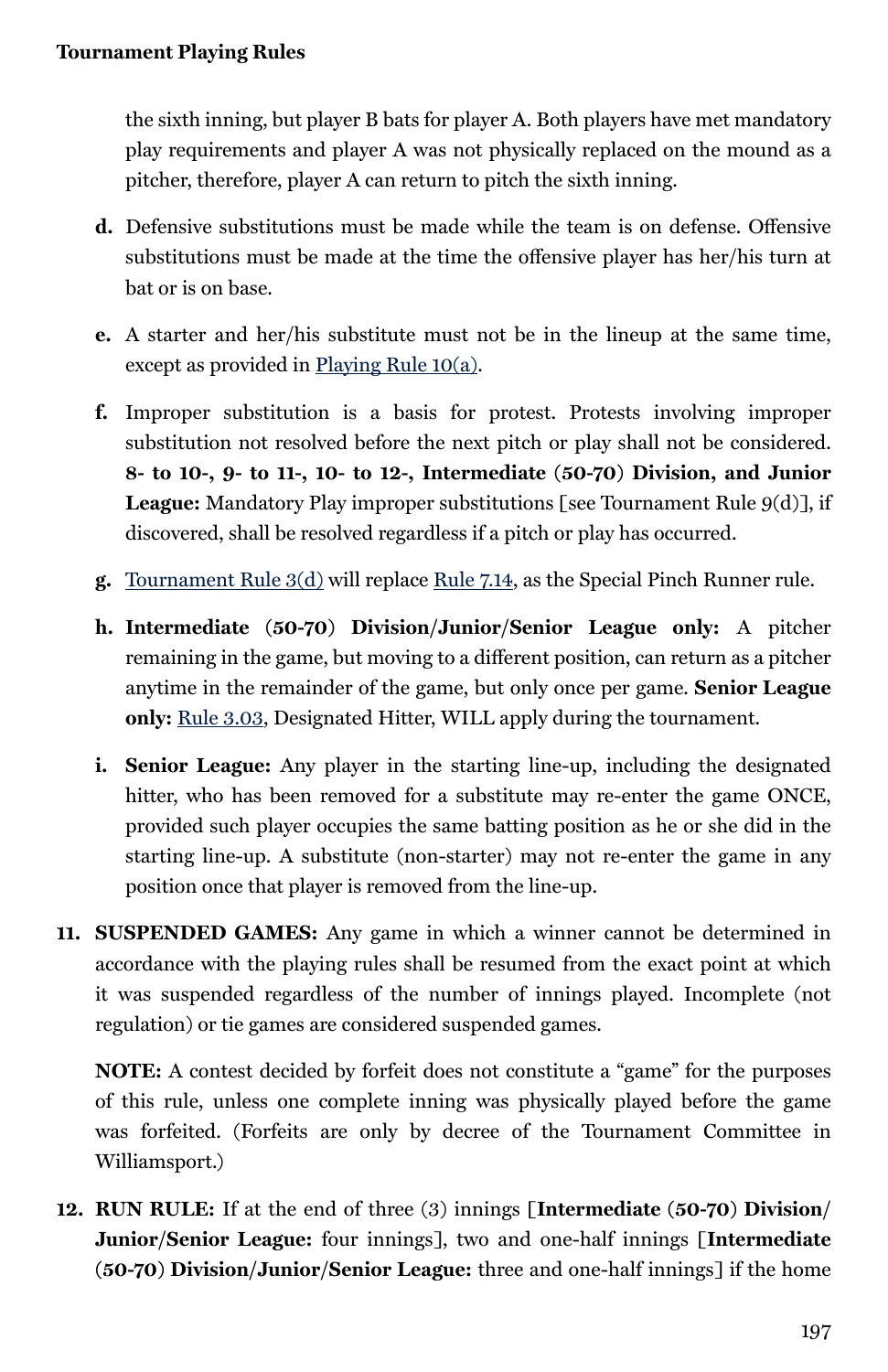the sixth inning, but player B bats for player A. Both players have met mandatory play requirements and player A was not physically replaced on the mound as a pitcher, therefore, player A can return to pitch the sixth inning.

- Defensive substitutions must be made while the team is on defense. Offensive **d.** substitutions must be made at the time the offensive player has her/his turn at bat or is on base.
- A starter and her/his substitute must not be in the lineup at the same time, **e.** except as provided in [Playing Rule 10\(a\)](/rulebook/3/99/rule--10.-a.).
- Improper substitution is a basis for protest. Protests involving improper **f.** substitution not resolved before the next pitch or play shall not be considered. **8- to 10-, 9- to 11-, 10- to 12-, Intermediate (50-70) Division, and Junior League:** Mandatory Play improper substitutions [see Tournament Rule 9(d)], if discovered, shall be resolved regardless if a pitch or play has occurred.
- **g.** [Tournament Rule 3\(d\)](/rulebook/3/99/rule--3.-d.) will replace [Rule 7.14,](/rulebook/3/31/rule-7.-14) as the Special Pinch Runner rule.
- **Intermediate (50-70) Division/Junior/Senior League only:** A pitcher **h.** remaining in the game, but moving to a different position, can return as a pitcher anytime in the remainder of the game, but only once per game. **Senior League only:** [Rule 3.03,](/rulebook/3/25/rule-3.-03) Designated Hitter, WILL apply during the tournament.
- **Senior League:** Any player in the starting line-up, including the designated **i.** hitter, who has been removed for a substitute may re-enter the game ONCE, provided such player occupies the same batting position as he or she did in the starting line-up. A substitute (non-starter) may not re-enter the game in any position once that player is removed from the line-up.
- **SUSPENDED GAMES:** Any game in which a winner cannot be determined in **11.** accordance with the playing rules shall be resumed from the exact point at which it was suspended regardless of the number of innings played. Incomplete (not regulation) or tie games are considered suspended games.

**NOTE:** A contest decided by forfeit does not constitute a "game" for the purposes of this rule, unless one complete inning was physically played before the game was forfeited. (Forfeits are only by decree of the Tournament Committee in Williamsport.)

**RUN RULE:** If at the end of three (3) innings [**Intermediate (50-70) Division/ 12. Junior/Senior League:** four innings], two and one-half innings [**Intermediate (50-70) Division/Junior/Senior League:** three and one-half innings] if the home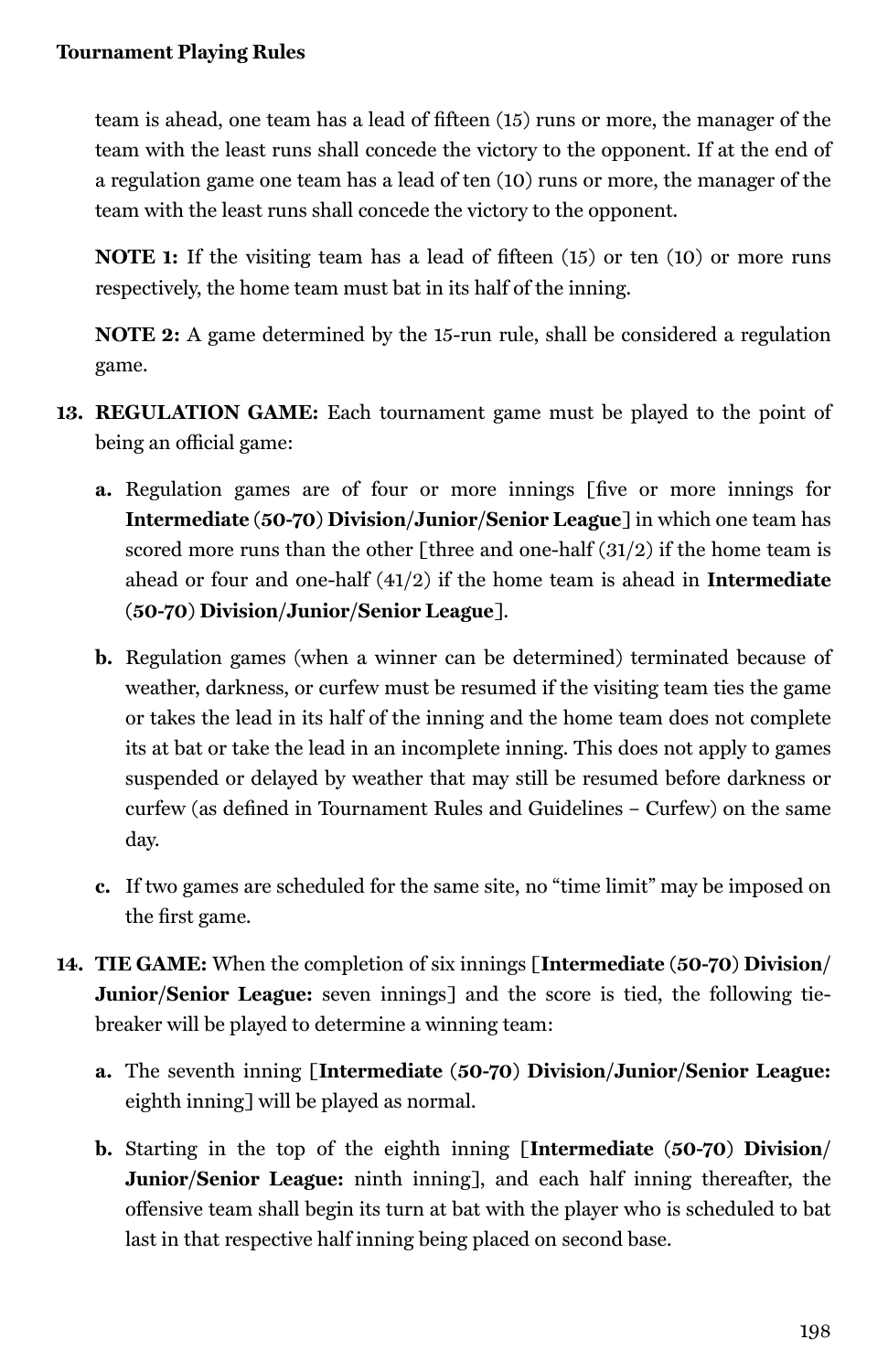team is ahead, one team has a lead of fifteen (15) runs or more, the manager of the team with the least runs shall concede the victory to the opponent. If at the end of a regulation game one team has a lead of ten (10) runs or more, the manager of the team with the least runs shall concede the victory to the opponent.

**NOTE 1:** If the visiting team has a lead of fifteen (15) or ten (10) or more runs respectively, the home team must bat in its half of the inning.

**NOTE 2:** A game determined by the 15-run rule, shall be considered a regulation game.

- **REGULATION GAME:** Each tournament game must be played to the point of **13.** being an official game:
	- **a.** Regulation games are of four or more innings [five or more innings for **Intermediate (50-70) Division/Junior/Senior League**] in which one team has scored more runs than the other [three and one-half  $(31/2)$  if the home team is ahead or four and one-half (41/2) if the home team is ahead in **Intermediate (50-70) Division/Junior/Senior League**].
	- **b.** Regulation games (when a winner can be determined) terminated because of weather, darkness, or curfew must be resumed if the visiting team ties the game or takes the lead in its half of the inning and the home team does not complete its at bat or take the lead in an incomplete inning. This does not apply to games suspended or delayed by weather that may still be resumed before darkness or curfew (as defined in Tournament Rules and Guidelines – Curfew) on the same day.
	- If two games are scheduled for the same site, no "time limit" may be imposed on **c.** the first game.
- **TIE GAME:** When the completion of six innings [**Intermediate (50-70) Division/ 14. Junior/Senior League:** seven innings] and the score is tied, the following tiebreaker will be played to determine a winning team:
	- The seventh inning [**Intermediate (50-70) Division/Junior/Senior League: a.** eighth inning] will be played as normal.
	- **b.** Starting in the top of the eighth inning [Intermediate (50-70) Division/ **Junior/Senior League:** ninth inning], and each half inning thereafter, the offensive team shall begin its turn at bat with the player who is scheduled to bat last in that respective half inning being placed on second base.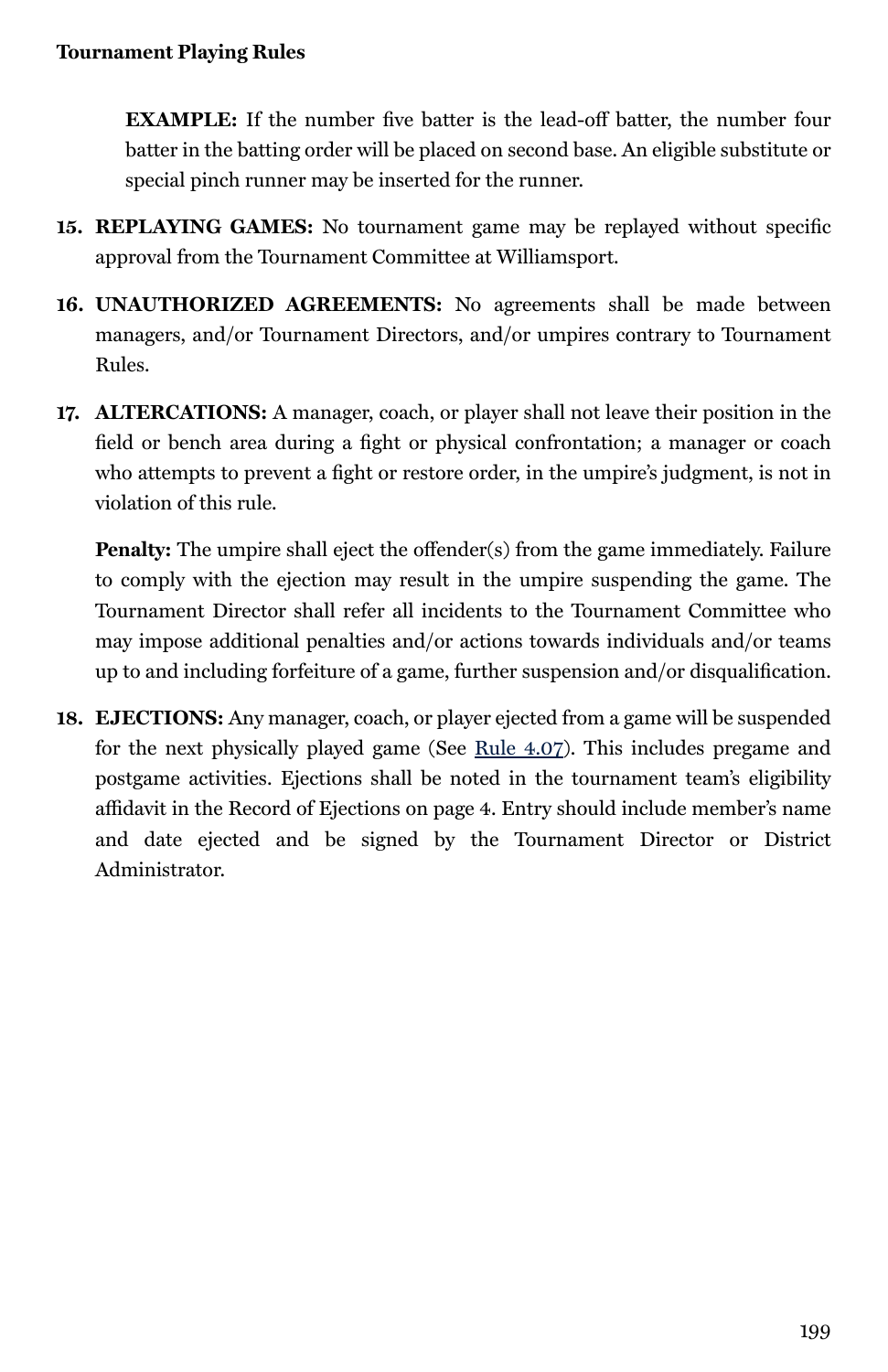**EXAMPLE:** If the number five batter is the lead-off batter, the number four batter in the batting order will be placed on second base. An eligible substitute or special pinch runner may be inserted for the runner.

- **REPLAYING GAMES:** No tournament game may be replayed without specific **15.** approval from the Tournament Committee at Williamsport.
- **UNAUTHORIZED AGREEMENTS:** No agreements shall be made between **16.** managers, and/or Tournament Directors, and/or umpires contrary to Tournament Rules.
- **ALTERCATIONS:** A manager, coach, or player shall not leave their position in the **17.** field or bench area during a fight or physical confrontation; a manager or coach who attempts to prevent a fight or restore order, in the umpire's judgment, is not in violation of this rule.

**Penalty:** The umpire shall eject the offender(s) from the game immediately. Failure to comply with the ejection may result in the umpire suspending the game. The Tournament Director shall refer all incidents to the Tournament Committee who may impose additional penalties and/or actions towards individuals and/or teams up to and including forfeiture of a game, further suspension and/or disqualification.

**EJECTIONS:** Any manager, coach, or player ejected from a game will be suspended **18.** for the next physically played game (See [Rule 4.07](/rulebook/3/28/rule-4.-07)). This includes pregame and postgame activities. Ejections shall be noted in the tournament team's eligibility affidavit in the Record of Ejections on page 4. Entry should include member's name and date ejected and be signed by the Tournament Director or District Administrator.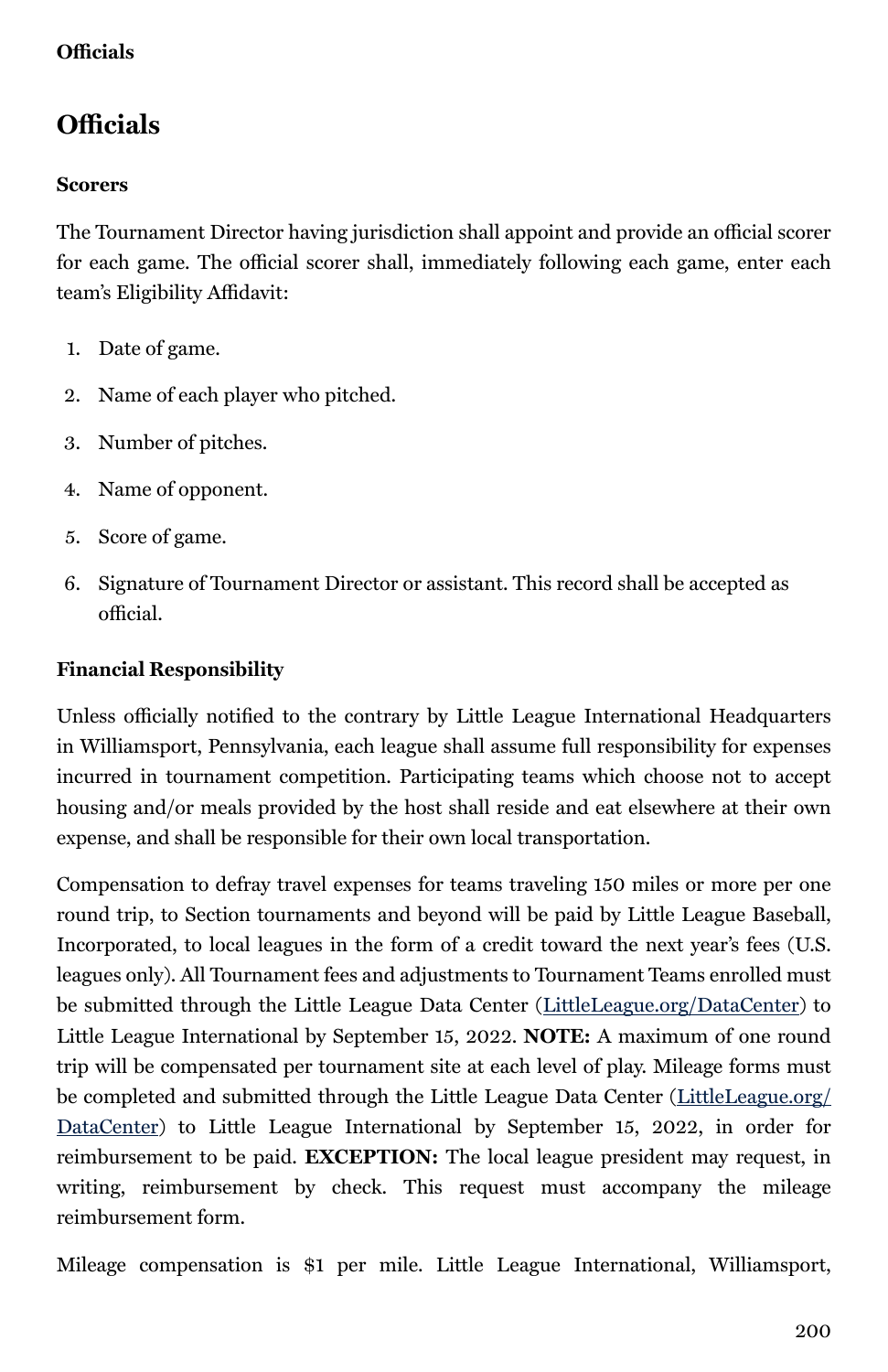#### **Officials**

# **Officials**

#### **Scorers**

The Tournament Director having jurisdiction shall appoint and provide an official scorer for each game. The official scorer shall, immediately following each game, enter each team's Eligibility Affidavit:

- 1. Date of game.
- 2. Name of each player who pitched.
- 3. Number of pitches.
- 4. Name of opponent.
- 5. Score of game.
- 6. Signature of Tournament Director or assistant. This record shall be accepted as official.

#### **Financial Responsibility**

Unless officially notified to the contrary by Little League International Headquarters in Williamsport, Pennsylvania, each league shall assume full responsibility for expenses incurred in tournament competition. Participating teams which choose not to accept housing and/or meals provided by the host shall reside and eat elsewhere at their own expense, and shall be responsible for their own local transportation.

Compensation to defray travel expenses for teams traveling 150 miles or more per one round trip, to Section tournaments and beyond will be paid by Little League Baseball, Incorporated, to local leagues in the form of a credit toward the next year's fees (U.S. leagues only). All Tournament fees and adjustments to Tournament Teams enrolled must be submitted through the Little League Data Center [\(LittleLeague.org/DataCenter\)](https://apps.littleleague.org/dc/account/login?utm_source=Rulebook%20App&utm_medium=Data%20Center&utm_campaign=Rulebook%20App) to Little League International by September 15, 2022. **NOTE:** A maximum of one round trip will be compensated per tournament site at each level of play. Mileage forms must be completed and submitted through the Little League Data Center ([LittleLeague.org/](https://apps.littleleague.org/dc/account/login?utm_source=Rulebook%20App&utm_medium=Data%20Center&utm_campaign=Rulebook%20App) [DataCenter\)](https://apps.littleleague.org/dc/account/login?utm_source=Rulebook%20App&utm_medium=Data%20Center&utm_campaign=Rulebook%20App) to Little League International by September 15, 2022, in order for reimbursement to be paid. **EXCEPTION:** The local league president may request, in writing, reimbursement by check. This request must accompany the mileage reimbursement form.

Mileage compensation is \$1 per mile. Little League International, Williamsport,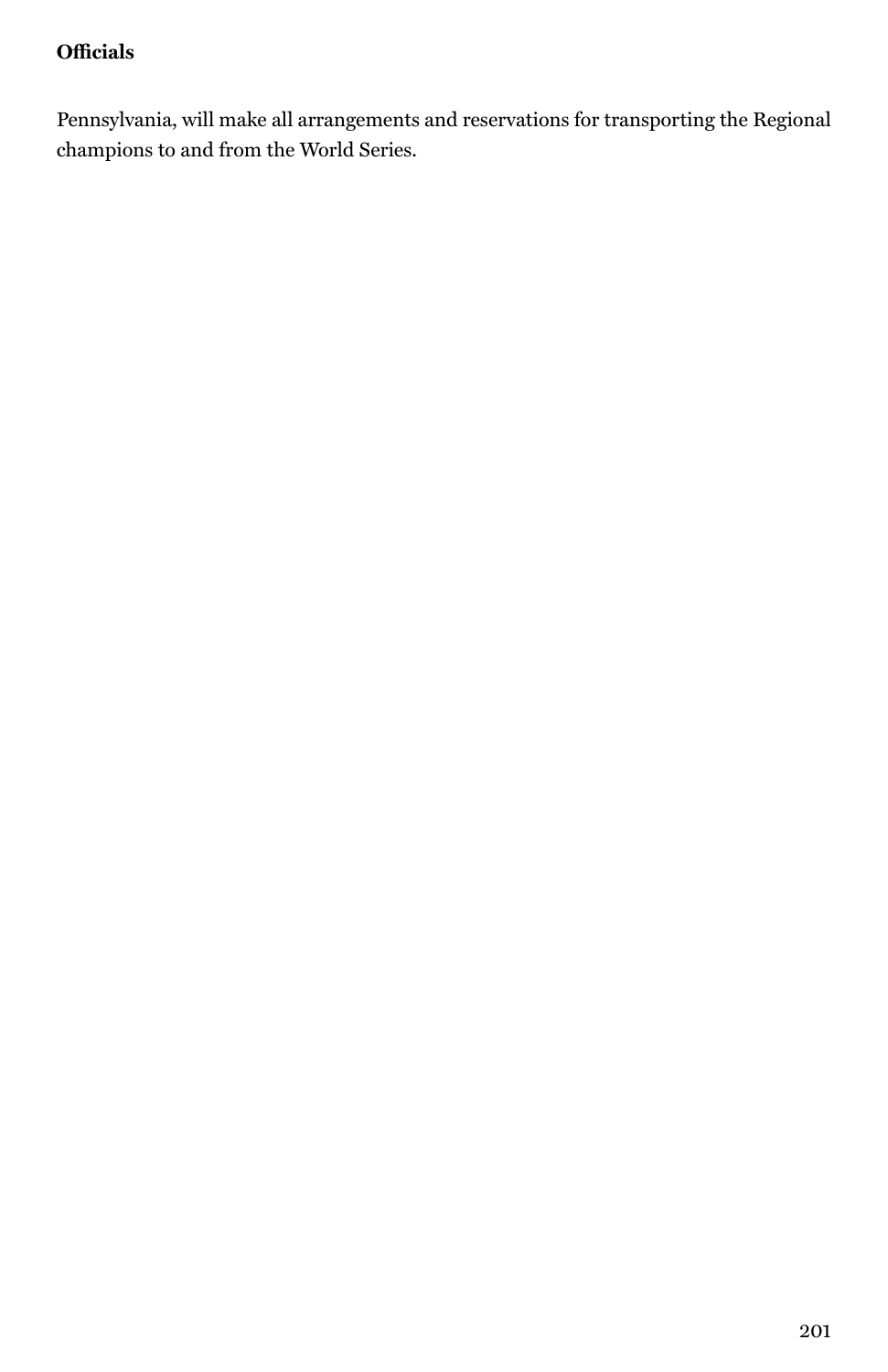## **Officials**

Pennsylvania, will make all arrangements and reservations for transporting the Regional champions to and from the World Series.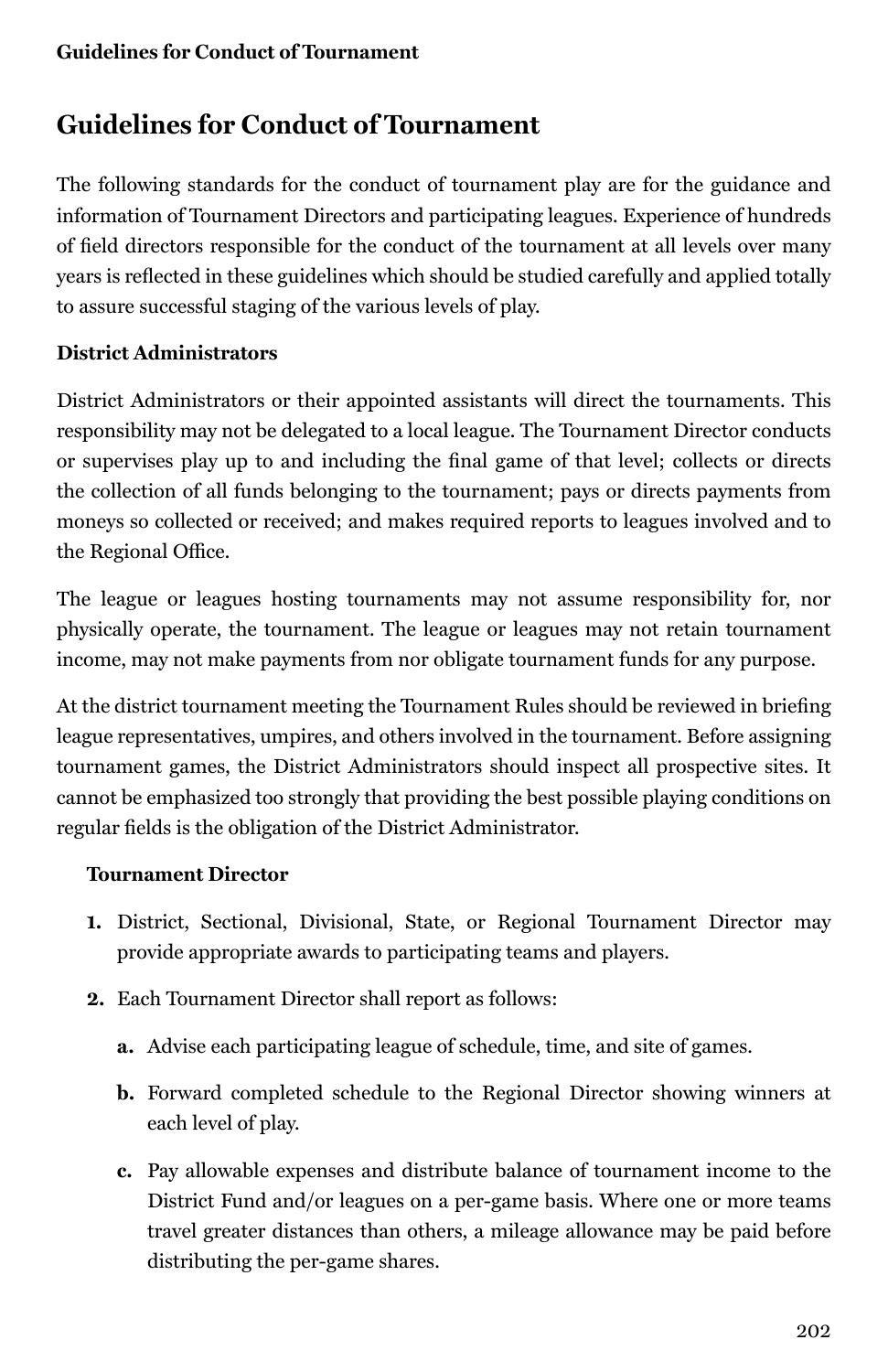## **Guidelines for Conduct of Tournament**

The following standards for the conduct of tournament play are for the guidance and information of Tournament Directors and participating leagues. Experience of hundreds of field directors responsible for the conduct of the tournament at all levels over many years is reflected in these guidelines which should be studied carefully and applied totally to assure successful staging of the various levels of play.

#### **District Administrators**

District Administrators or their appointed assistants will direct the tournaments. This responsibility may not be delegated to a local league. The Tournament Director conducts or supervises play up to and including the final game of that level; collects or directs the collection of all funds belonging to the tournament; pays or directs payments from moneys so collected or received; and makes required reports to leagues involved and to the Regional Office.

The league or leagues hosting tournaments may not assume responsibility for, nor physically operate, the tournament. The league or leagues may not retain tournament income, may not make payments from nor obligate tournament funds for any purpose.

At the district tournament meeting the Tournament Rules should be reviewed in briefing league representatives, umpires, and others involved in the tournament. Before assigning tournament games, the District Administrators should inspect all prospective sites. It cannot be emphasized too strongly that providing the best possible playing conditions on regular fields is the obligation of the District Administrator.

#### **Tournament Director**

- District, Sectional, Divisional, State, or Regional Tournament Director may **1.** provide appropriate awards to participating teams and players.
- Each Tournament Director shall report as follows: **2.**
	- **a.** Advise each participating league of schedule, time, and site of games.
	- **b.** Forward completed schedule to the Regional Director showing winners at each level of play.
	- **c.** Pay allowable expenses and distribute balance of tournament income to the District Fund and/or leagues on a per-game basis. Where one or more teams travel greater distances than others, a mileage allowance may be paid before distributing the per-game shares.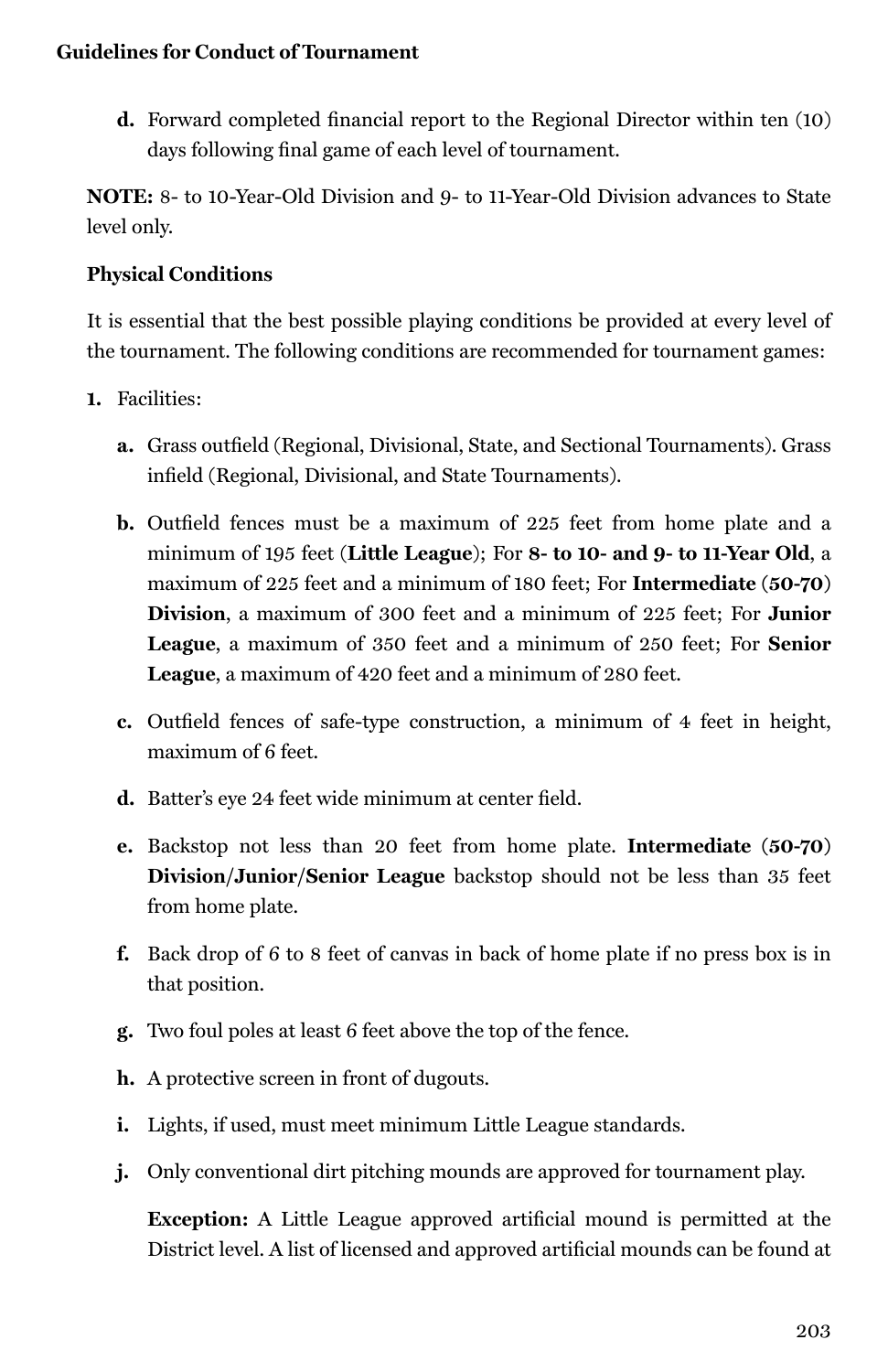**d.** Forward completed financial report to the Regional Director within ten (10) days following final game of each level of tournament.

**NOTE:** 8- to 10-Year-Old Division and 9- to 11-Year-Old Division advances to State level only.

#### **Physical Conditions**

It is essential that the best possible playing conditions be provided at every level of the tournament. The following conditions are recommended for tournament games:

- Facilities: **1.**
	- Grass outfield (Regional, Divisional, State, and Sectional Tournaments). Grass **a.** infield (Regional, Divisional, and State Tournaments).
	- **b.** Outfield fences must be a maximum of 225 feet from home plate and a minimum of 195 feet (**Little League**); For **8- to 10- and 9- to 11-Year Old**, a maximum of 225 feet and a minimum of 180 feet; For **Intermediate (50-70) Division**, a maximum of 300 feet and a minimum of 225 feet; For **Junior League**, a maximum of 350 feet and a minimum of 250 feet; For **Senior League**, a maximum of 420 feet and a minimum of 280 feet.
	- Outfield fences of safe-type construction, a minimum of 4 feet in height, **c.** maximum of 6 feet.
	- **d.** Batter's eye 24 feet wide minimum at center field.
	- Backstop not less than 20 feet from home plate. **Intermediate (50-70) e. Division/Junior/Senior League** backstop should not be less than 35 feet from home plate.
	- Back drop of 6 to 8 feet of canvas in back of home plate if no press box is in **f.** that position.
	- **g.** Two foul poles at least 6 feet above the top of the fence.
	- **h.** A protective screen in front of dugouts.
	- **i.** Lights, if used, must meet minimum Little League standards.
	- Only conventional dirt pitching mounds are approved for tournament play. **j.**

**Exception:** A Little League approved artificial mound is permitted at the District level. A list of licensed and approved artificial mounds can be found at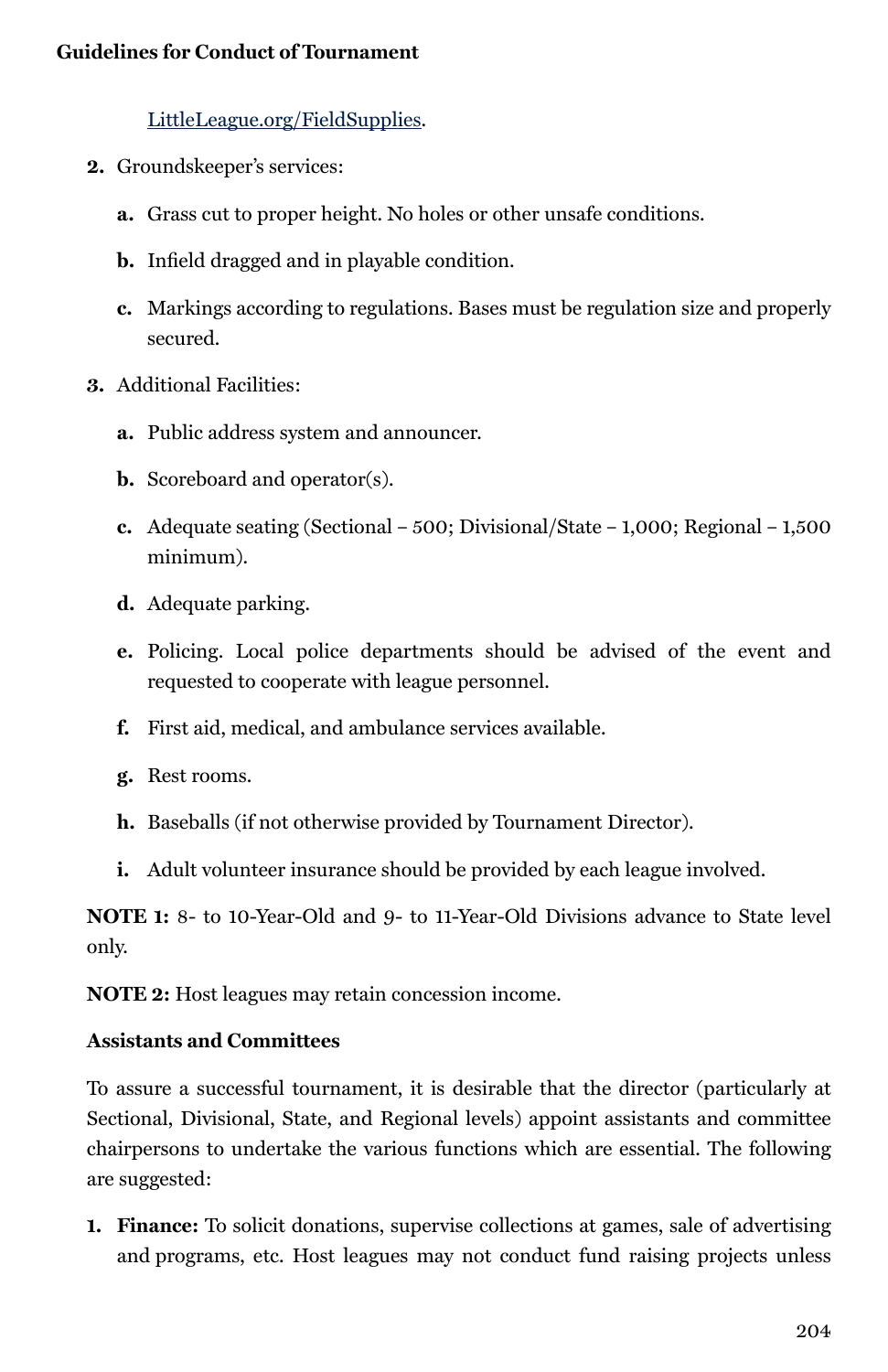[LittleLeague.org/FieldSupplies.](https://www.littleleague.org/partnerships/licensing/bases-field-maintenance/?utm_source=Rulebook%20App&utm_medium=Field%20Supplies&utm_campaign=Rulebook%20App)

- Groundskeeper's services: **2.**
	- **a.** Grass cut to proper height. No holes or other unsafe conditions.
	- **b.** Infield dragged and in playable condition.
	- Markings according to regulations. Bases must be regulation size and properly **c.** secured.
- Additional Facilities: **3.**
	- **a.** Public address system and announcer.
	- **b.** Scoreboard and operator(s).
	- Adequate seating (Sectional 500; Divisional/State 1,000; Regional 1,500 **c.** minimum).
	- **d.** Adequate parking.
	- **e.** Policing. Local police departments should be advised of the event and requested to cooperate with league personnel.
	- **f.** First aid, medical, and ambulance services available.
	- **g.** Rest rooms.
	- **h.** Baseballs (if not otherwise provided by Tournament Director).
	- **i.** Adult volunteer insurance should be provided by each league involved.

**NOTE 1:** 8- to 10-Year-Old and 9- to 11-Year-Old Divisions advance to State level only.

**NOTE 2:** Host leagues may retain concession income.

#### **Assistants and Committees**

To assure a successful tournament, it is desirable that the director (particularly at Sectional, Divisional, State, and Regional levels) appoint assistants and committee chairpersons to undertake the various functions which are essential. The following are suggested:

**Finance:** To solicit donations, supervise collections at games, sale of advertising **1.** and programs, etc. Host leagues may not conduct fund raising projects unless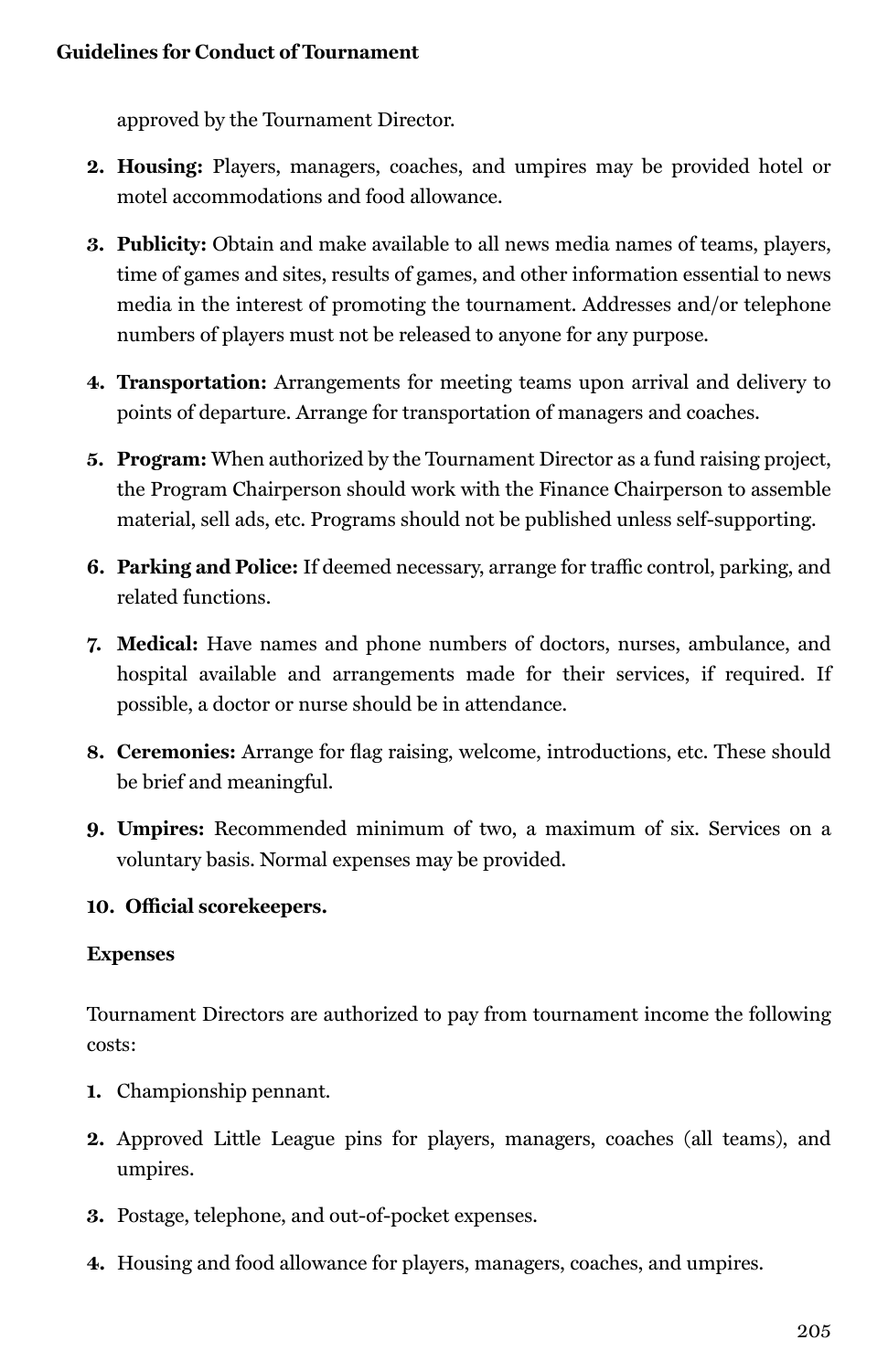approved by the Tournament Director.

- **Housing:** Players, managers, coaches, and umpires may be provided hotel or **2.** motel accommodations and food allowance.
- **Publicity:** Obtain and make available to all news media names of teams, players, **3.** time of games and sites, results of games, and other information essential to news media in the interest of promoting the tournament. Addresses and/or telephone numbers of players must not be released to anyone for any purpose.
- **Transportation:** Arrangements for meeting teams upon arrival and delivery to **4.** points of departure. Arrange for transportation of managers and coaches.
- **Program:** When authorized by the Tournament Director as a fund raising project, **5.** the Program Chairperson should work with the Finance Chairperson to assemble material, sell ads, etc. Programs should not be published unless self-supporting.
- **Parking and Police:** If deemed necessary, arrange for traffic control, parking, and **6.** related functions.
- **Medical:** Have names and phone numbers of doctors, nurses, ambulance, and **7.** hospital available and arrangements made for their services, if required. If possible, a doctor or nurse should be in attendance.
- **Ceremonies:** Arrange for flag raising, welcome, introductions, etc. These should **8.** be brief and meaningful.
- **Umpires:** Recommended minimum of two, a maximum of six. Services on a **9.** voluntary basis. Normal expenses may be provided.

#### **10. Official scorekeepers.**

#### **Expenses**

Tournament Directors are authorized to pay from tournament income the following costs:

- **1.** Championship pennant.
- Approved Little League pins for players, managers, coaches (all teams), and **2.** umpires.
- **3.** Postage, telephone, and out-of-pocket expenses.
- **4.** Housing and food allowance for players, managers, coaches, and umpires.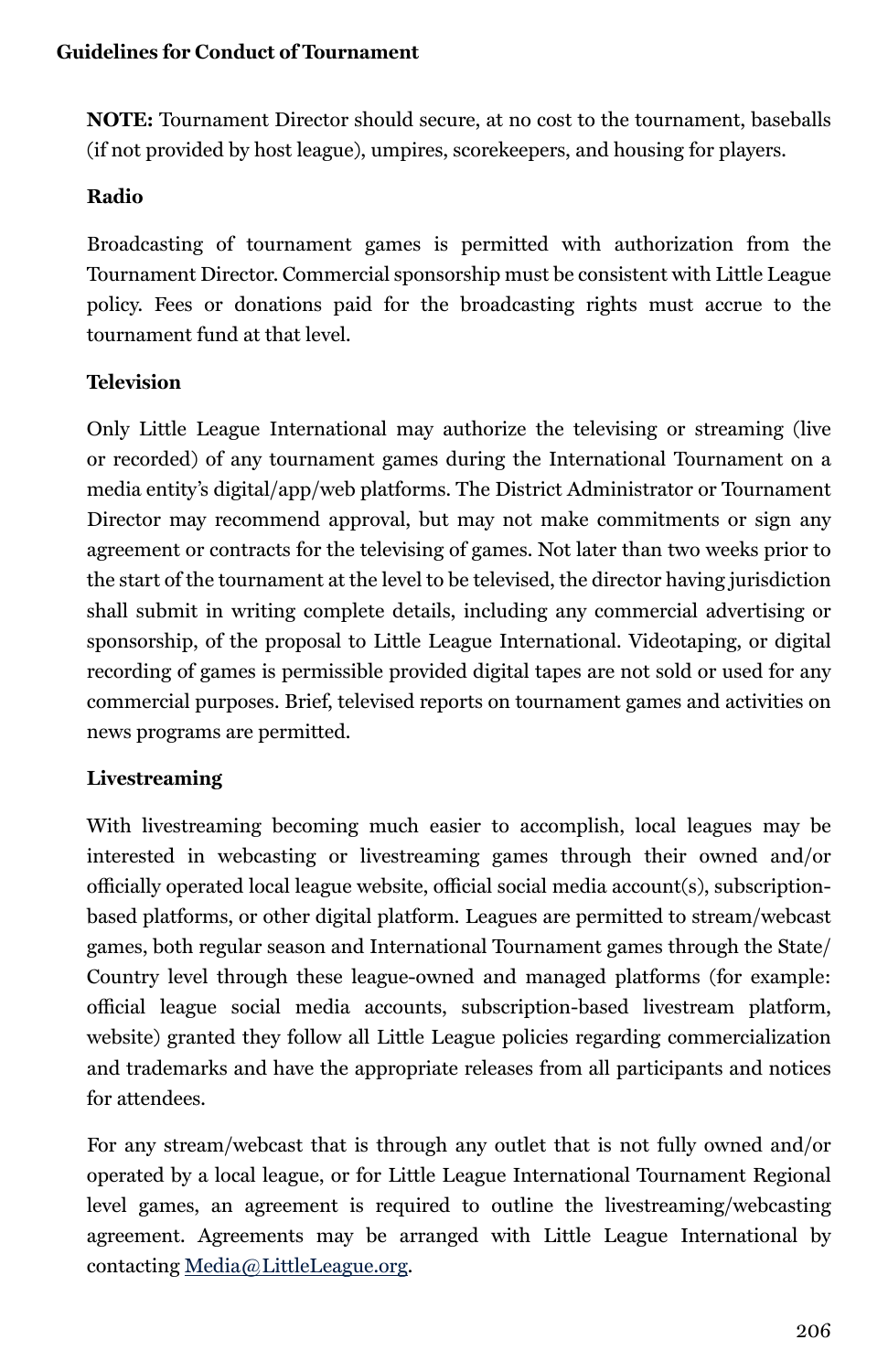#### **Guidelines for Conduct of Tournament**

**NOTE:** Tournament Director should secure, at no cost to the tournament, baseballs (if not provided by host league), umpires, scorekeepers, and housing for players.

#### **Radio**

Broadcasting of tournament games is permitted with authorization from the Tournament Director. Commercial sponsorship must be consistent with Little League policy. Fees or donations paid for the broadcasting rights must accrue to the tournament fund at that level.

#### **Television**

Only Little League International may authorize the televising or streaming (live or recorded) of any tournament games during the International Tournament on a media entity's digital/app/web platforms. The District Administrator or Tournament Director may recommend approval, but may not make commitments or sign any agreement or contracts for the televising of games. Not later than two weeks prior to the start of the tournament at the level to be televised, the director having jurisdiction shall submit in writing complete details, including any commercial advertising or sponsorship, of the proposal to Little League International. Videotaping, or digital recording of games is permissible provided digital tapes are not sold or used for any commercial purposes. Brief, televised reports on tournament games and activities on news programs are permitted.

#### **Livestreaming**

With livestreaming becoming much easier to accomplish, local leagues may be interested in webcasting or livestreaming games through their owned and/or officially operated local league website, official social media account(s), subscriptionbased platforms, or other digital platform. Leagues are permitted to stream/webcast games, both regular season and International Tournament games through the State/ Country level through these league-owned and managed platforms (for example: official league social media accounts, subscription-based livestream platform, website) granted they follow all Little League policies regarding commercialization and trademarks and have the appropriate releases from all participants and notices for attendees.

For any stream/webcast that is through any outlet that is not fully owned and/or operated by a local league, or for Little League International Tournament Regional level games, an agreement is required to outline the livestreaming/webcasting agreement. Agreements may be arranged with Little League International by contacting [Media@LittleLeague.org.](mailto:Media@LittleLeague.org)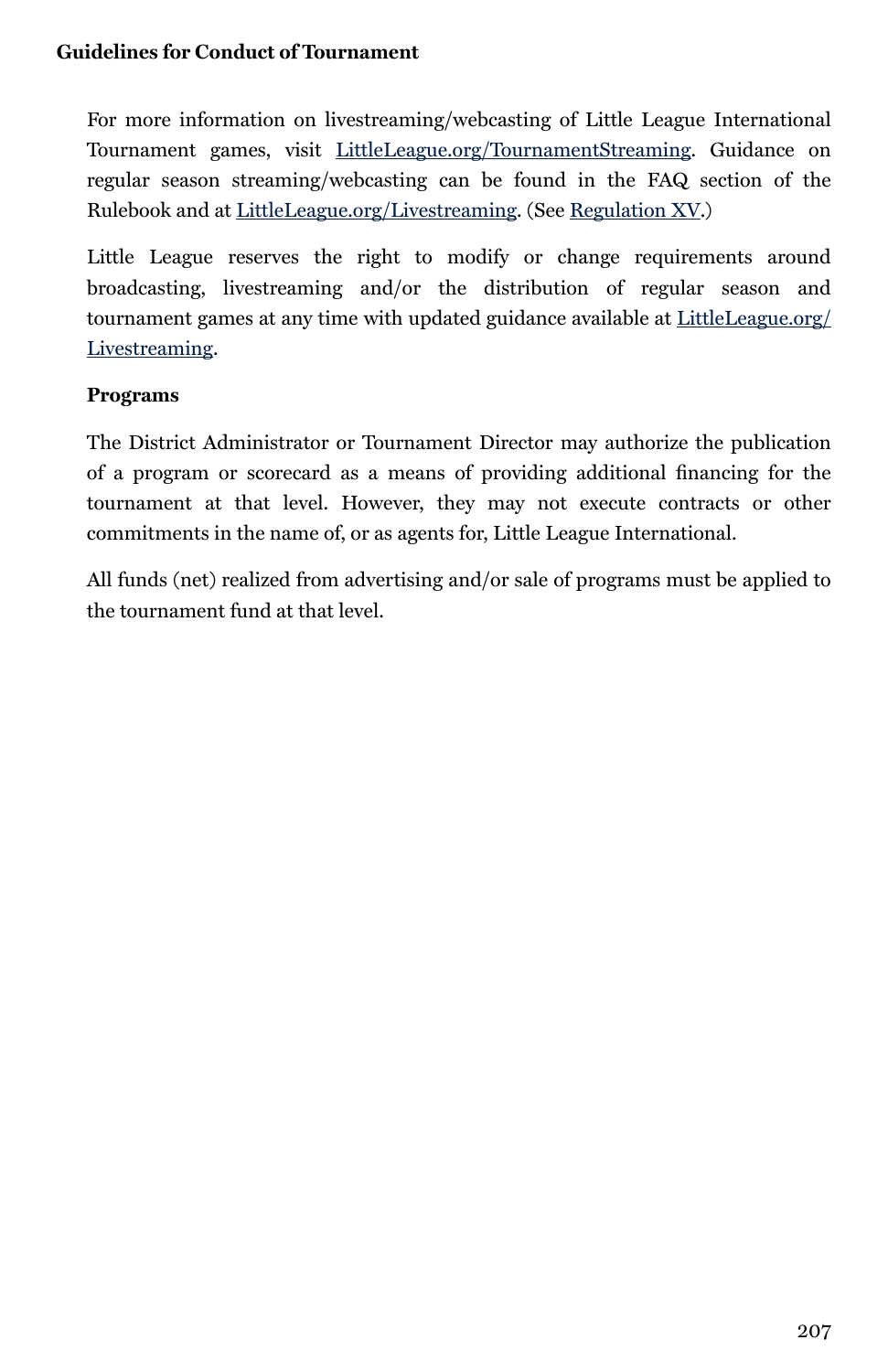#### **Guidelines for Conduct of Tournament**

For more information on livestreaming/webcasting of Little League International Tournament games, visit [LittleLeague.org/TournamentStreaming](https://www.littleleague.org/university/articles/little-league-online-internet-webcast-and-streaming-faqs-guidelines-and-policies/). Guidance on regular season streaming/webcasting can be found in the FAQ section of the Rulebook and at [LittleLeague.org/Livestreaming.](https://www.littleleague.org/university/articles/little-league-online-internet-webcast-and-streaming-faqs-guidelines-and-policies/) (See [Regulation XV.](/rulebook/3/57/rule--a.))

Little League reserves the right to modify or change requirements around broadcasting, livestreaming and/or the distribution of regular season and tournament games at any time with updated guidance available at [LittleLeague.org/](https://www.littleleague.org/university/articles/little-league-online-internet-webcast-and-streaming-faqs-guidelines-and-policies/) [Livestreaming](https://www.littleleague.org/university/articles/little-league-online-internet-webcast-and-streaming-faqs-guidelines-and-policies/).

#### **Programs**

The District Administrator or Tournament Director may authorize the publication of a program or scorecard as a means of providing additional financing for the tournament at that level. However, they may not execute contracts or other commitments in the name of, or as agents for, Little League International.

All funds (net) realized from advertising and/or sale of programs must be applied to the tournament fund at that level.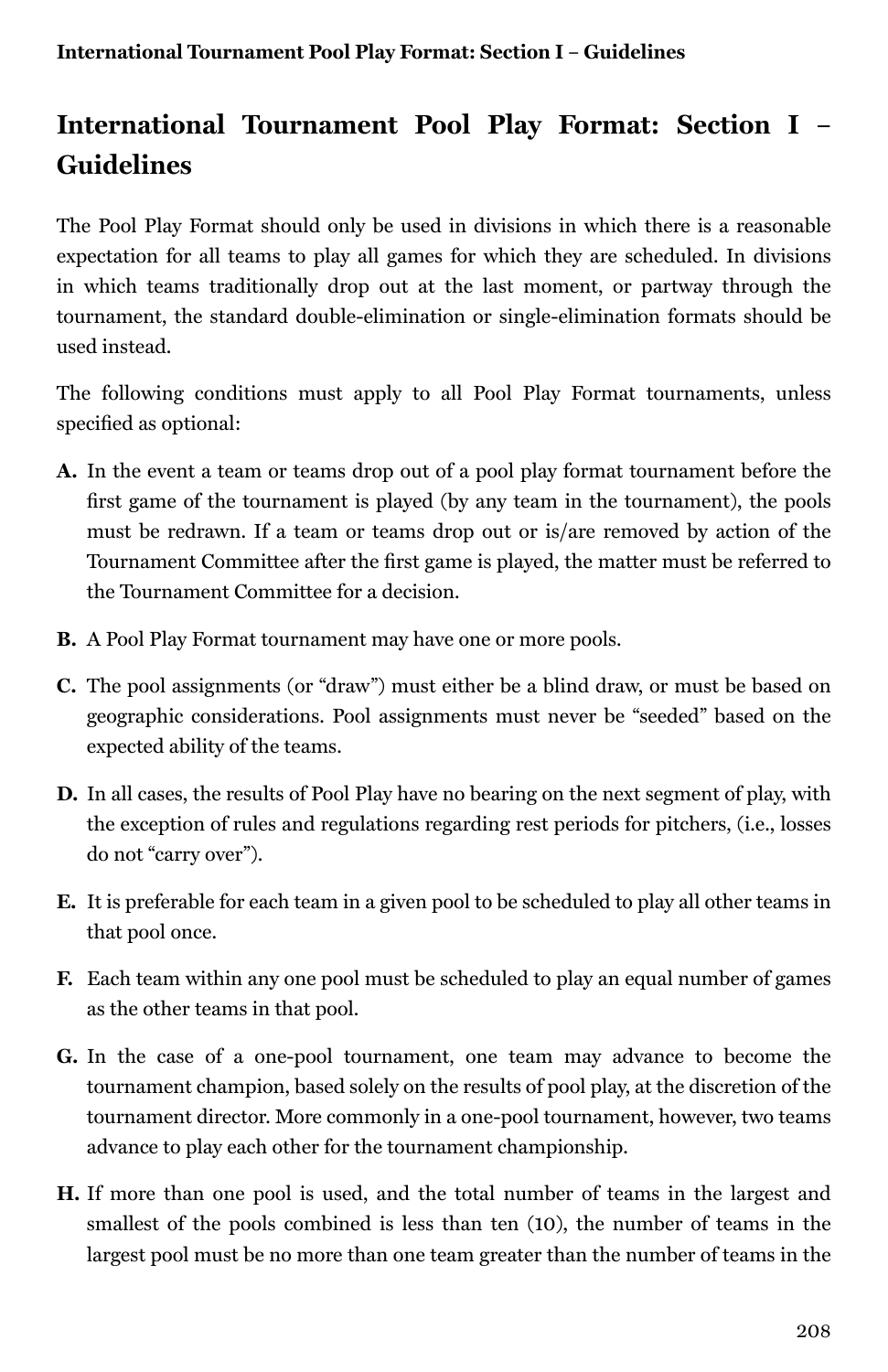# **International Tournament Pool Play Format: Section I – Guidelines**

The Pool Play Format should only be used in divisions in which there is a reasonable expectation for all teams to play all games for which they are scheduled. In divisions in which teams traditionally drop out at the last moment, or partway through the tournament, the standard double-elimination or single-elimination formats should be used instead.

The following conditions must apply to all Pool Play Format tournaments, unless specified as optional:

- In the event a team or teams drop out of a pool play format tournament before the **A.** first game of the tournament is played (by any team in the tournament), the pools must be redrawn. If a team or teams drop out or is/are removed by action of the Tournament Committee after the first game is played, the matter must be referred to the Tournament Committee for a decision.
- **B.** A Pool Play Format tournament may have one or more pools.
- The pool assignments (or "draw") must either be a blind draw, or must be based on **C.** geographic considerations. Pool assignments must never be "seeded" based on the expected ability of the teams.
- In all cases, the results of Pool Play have no bearing on the next segment of play, with **D.** the exception of rules and regulations regarding rest periods for pitchers, (i.e., losses do not "carry over").
- It is preferable for each team in a given pool to be scheduled to play all other teams in **E.** that pool once.
- Each team within any one pool must be scheduled to play an equal number of games **F.** as the other teams in that pool.
- In the case of a one-pool tournament, one team may advance to become the **G.** tournament champion, based solely on the results of pool play, at the discretion of the tournament director. More commonly in a one-pool tournament, however, two teams advance to play each other for the tournament championship.
- If more than one pool is used, and the total number of teams in the largest and **H.** smallest of the pools combined is less than ten (10), the number of teams in the largest pool must be no more than one team greater than the number of teams in the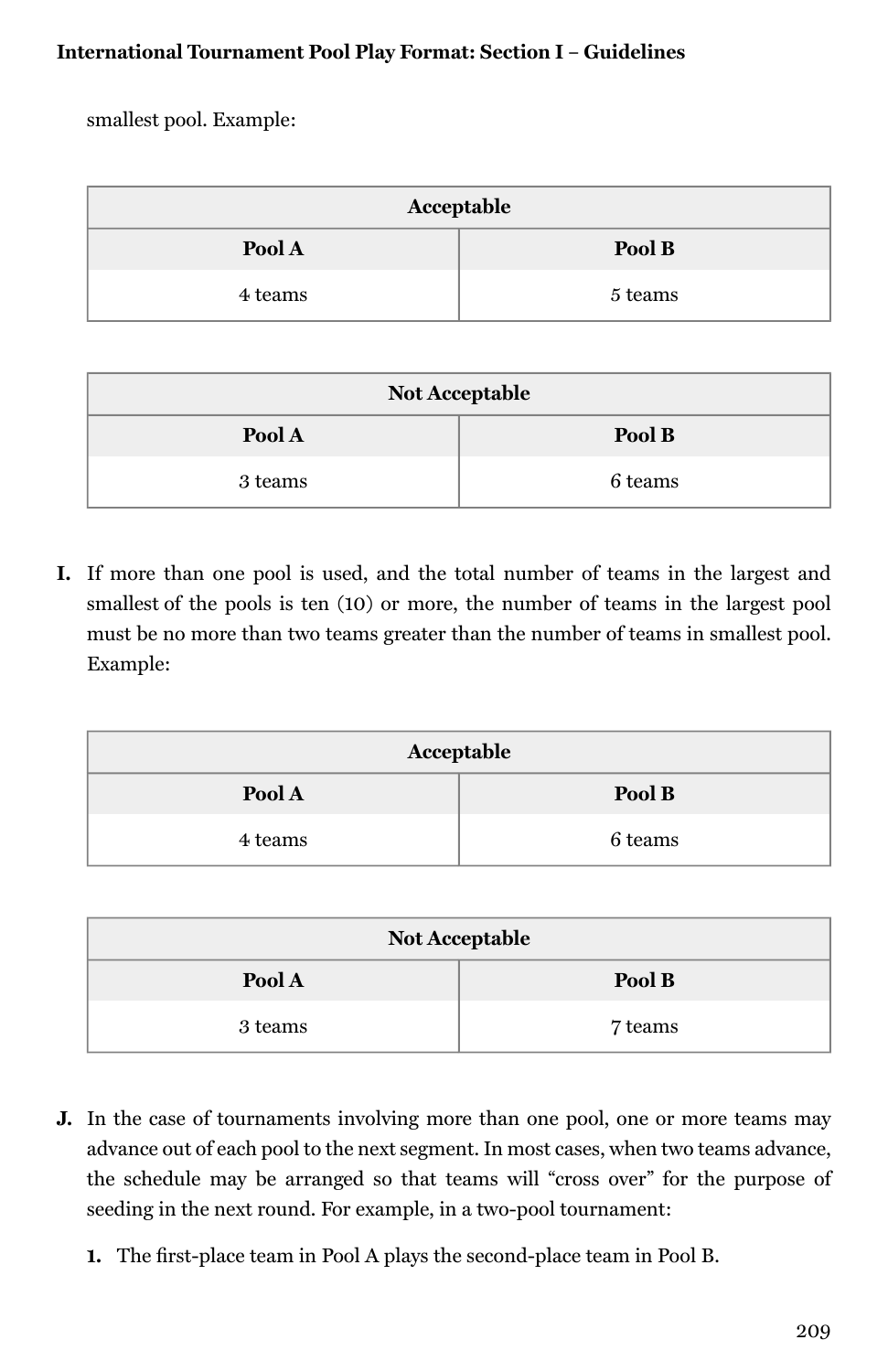#### **International Tournament Pool Play Format: Section I – Guidelines**

smallest pool. Example:

| Acceptable |         |  |
|------------|---------|--|
| Pool A     | Pool B  |  |
| 4 teams    | 5 teams |  |

| Not Acceptable |         |  |
|----------------|---------|--|
| Pool A         | Pool B  |  |
| 3 teams        | 6 teams |  |

If more than one pool is used, and the total number of teams in the largest and **I.** smallest of the pools is ten (10) or more, the number of teams in the largest pool must be no more than two teams greater than the number of teams in smallest pool. Example:

| Acceptable |         |  |
|------------|---------|--|
| Pool A     | Pool B  |  |
| 4 teams    | 6 teams |  |

| Not Acceptable |         |  |
|----------------|---------|--|
| Pool A         | Pool B  |  |
| 3 teams        | 7 teams |  |

- In the case of tournaments involving more than one pool, one or more teams may **J.** advance out of each pool to the next segment. In most cases, when two teams advance, the schedule may be arranged so that teams will "cross over" for the purpose of seeding in the next round. For example, in a two-pool tournament:
	- **1.** The first-place team in Pool A plays the second-place team in Pool B.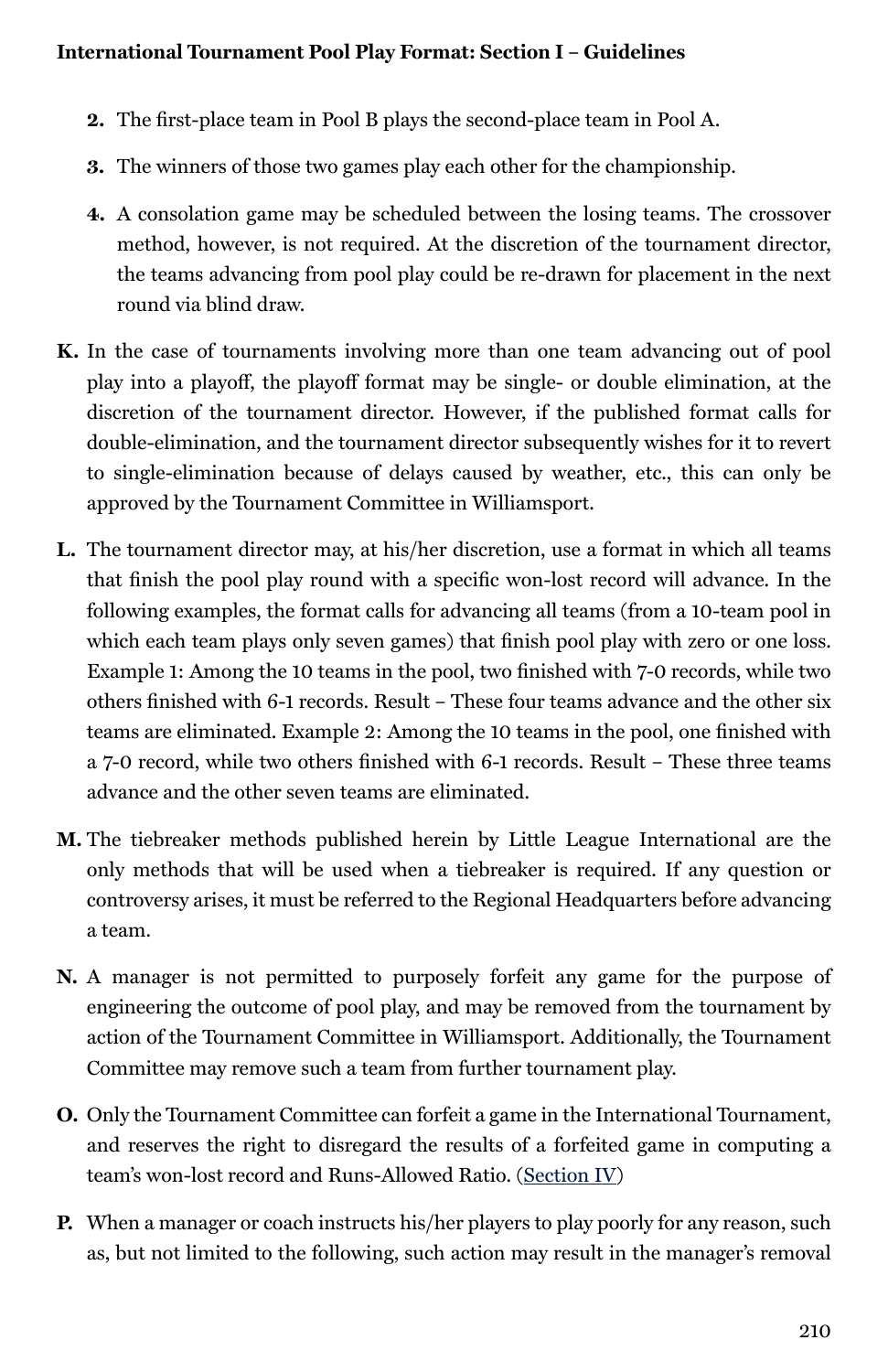- **2.** The first-place team in Pool B plays the second-place team in Pool A.
- **3.** The winners of those two games play each other for the championship.
- A consolation game may be scheduled between the losing teams. The crossover **4.** method, however, is not required. At the discretion of the tournament director, the teams advancing from pool play could be re-drawn for placement in the next round via blind draw.
- **K.** In the case of tournaments involving more than one team advancing out of pool play into a playoff, the playoff format may be single- or double elimination, at the discretion of the tournament director. However, if the published format calls for double-elimination, and the tournament director subsequently wishes for it to revert to single-elimination because of delays caused by weather, etc., this can only be approved by the Tournament Committee in Williamsport.
- The tournament director may, at his/her discretion, use a format in which all teams **L.** that finish the pool play round with a specific won-lost record will advance. In the following examples, the format calls for advancing all teams (from a 10-team pool in which each team plays only seven games) that finish pool play with zero or one loss. Example 1: Among the 10 teams in the pool, two finished with 7-0 records, while two others finished with 6-1 records. Result – These four teams advance and the other six teams are eliminated. Example 2: Among the 10 teams in the pool, one finished with a 7-0 record, while two others finished with 6-1 records. Result – These three teams advance and the other seven teams are eliminated.
- The tiebreaker methods published herein by Little League International are the **M.** only methods that will be used when a tiebreaker is required. If any question or controversy arises, it must be referred to the Regional Headquarters before advancing a team.
- A manager is not permitted to purposely forfeit any game for the purpose of **N.** engineering the outcome of pool play, and may be removed from the tournament by action of the Tournament Committee in Williamsport. Additionally, the Tournament Committee may remove such a team from further tournament play.
- Only the Tournament Committee can forfeit a game in the International Tournament, **O.** and reserves the right to disregard the results of a forfeited game in computing a team's won-lost record and Runs-Allowed Ratio. ([Section IV\)](/rulebook/3/108/rule--A.)
- When a manager or coach instructs his/her players to play poorly for any reason, such **P.** as, but not limited to the following, such action may result in the manager's removal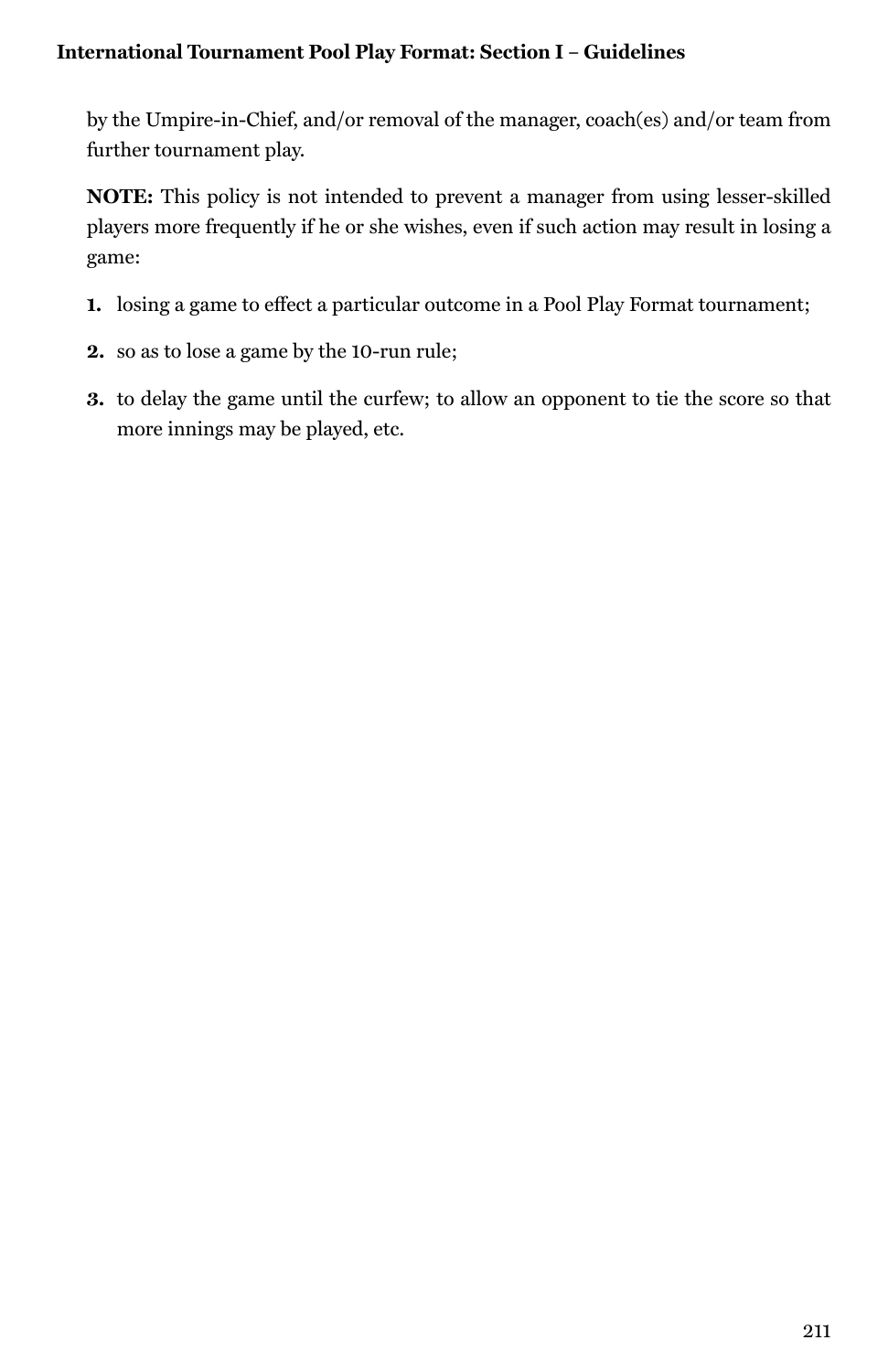by the Umpire-in-Chief, and/or removal of the manager, coach(es) and/or team from further tournament play.

**NOTE:** This policy is not intended to prevent a manager from using lesser-skilled players more frequently if he or she wishes, even if such action may result in losing a game:

- **1.** losing a game to effect a particular outcome in a Pool Play Format tournament;
- **2.** so as to lose a game by the 10-run rule;
- **3.** to delay the game until the curfew; to allow an opponent to tie the score so that more innings may be played, etc.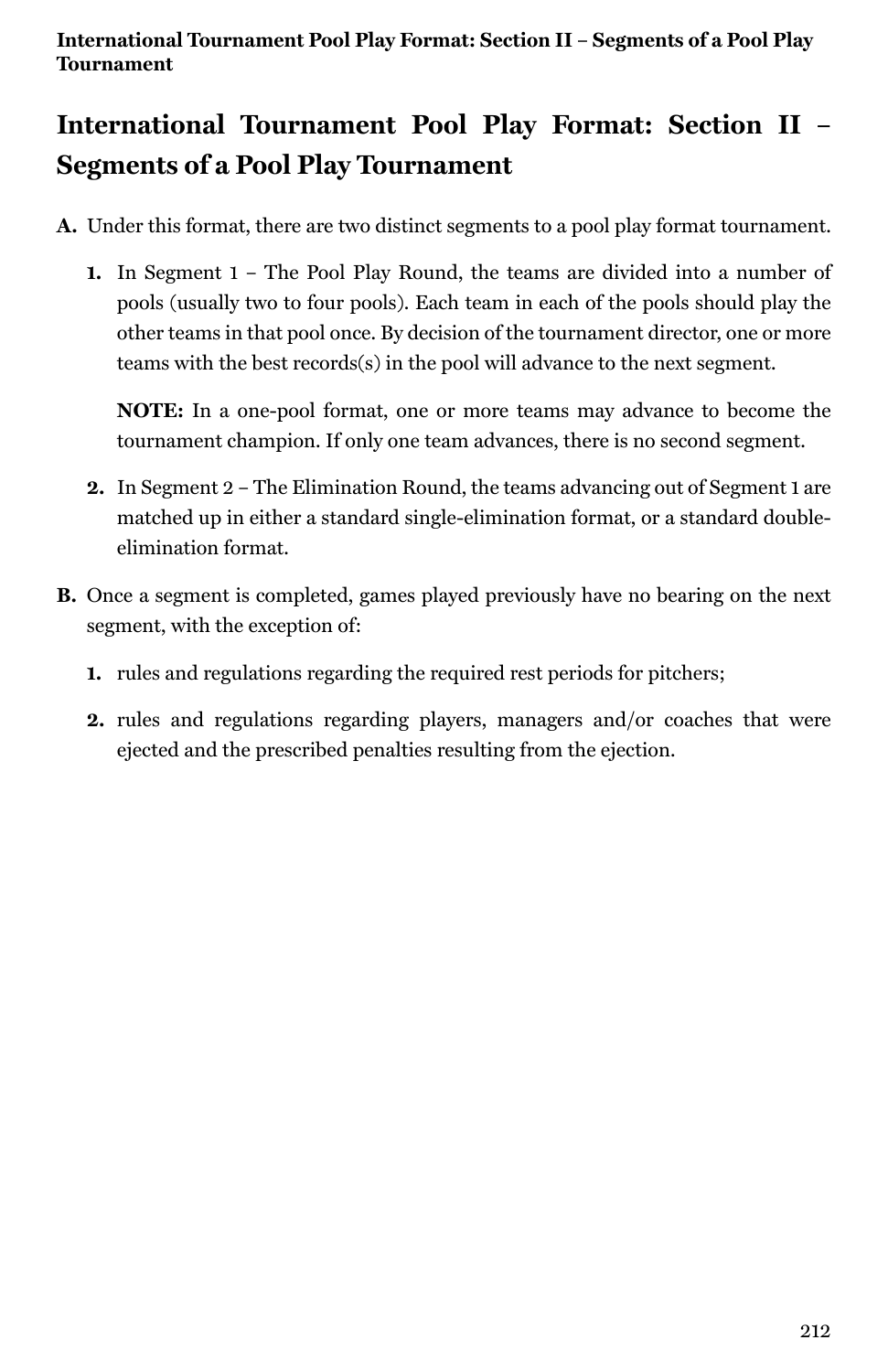# **International Tournament Pool Play Format: Section II – Segments of a Pool Play Tournament**

- Under this format, there are two distinct segments to a pool play format tournament. **A.**
	- In Segment 1 The Pool Play Round, the teams are divided into a number of **1.** pools (usually two to four pools). Each team in each of the pools should play the other teams in that pool once. By decision of the tournament director, one or more teams with the best records(s) in the pool will advance to the next segment.

**NOTE:** In a one-pool format, one or more teams may advance to become the tournament champion. If only one team advances, there is no second segment.

- In Segment 2 The Elimination Round, the teams advancing out of Segment 1 are **2.** matched up in either a standard single-elimination format, or a standard doubleelimination format.
- **B.** Once a segment is completed, games played previously have no bearing on the next segment, with the exception of:
	- **1.** rules and regulations regarding the required rest periods for pitchers;
	- **2.** rules and regulations regarding players, managers and/or coaches that were ejected and the prescribed penalties resulting from the ejection.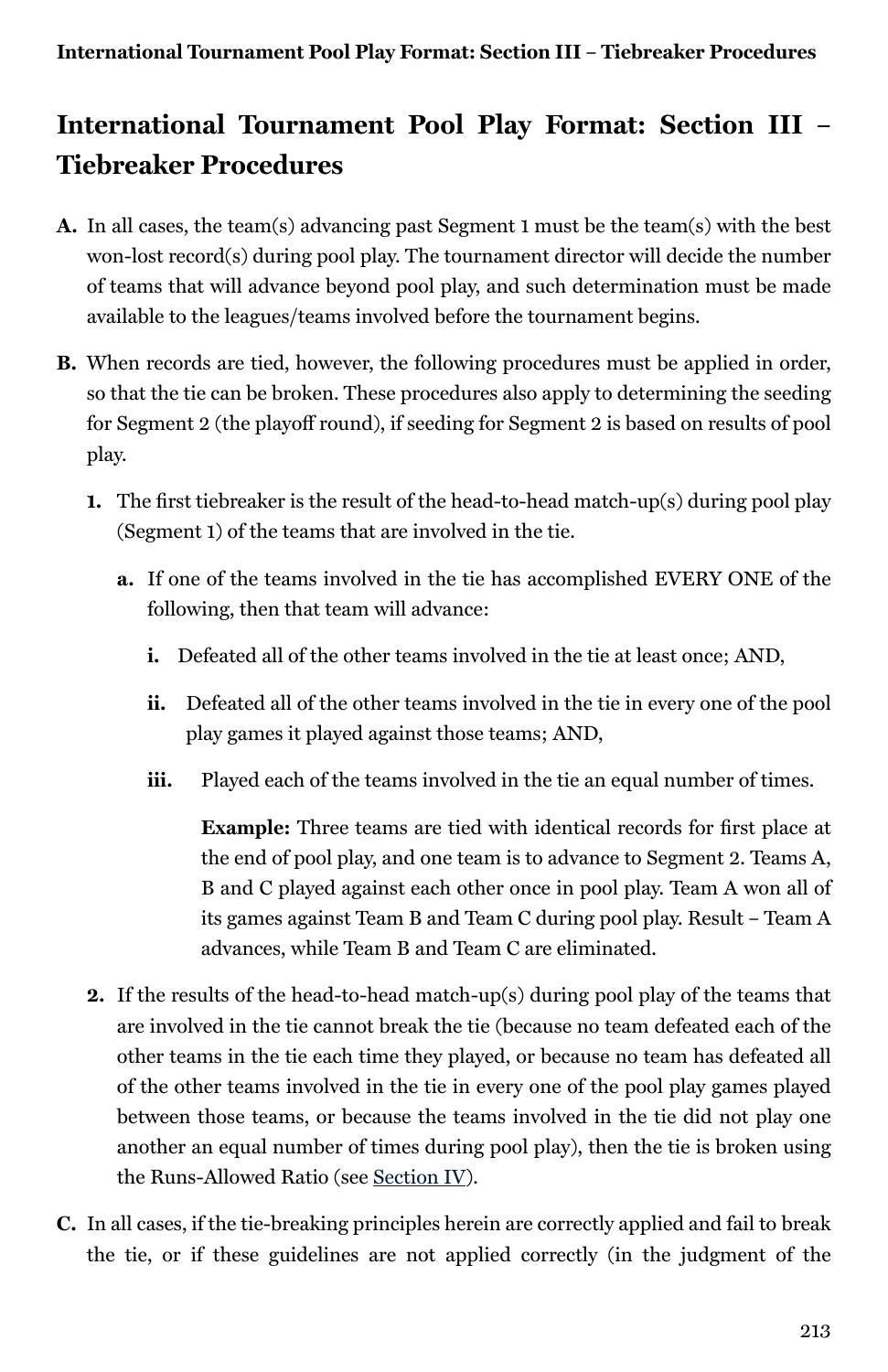# **International Tournament Pool Play Format: Section III – Tiebreaker Procedures**

- In all cases, the team(s) advancing past Segment 1 must be the team(s) with the best **A.** won-lost record(s) during pool play. The tournament director will decide the number of teams that will advance beyond pool play, and such determination must be made available to the leagues/teams involved before the tournament begins.
- When records are tied, however, the following procedures must be applied in order, **B.** so that the tie can be broken. These procedures also apply to determining the seeding for Segment 2 (the playoff round), if seeding for Segment 2 is based on results of pool play.
	- The first tiebreaker is the result of the head-to-head match-up(s) during pool play **1.** (Segment 1) of the teams that are involved in the tie.
		- **a.** If one of the teams involved in the tie has accomplished EVERY ONE of the following, then that team will advance:
			- **i.** Defeated all of the other teams involved in the tie at least once; AND,
			- Defeated all of the other teams involved in the tie in every one of the pool **ii.** play games it played against those teams; AND,
			- Played each of the teams involved in the tie an equal number of times. **iii.**

**Example:** Three teams are tied with identical records for first place at the end of pool play, and one team is to advance to Segment 2. Teams A, B and C played against each other once in pool play. Team A won all of its games against Team B and Team C during pool play. Result – Team A advances, while Team B and Team C are eliminated.

- If the results of the head-to-head match-up(s) during pool play of the teams that **2.** are involved in the tie cannot break the tie (because no team defeated each of the other teams in the tie each time they played, or because no team has defeated all of the other teams involved in the tie in every one of the pool play games played between those teams, or because the teams involved in the tie did not play one another an equal number of times during pool play), then the tie is broken using the Runs-Allowed Ratio (see [Section IV\)](/rulebook/3/108/rule--A.).
- In all cases, if the tie-breaking principles herein are correctly applied and fail to break **C.** the tie, or if these guidelines are not applied correctly (in the judgment of the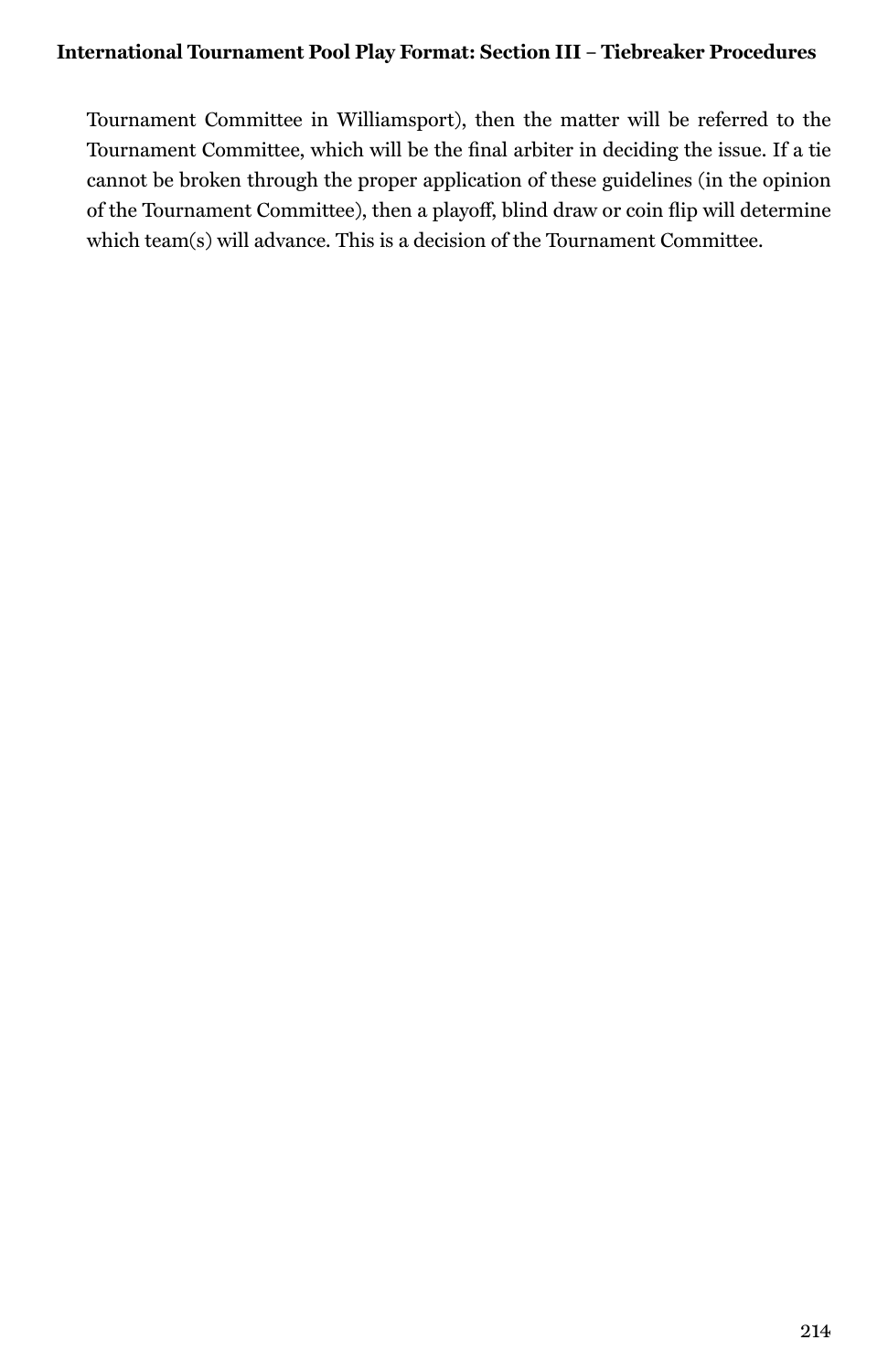#### **International Tournament Pool Play Format: Section III – Tiebreaker Procedures**

Tournament Committee in Williamsport), then the matter will be referred to the Tournament Committee, which will be the final arbiter in deciding the issue. If a tie cannot be broken through the proper application of these guidelines (in the opinion of the Tournament Committee), then a playoff, blind draw or coin flip will determine which team(s) will advance. This is a decision of the Tournament Committee.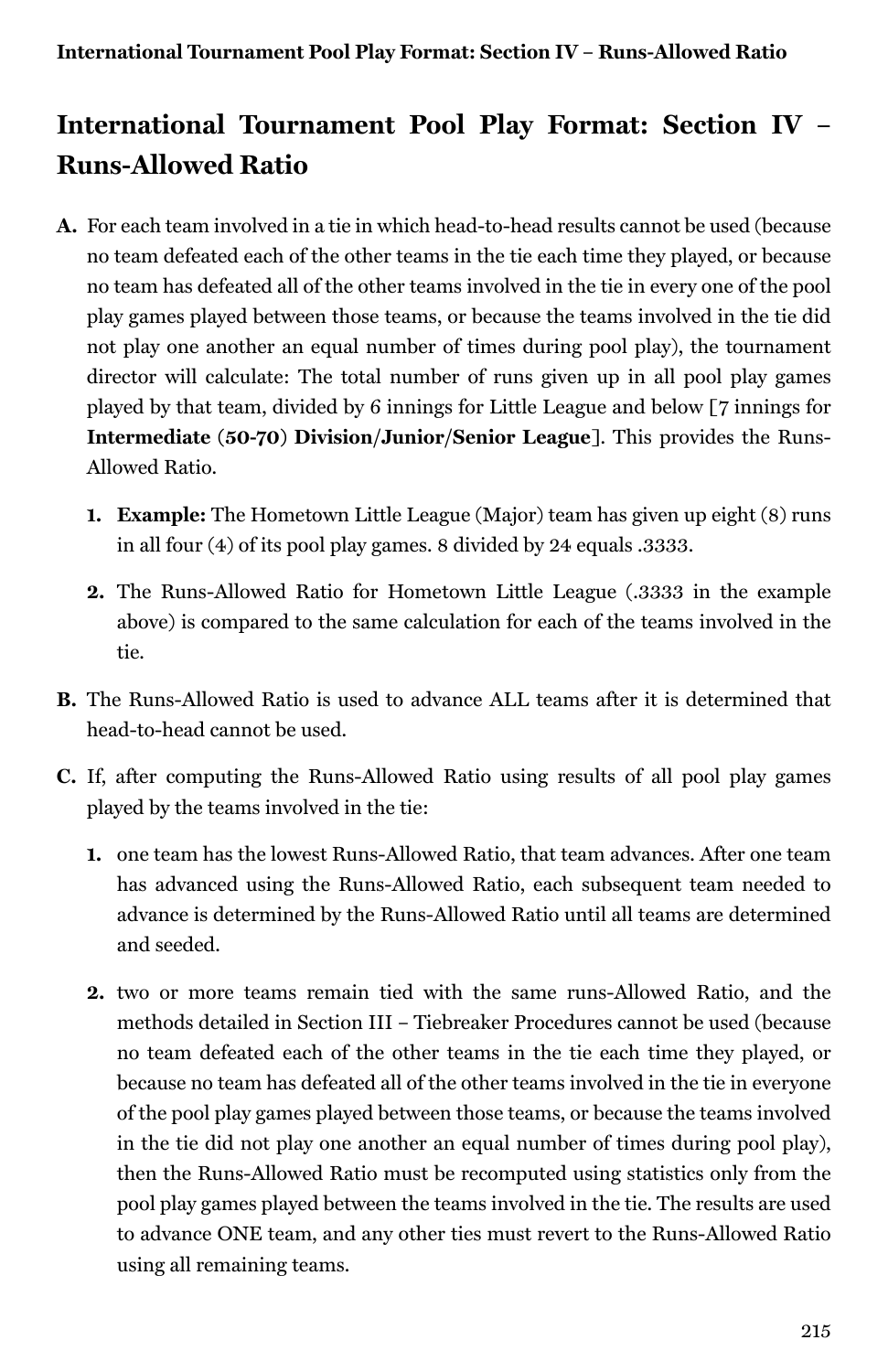# **International Tournament Pool Play Format: Section IV – Runs-Allowed Ratio**

- For each team involved in a tie in which head-to-head results cannot be used (because **A.** no team defeated each of the other teams in the tie each time they played, or because no team has defeated all of the other teams involved in the tie in every one of the pool play games played between those teams, or because the teams involved in the tie did not play one another an equal number of times during pool play), the tournament director will calculate: The total number of runs given up in all pool play games played by that team, divided by 6 innings for Little League and below [7 innings for **Intermediate (50-70) Division/Junior/Senior League**]. This provides the Runs-Allowed Ratio.
	- **Example:** The Hometown Little League (Major) team has given up eight (8) runs **1.** in all four (4) of its pool play games. 8 divided by 24 equals .3333.
	- The Runs-Allowed Ratio for Hometown Little League (.3333 in the example **2.** above) is compared to the same calculation for each of the teams involved in the tie.
- The Runs-Allowed Ratio is used to advance ALL teams after it is determined that **B.** head-to-head cannot be used.
- If, after computing the Runs-Allowed Ratio using results of all pool play games **C.** played by the teams involved in the tie:
	- **1.** one team has the lowest Runs-Allowed Ratio, that team advances. After one team has advanced using the Runs-Allowed Ratio, each subsequent team needed to advance is determined by the Runs-Allowed Ratio until all teams are determined and seeded.
	- two or more teams remain tied with the same runs-Allowed Ratio, and the **2.** methods detailed in Section III – Tiebreaker Procedures cannot be used (because no team defeated each of the other teams in the tie each time they played, or because no team has defeated all of the other teams involved in the tie in everyone of the pool play games played between those teams, or because the teams involved in the tie did not play one another an equal number of times during pool play), then the Runs-Allowed Ratio must be recomputed using statistics only from the pool play games played between the teams involved in the tie. The results are used to advance ONE team, and any other ties must revert to the Runs-Allowed Ratio using all remaining teams.